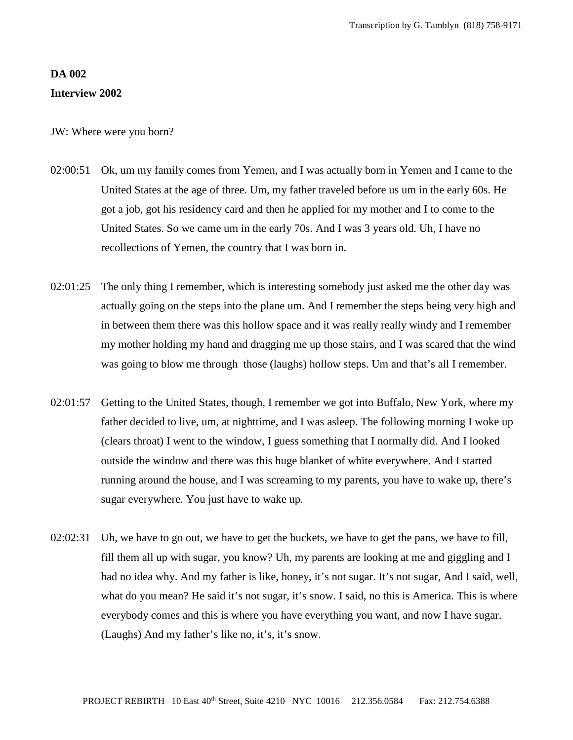## **DA 002 Interview 2002**

JW: Where were you born?

- 02:00:51 Ok, um my family comes from Yemen, and I was actually born in Yemen and I came to the United States at the age of three. Um, my father traveled before us um in the early 60s. He got a job, got his residency card and then he applied for my mother and I to come to the United States. So we came um in the early 70s. And I was 3 years old. Uh, I have no recollections of Yemen, the country that I was born in.
- 02:01:25 The only thing I remember, which is interesting somebody just asked me the other day was actually going on the steps into the plane um. And I remember the steps being very high and in between them there was this hollow space and it was really really windy and I remember my mother holding my hand and dragging me up those stairs, and I was scared that the wind was going to blow me through those (laughs) hollow steps. Um and that's all I remember.
- 02:01:57 Getting to the United States, though, I remember we got into Buffalo, New York, where my father decided to live, um, at nighttime, and I was asleep. The following morning I woke up (clears throat) I went to the window, I guess something that I normally did. And I looked outside the window and there was this huge blanket of white everywhere. And I started running around the house, and I was screaming to my parents, you have to wake up, there's sugar everywhere. You just have to wake up.
- 02:02:31 Uh, we have to go out, we have to get the buckets, we have to get the pans, we have to fill, fill them all up with sugar, you know? Uh, my parents are looking at me and giggling and I had no idea why. And my father is like, honey, it's not sugar. It's not sugar, And I said, well, what do you mean? He said it's not sugar, it's snow. I said, no this is America. This is where everybody comes and this is where you have everything you want, and now I have sugar. (Laughs) And my father's like no, it's, it's snow.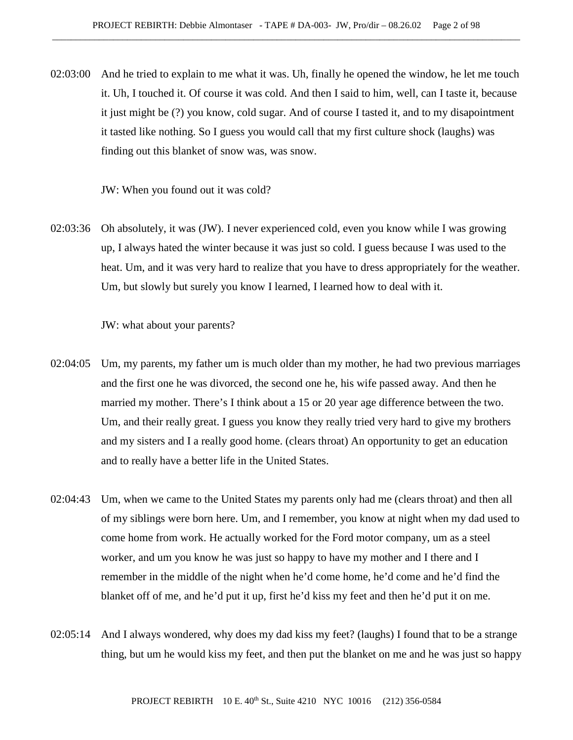02:03:00 And he tried to explain to me what it was. Uh, finally he opened the window, he let me touch it. Uh, I touched it. Of course it was cold. And then I said to him, well, can I taste it, because it just might be (?) you know, cold sugar. And of course I tasted it, and to my disapointment it tasted like nothing. So I guess you would call that my first culture shock (laughs) was finding out this blanket of snow was, was snow.

JW: When you found out it was cold?

02:03:36 Oh absolutely, it was (JW). I never experienced cold, even you know while I was growing up, I always hated the winter because it was just so cold. I guess because I was used to the heat. Um, and it was very hard to realize that you have to dress appropriately for the weather. Um, but slowly but surely you know I learned, I learned how to deal with it.

JW: what about your parents?

- 02:04:05 Um, my parents, my father um is much older than my mother, he had two previous marriages and the first one he was divorced, the second one he, his wife passed away. And then he married my mother. There's I think about a 15 or 20 year age difference between the two. Um, and their really great. I guess you know they really tried very hard to give my brothers and my sisters and I a really good home. (clears throat) An opportunity to get an education and to really have a better life in the United States.
- 02:04:43 Um, when we came to the United States my parents only had me (clears throat) and then all of my siblings were born here. Um, and I remember, you know at night when my dad used to come home from work. He actually worked for the Ford motor company, um as a steel worker, and um you know he was just so happy to have my mother and I there and I remember in the middle of the night when he'd come home, he'd come and he'd find the blanket off of me, and he'd put it up, first he'd kiss my feet and then he'd put it on me.
- 02:05:14 And I always wondered, why does my dad kiss my feet? (laughs) I found that to be a strange thing, but um he would kiss my feet, and then put the blanket on me and he was just so happy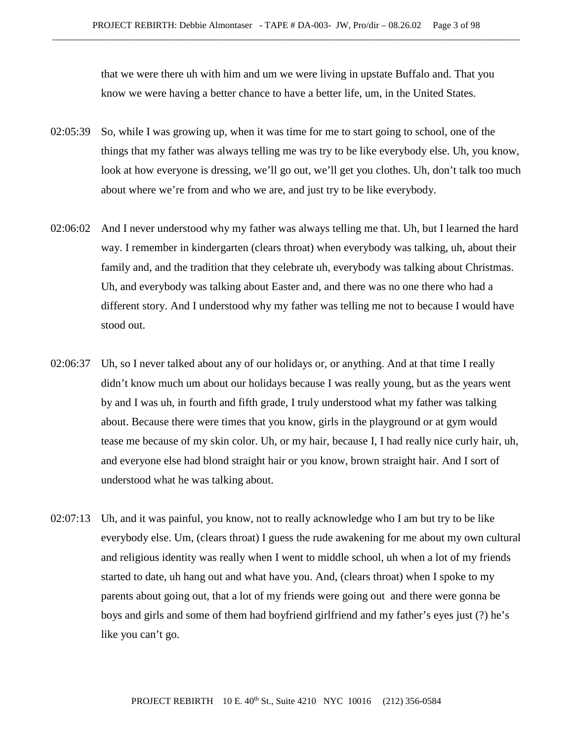that we were there uh with him and um we were living in upstate Buffalo and. That you know we were having a better chance to have a better life, um, in the United States.

- 02:05:39 So, while I was growing up, when it was time for me to start going to school, one of the things that my father was always telling me was try to be like everybody else. Uh, you know, look at how everyone is dressing, we'll go out, we'll get you clothes. Uh, don't talk too much about where we're from and who we are, and just try to be like everybody.
- 02:06:02 And I never understood why my father was always telling me that. Uh, but I learned the hard way. I remember in kindergarten (clears throat) when everybody was talking, uh, about their family and, and the tradition that they celebrate uh, everybody was talking about Christmas. Uh, and everybody was talking about Easter and, and there was no one there who had a different story. And I understood why my father was telling me not to because I would have stood out.
- 02:06:37 Uh, so I never talked about any of our holidays or, or anything. And at that time I really didn't know much um about our holidays because I was really young, but as the years went by and I was uh, in fourth and fifth grade, I truly understood what my father was talking about. Because there were times that you know, girls in the playground or at gym would tease me because of my skin color. Uh, or my hair, because I, I had really nice curly hair, uh, and everyone else had blond straight hair or you know, brown straight hair. And I sort of understood what he was talking about.
- 02:07:13 Uh, and it was painful, you know, not to really acknowledge who I am but try to be like everybody else. Um, (clears throat) I guess the rude awakening for me about my own cultural and religious identity was really when I went to middle school, uh when a lot of my friends started to date, uh hang out and what have you. And, (clears throat) when I spoke to my parents about going out, that a lot of my friends were going out and there were gonna be boys and girls and some of them had boyfriend girlfriend and my father's eyes just (?) he's like you can't go.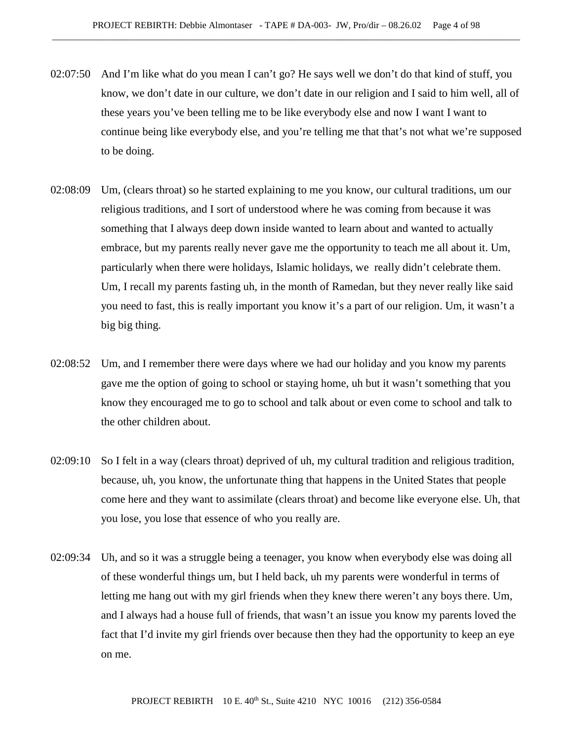- 02:07:50 And I'm like what do you mean I can't go? He says well we don't do that kind of stuff, you know, we don't date in our culture, we don't date in our religion and I said to him well, all of these years you've been telling me to be like everybody else and now I want I want to continue being like everybody else, and you're telling me that that's not what we're supposed to be doing.
- 02:08:09 Um, (clears throat) so he started explaining to me you know, our cultural traditions, um our religious traditions, and I sort of understood where he was coming from because it was something that I always deep down inside wanted to learn about and wanted to actually embrace, but my parents really never gave me the opportunity to teach me all about it. Um, particularly when there were holidays, Islamic holidays, we really didn't celebrate them. Um, I recall my parents fasting uh, in the month of Ramedan, but they never really like said you need to fast, this is really important you know it's a part of our religion. Um, it wasn't a big big thing.
- 02:08:52 Um, and I remember there were days where we had our holiday and you know my parents gave me the option of going to school or staying home, uh but it wasn't something that you know they encouraged me to go to school and talk about or even come to school and talk to the other children about.
- 02:09:10 So I felt in a way (clears throat) deprived of uh, my cultural tradition and religious tradition, because, uh, you know, the unfortunate thing that happens in the United States that people come here and they want to assimilate (clears throat) and become like everyone else. Uh, that you lose, you lose that essence of who you really are.
- 02:09:34 Uh, and so it was a struggle being a teenager, you know when everybody else was doing all of these wonderful things um, but I held back, uh my parents were wonderful in terms of letting me hang out with my girl friends when they knew there weren't any boys there. Um, and I always had a house full of friends, that wasn't an issue you know my parents loved the fact that I'd invite my girl friends over because then they had the opportunity to keep an eye on me.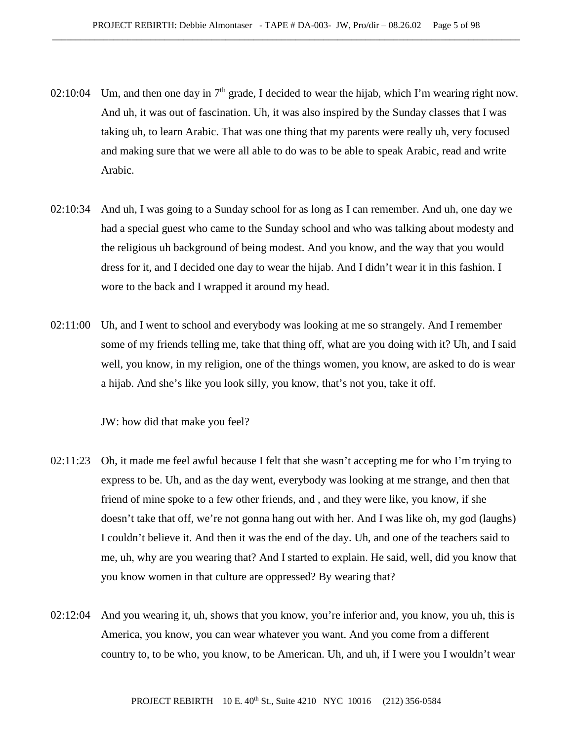- 02:10:04 Um, and then one day in  $7<sup>th</sup>$  grade, I decided to wear the hijab, which I'm wearing right now. And uh, it was out of fascination. Uh, it was also inspired by the Sunday classes that I was taking uh, to learn Arabic. That was one thing that my parents were really uh, very focused and making sure that we were all able to do was to be able to speak Arabic, read and write Arabic.
- 02:10:34 And uh, I was going to a Sunday school for as long as I can remember. And uh, one day we had a special guest who came to the Sunday school and who was talking about modesty and the religious uh background of being modest. And you know, and the way that you would dress for it, and I decided one day to wear the hijab. And I didn't wear it in this fashion. I wore to the back and I wrapped it around my head.
- 02:11:00 Uh, and I went to school and everybody was looking at me so strangely. And I remember some of my friends telling me, take that thing off, what are you doing with it? Uh, and I said well, you know, in my religion, one of the things women, you know, are asked to do is wear a hijab. And she's like you look silly, you know, that's not you, take it off.

JW: how did that make you feel?

- 02:11:23 Oh, it made me feel awful because I felt that she wasn't accepting me for who I'm trying to express to be. Uh, and as the day went, everybody was looking at me strange, and then that friend of mine spoke to a few other friends, and , and they were like, you know, if she doesn't take that off, we're not gonna hang out with her. And I was like oh, my god (laughs) I couldn't believe it. And then it was the end of the day. Uh, and one of the teachers said to me, uh, why are you wearing that? And I started to explain. He said, well, did you know that you know women in that culture are oppressed? By wearing that?
- 02:12:04 And you wearing it, uh, shows that you know, you're inferior and, you know, you uh, this is America, you know, you can wear whatever you want. And you come from a different country to, to be who, you know, to be American. Uh, and uh, if I were you I wouldn't wear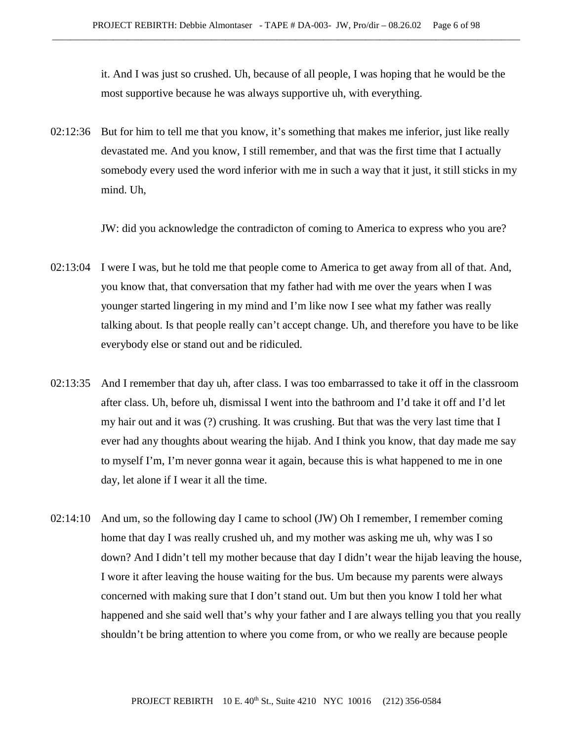it. And I was just so crushed. Uh, because of all people, I was hoping that he would be the most supportive because he was always supportive uh, with everything.

02:12:36 But for him to tell me that you know, it's something that makes me inferior, just like really devastated me. And you know, I still remember, and that was the first time that I actually somebody every used the word inferior with me in such a way that it just, it still sticks in my mind. Uh,

JW: did you acknowledge the contradicton of coming to America to express who you are?

- 02:13:04 I were I was, but he told me that people come to America to get away from all of that. And, you know that, that conversation that my father had with me over the years when I was younger started lingering in my mind and I'm like now I see what my father was really talking about. Is that people really can't accept change. Uh, and therefore you have to be like everybody else or stand out and be ridiculed.
- 02:13:35 And I remember that day uh, after class. I was too embarrassed to take it off in the classroom after class. Uh, before uh, dismissal I went into the bathroom and I'd take it off and I'd let my hair out and it was (?) crushing. It was crushing. But that was the very last time that I ever had any thoughts about wearing the hijab. And I think you know, that day made me say to myself I'm, I'm never gonna wear it again, because this is what happened to me in one day, let alone if I wear it all the time.
- 02:14:10 And um, so the following day I came to school (JW) Oh I remember, I remember coming home that day I was really crushed uh, and my mother was asking me uh, why was I so down? And I didn't tell my mother because that day I didn't wear the hijab leaving the house, I wore it after leaving the house waiting for the bus. Um because my parents were always concerned with making sure that I don't stand out. Um but then you know I told her what happened and she said well that's why your father and I are always telling you that you really shouldn't be bring attention to where you come from, or who we really are because people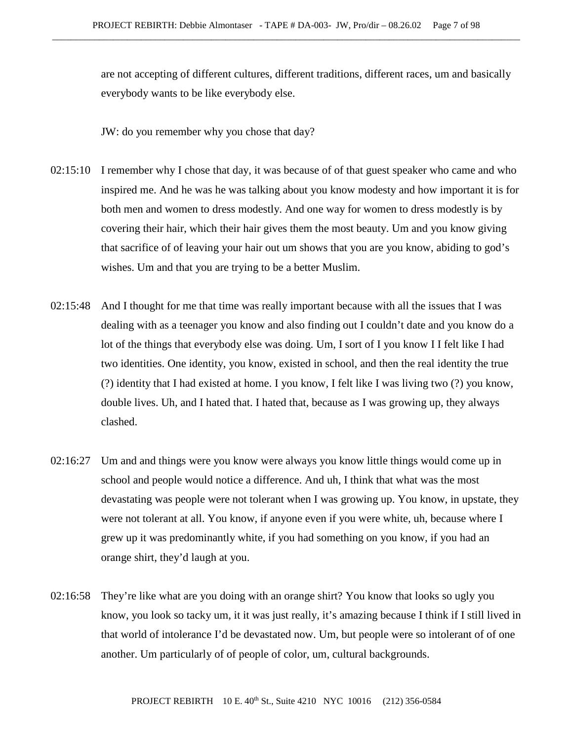are not accepting of different cultures, different traditions, different races, um and basically everybody wants to be like everybody else.

JW: do you remember why you chose that day?

- 02:15:10 I remember why I chose that day, it was because of of that guest speaker who came and who inspired me. And he was he was talking about you know modesty and how important it is for both men and women to dress modestly. And one way for women to dress modestly is by covering their hair, which their hair gives them the most beauty. Um and you know giving that sacrifice of of leaving your hair out um shows that you are you know, abiding to god's wishes. Um and that you are trying to be a better Muslim.
- 02:15:48 And I thought for me that time was really important because with all the issues that I was dealing with as a teenager you know and also finding out I couldn't date and you know do a lot of the things that everybody else was doing. Um, I sort of I you know I I felt like I had two identities. One identity, you know, existed in school, and then the real identity the true (?) identity that I had existed at home. I you know, I felt like I was living two (?) you know, double lives. Uh, and I hated that. I hated that, because as I was growing up, they always clashed.
- 02:16:27 Um and and things were you know were always you know little things would come up in school and people would notice a difference. And uh, I think that what was the most devastating was people were not tolerant when I was growing up. You know, in upstate, they were not tolerant at all. You know, if anyone even if you were white, uh, because where I grew up it was predominantly white, if you had something on you know, if you had an orange shirt, they'd laugh at you.
- 02:16:58 They're like what are you doing with an orange shirt? You know that looks so ugly you know, you look so tacky um, it it was just really, it's amazing because I think if I still lived in that world of intolerance I'd be devastated now. Um, but people were so intolerant of of one another. Um particularly of of people of color, um, cultural backgrounds.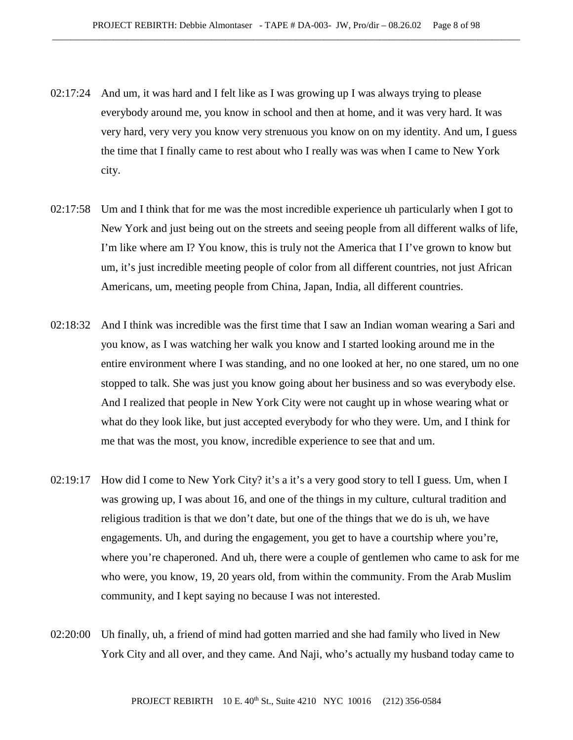- 02:17:24 And um, it was hard and I felt like as I was growing up I was always trying to please everybody around me, you know in school and then at home, and it was very hard. It was very hard, very very you know very strenuous you know on on my identity. And um, I guess the time that I finally came to rest about who I really was was when I came to New York city.
- 02:17:58 Um and I think that for me was the most incredible experience uh particularly when I got to New York and just being out on the streets and seeing people from all different walks of life, I'm like where am I? You know, this is truly not the America that I I've grown to know but um, it's just incredible meeting people of color from all different countries, not just African Americans, um, meeting people from China, Japan, India, all different countries.
- 02:18:32 And I think was incredible was the first time that I saw an Indian woman wearing a Sari and you know, as I was watching her walk you know and I started looking around me in the entire environment where I was standing, and no one looked at her, no one stared, um no one stopped to talk. She was just you know going about her business and so was everybody else. And I realized that people in New York City were not caught up in whose wearing what or what do they look like, but just accepted everybody for who they were. Um, and I think for me that was the most, you know, incredible experience to see that and um.
- 02:19:17 How did I come to New York City? it's a it's a very good story to tell I guess. Um, when I was growing up, I was about 16, and one of the things in my culture, cultural tradition and religious tradition is that we don't date, but one of the things that we do is uh, we have engagements. Uh, and during the engagement, you get to have a courtship where you're, where you're chaperoned. And uh, there were a couple of gentlemen who came to ask for me who were, you know, 19, 20 years old, from within the community. From the Arab Muslim community, and I kept saying no because I was not interested.
- 02:20:00 Uh finally, uh, a friend of mind had gotten married and she had family who lived in New York City and all over, and they came. And Naji, who's actually my husband today came to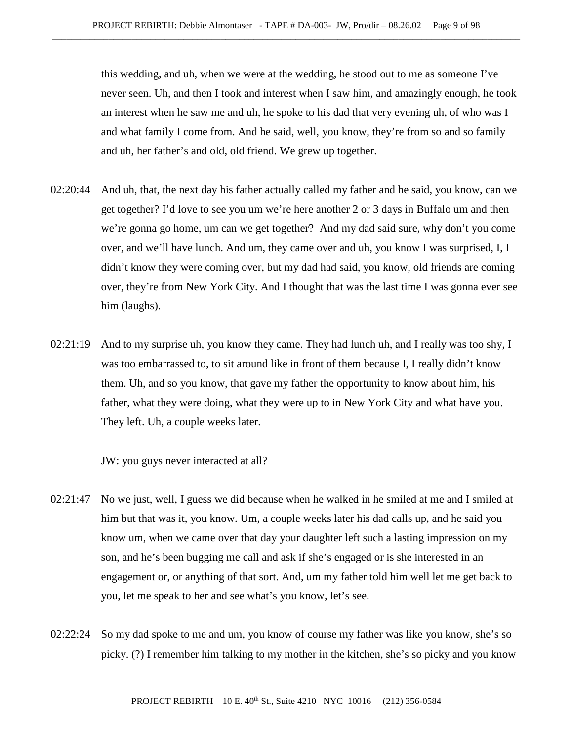this wedding, and uh, when we were at the wedding, he stood out to me as someone I've never seen. Uh, and then I took and interest when I saw him, and amazingly enough, he took an interest when he saw me and uh, he spoke to his dad that very evening uh, of who was I and what family I come from. And he said, well, you know, they're from so and so family and uh, her father's and old, old friend. We grew up together.

- 02:20:44 And uh, that, the next day his father actually called my father and he said, you know, can we get together? I'd love to see you um we're here another 2 or 3 days in Buffalo um and then we're gonna go home, um can we get together? And my dad said sure, why don't you come over, and we'll have lunch. And um, they came over and uh, you know I was surprised, I, I didn't know they were coming over, but my dad had said, you know, old friends are coming over, they're from New York City. And I thought that was the last time I was gonna ever see him (laughs).
- 02:21:19 And to my surprise uh, you know they came. They had lunch uh, and I really was too shy, I was too embarrassed to, to sit around like in front of them because I, I really didn't know them. Uh, and so you know, that gave my father the opportunity to know about him, his father, what they were doing, what they were up to in New York City and what have you. They left. Uh, a couple weeks later.

JW: you guys never interacted at all?

- 02:21:47 No we just, well, I guess we did because when he walked in he smiled at me and I smiled at him but that was it, you know. Um, a couple weeks later his dad calls up, and he said you know um, when we came over that day your daughter left such a lasting impression on my son, and he's been bugging me call and ask if she's engaged or is she interested in an engagement or, or anything of that sort. And, um my father told him well let me get back to you, let me speak to her and see what's you know, let's see.
- 02:22:24 So my dad spoke to me and um, you know of course my father was like you know, she's so picky. (?) I remember him talking to my mother in the kitchen, she's so picky and you know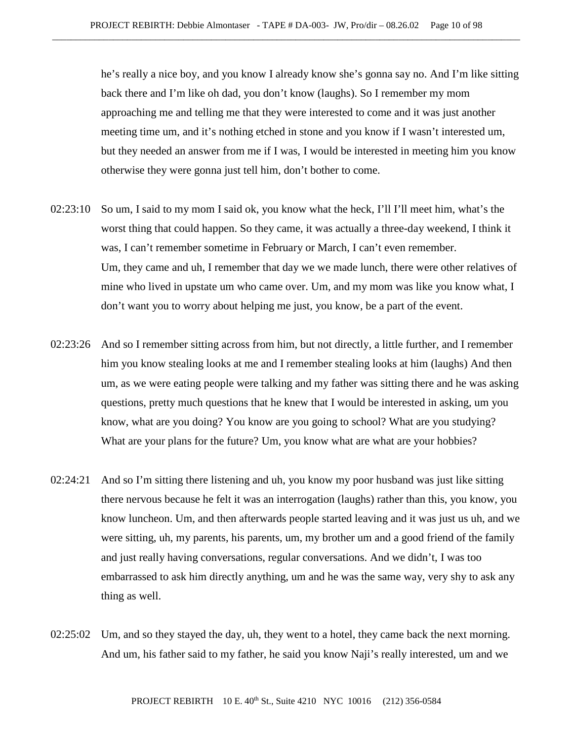he's really a nice boy, and you know I already know she's gonna say no. And I'm like sitting back there and I'm like oh dad, you don't know (laughs). So I remember my mom approaching me and telling me that they were interested to come and it was just another meeting time um, and it's nothing etched in stone and you know if I wasn't interested um, but they needed an answer from me if I was, I would be interested in meeting him you know otherwise they were gonna just tell him, don't bother to come.

- 02:23:10 So um, I said to my mom I said ok, you know what the heck, I'll I'll meet him, what's the worst thing that could happen. So they came, it was actually a three-day weekend, I think it was, I can't remember sometime in February or March, I can't even remember. Um, they came and uh, I remember that day we we made lunch, there were other relatives of mine who lived in upstate um who came over. Um, and my mom was like you know what, I don't want you to worry about helping me just, you know, be a part of the event.
- 02:23:26 And so I remember sitting across from him, but not directly, a little further, and I remember him you know stealing looks at me and I remember stealing looks at him (laughs) And then um, as we were eating people were talking and my father was sitting there and he was asking questions, pretty much questions that he knew that I would be interested in asking, um you know, what are you doing? You know are you going to school? What are you studying? What are your plans for the future? Um, you know what are what are your hobbies?
- 02:24:21 And so I'm sitting there listening and uh, you know my poor husband was just like sitting there nervous because he felt it was an interrogation (laughs) rather than this, you know, you know luncheon. Um, and then afterwards people started leaving and it was just us uh, and we were sitting, uh, my parents, his parents, um, my brother um and a good friend of the family and just really having conversations, regular conversations. And we didn't, I was too embarrassed to ask him directly anything, um and he was the same way, very shy to ask any thing as well.
- 02:25:02 Um, and so they stayed the day, uh, they went to a hotel, they came back the next morning. And um, his father said to my father, he said you know Naji's really interested, um and we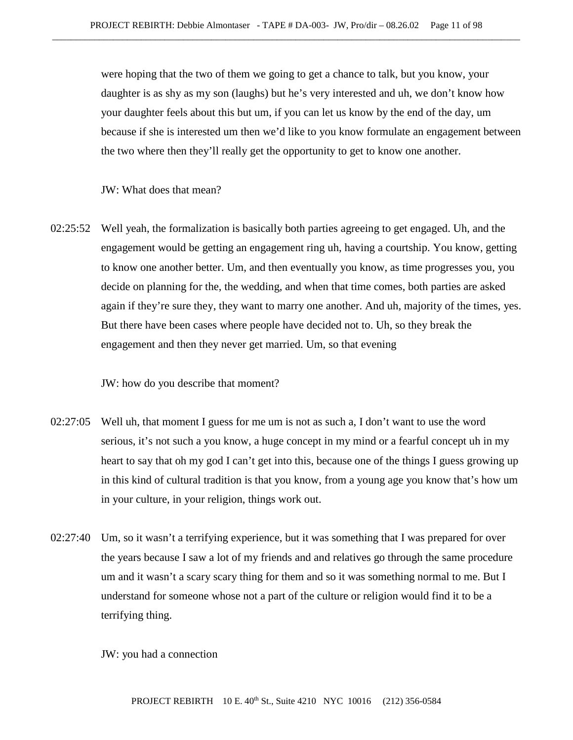were hoping that the two of them we going to get a chance to talk, but you know, your daughter is as shy as my son (laughs) but he's very interested and uh, we don't know how your daughter feels about this but um, if you can let us know by the end of the day, um because if she is interested um then we'd like to you know formulate an engagement between the two where then they'll really get the opportunity to get to know one another.

JW: What does that mean?

02:25:52 Well yeah, the formalization is basically both parties agreeing to get engaged. Uh, and the engagement would be getting an engagement ring uh, having a courtship. You know, getting to know one another better. Um, and then eventually you know, as time progresses you, you decide on planning for the, the wedding, and when that time comes, both parties are asked again if they're sure they, they want to marry one another. And uh, majority of the times, yes. But there have been cases where people have decided not to. Uh, so they break the engagement and then they never get married. Um, so that evening

JW: how do you describe that moment?

- 02:27:05 Well uh, that moment I guess for me um is not as such a, I don't want to use the word serious, it's not such a you know, a huge concept in my mind or a fearful concept uh in my heart to say that oh my god I can't get into this, because one of the things I guess growing up in this kind of cultural tradition is that you know, from a young age you know that's how um in your culture, in your religion, things work out.
- 02:27:40 Um, so it wasn't a terrifying experience, but it was something that I was prepared for over the years because I saw a lot of my friends and and relatives go through the same procedure um and it wasn't a scary scary thing for them and so it was something normal to me. But I understand for someone whose not a part of the culture or religion would find it to be a terrifying thing.

JW: you had a connection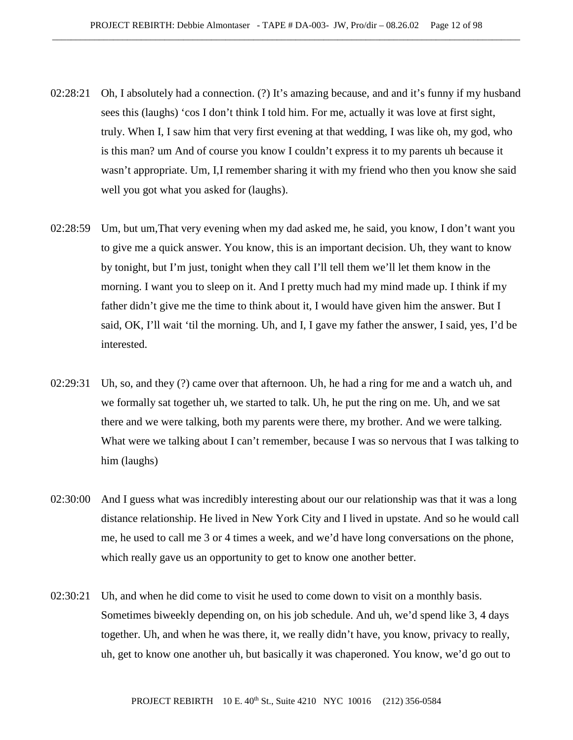- 02:28:21 Oh, I absolutely had a connection. (?) It's amazing because, and and it's funny if my husband sees this (laughs) 'cos I don't think I told him. For me, actually it was love at first sight, truly. When I, I saw him that very first evening at that wedding, I was like oh, my god, who is this man? um And of course you know I couldn't express it to my parents uh because it wasn't appropriate. Um, I,I remember sharing it with my friend who then you know she said well you got what you asked for (laughs).
- 02:28:59 Um, but um,That very evening when my dad asked me, he said, you know, I don't want you to give me a quick answer. You know, this is an important decision. Uh, they want to know by tonight, but I'm just, tonight when they call I'll tell them we'll let them know in the morning. I want you to sleep on it. And I pretty much had my mind made up. I think if my father didn't give me the time to think about it, I would have given him the answer. But I said, OK, I'll wait 'til the morning. Uh, and I, I gave my father the answer, I said, yes, I'd be interested.
- 02:29:31 Uh, so, and they (?) came over that afternoon. Uh, he had a ring for me and a watch uh, and we formally sat together uh, we started to talk. Uh, he put the ring on me. Uh, and we sat there and we were talking, both my parents were there, my brother. And we were talking. What were we talking about I can't remember, because I was so nervous that I was talking to him (laughs)
- 02:30:00 And I guess what was incredibly interesting about our our relationship was that it was a long distance relationship. He lived in New York City and I lived in upstate. And so he would call me, he used to call me 3 or 4 times a week, and we'd have long conversations on the phone, which really gave us an opportunity to get to know one another better.
- 02:30:21 Uh, and when he did come to visit he used to come down to visit on a monthly basis. Sometimes biweekly depending on, on his job schedule. And uh, we'd spend like 3, 4 days together. Uh, and when he was there, it, we really didn't have, you know, privacy to really, uh, get to know one another uh, but basically it was chaperoned. You know, we'd go out to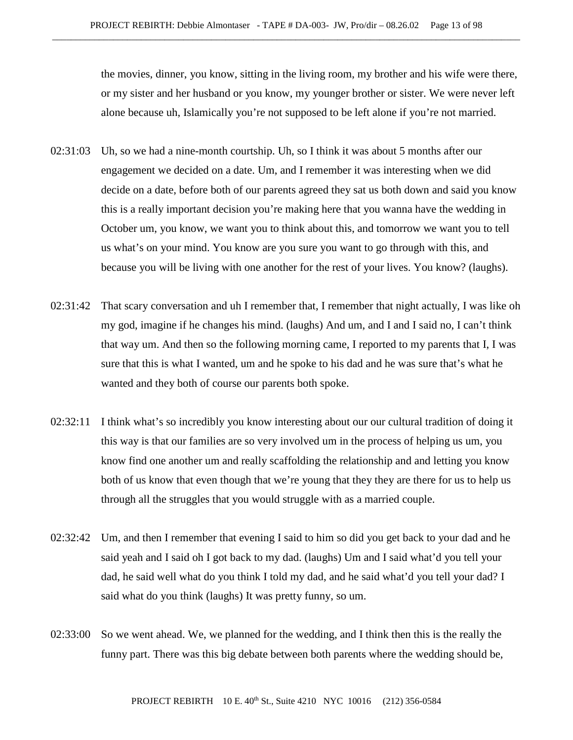the movies, dinner, you know, sitting in the living room, my brother and his wife were there, or my sister and her husband or you know, my younger brother or sister. We were never left alone because uh, Islamically you're not supposed to be left alone if you're not married.

- 02:31:03 Uh, so we had a nine-month courtship. Uh, so I think it was about 5 months after our engagement we decided on a date. Um, and I remember it was interesting when we did decide on a date, before both of our parents agreed they sat us both down and said you know this is a really important decision you're making here that you wanna have the wedding in October um, you know, we want you to think about this, and tomorrow we want you to tell us what's on your mind. You know are you sure you want to go through with this, and because you will be living with one another for the rest of your lives. You know? (laughs).
- 02:31:42 That scary conversation and uh I remember that, I remember that night actually, I was like oh my god, imagine if he changes his mind. (laughs) And um, and I and I said no, I can't think that way um. And then so the following morning came, I reported to my parents that I, I was sure that this is what I wanted, um and he spoke to his dad and he was sure that's what he wanted and they both of course our parents both spoke.
- 02:32:11 I think what's so incredibly you know interesting about our our cultural tradition of doing it this way is that our families are so very involved um in the process of helping us um, you know find one another um and really scaffolding the relationship and and letting you know both of us know that even though that we're young that they they are there for us to help us through all the struggles that you would struggle with as a married couple.
- 02:32:42 Um, and then I remember that evening I said to him so did you get back to your dad and he said yeah and I said oh I got back to my dad. (laughs) Um and I said what'd you tell your dad, he said well what do you think I told my dad, and he said what'd you tell your dad? I said what do you think (laughs) It was pretty funny, so um.
- 02:33:00 So we went ahead. We, we planned for the wedding, and I think then this is the really the funny part. There was this big debate between both parents where the wedding should be,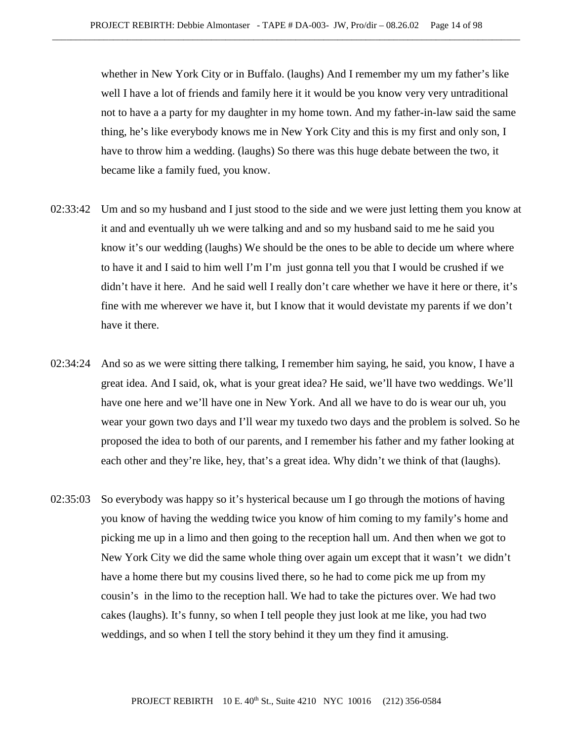whether in New York City or in Buffalo. (laughs) And I remember my um my father's like well I have a lot of friends and family here it it would be you know very very untraditional not to have a a party for my daughter in my home town. And my father-in-law said the same thing, he's like everybody knows me in New York City and this is my first and only son, I have to throw him a wedding. (laughs) So there was this huge debate between the two, it became like a family fued, you know.

- 02:33:42 Um and so my husband and I just stood to the side and we were just letting them you know at it and and eventually uh we were talking and and so my husband said to me he said you know it's our wedding (laughs) We should be the ones to be able to decide um where where to have it and I said to him well I'm I'm just gonna tell you that I would be crushed if we didn't have it here. And he said well I really don't care whether we have it here or there, it's fine with me wherever we have it, but I know that it would devistate my parents if we don't have it there.
- 02:34:24 And so as we were sitting there talking, I remember him saying, he said, you know, I have a great idea. And I said, ok, what is your great idea? He said, we'll have two weddings. We'll have one here and we'll have one in New York. And all we have to do is wear our uh, you wear your gown two days and I'll wear my tuxedo two days and the problem is solved. So he proposed the idea to both of our parents, and I remember his father and my father looking at each other and they're like, hey, that's a great idea. Why didn't we think of that (laughs).
- 02:35:03 So everybody was happy so it's hysterical because um I go through the motions of having you know of having the wedding twice you know of him coming to my family's home and picking me up in a limo and then going to the reception hall um. And then when we got to New York City we did the same whole thing over again um except that it wasn't we didn't have a home there but my cousins lived there, so he had to come pick me up from my cousin's in the limo to the reception hall. We had to take the pictures over. We had two cakes (laughs). It's funny, so when I tell people they just look at me like, you had two weddings, and so when I tell the story behind it they um they find it amusing.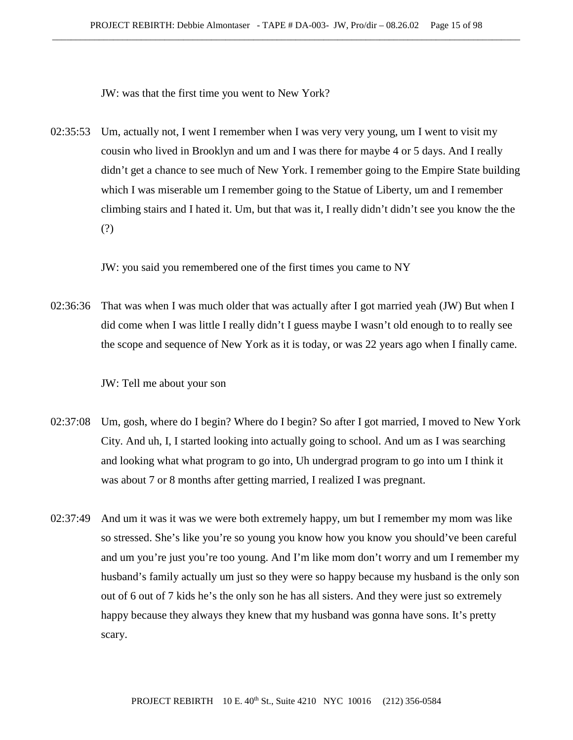JW: was that the first time you went to New York?

02:35:53 Um, actually not, I went I remember when I was very very young, um I went to visit my cousin who lived in Brooklyn and um and I was there for maybe 4 or 5 days. And I really didn't get a chance to see much of New York. I remember going to the Empire State building which I was miserable um I remember going to the Statue of Liberty, um and I remember climbing stairs and I hated it. Um, but that was it, I really didn't didn't see you know the the (?)

JW: you said you remembered one of the first times you came to NY

02:36:36 That was when I was much older that was actually after I got married yeah (JW) But when I did come when I was little I really didn't I guess maybe I wasn't old enough to to really see the scope and sequence of New York as it is today, or was 22 years ago when I finally came.

JW: Tell me about your son

- 02:37:08 Um, gosh, where do I begin? Where do I begin? So after I got married, I moved to New York City. And uh, I, I started looking into actually going to school. And um as I was searching and looking what what program to go into, Uh undergrad program to go into um I think it was about 7 or 8 months after getting married, I realized I was pregnant.
- 02:37:49 And um it was it was we were both extremely happy, um but I remember my mom was like so stressed. She's like you're so young you know how you know you should've been careful and um you're just you're too young. And I'm like mom don't worry and um I remember my husband's family actually um just so they were so happy because my husband is the only son out of 6 out of 7 kids he's the only son he has all sisters. And they were just so extremely happy because they always they knew that my husband was gonna have sons. It's pretty scary.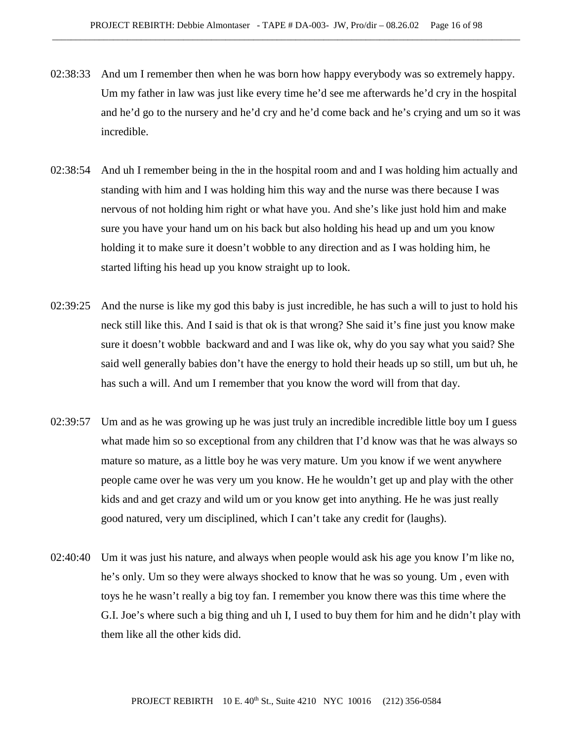- 02:38:33 And um I remember then when he was born how happy everybody was so extremely happy. Um my father in law was just like every time he'd see me afterwards he'd cry in the hospital and he'd go to the nursery and he'd cry and he'd come back and he's crying and um so it was incredible.
- 02:38:54 And uh I remember being in the in the hospital room and and I was holding him actually and standing with him and I was holding him this way and the nurse was there because I was nervous of not holding him right or what have you. And she's like just hold him and make sure you have your hand um on his back but also holding his head up and um you know holding it to make sure it doesn't wobble to any direction and as I was holding him, he started lifting his head up you know straight up to look.
- 02:39:25 And the nurse is like my god this baby is just incredible, he has such a will to just to hold his neck still like this. And I said is that ok is that wrong? She said it's fine just you know make sure it doesn't wobble backward and and I was like ok, why do you say what you said? She said well generally babies don't have the energy to hold their heads up so still, um but uh, he has such a will. And um I remember that you know the word will from that day.
- 02:39:57 Um and as he was growing up he was just truly an incredible incredible little boy um I guess what made him so so exceptional from any children that I'd know was that he was always so mature so mature, as a little boy he was very mature. Um you know if we went anywhere people came over he was very um you know. He he wouldn't get up and play with the other kids and and get crazy and wild um or you know get into anything. He he was just really good natured, very um disciplined, which I can't take any credit for (laughs).
- 02:40:40 Um it was just his nature, and always when people would ask his age you know I'm like no, he's only. Um so they were always shocked to know that he was so young. Um , even with toys he he wasn't really a big toy fan. I remember you know there was this time where the G.I. Joe's where such a big thing and uh I, I used to buy them for him and he didn't play with them like all the other kids did.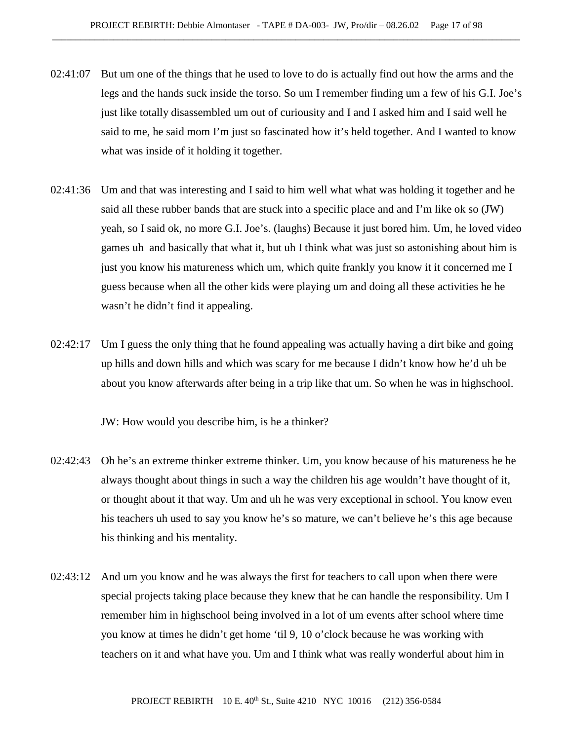- 02:41:07 But um one of the things that he used to love to do is actually find out how the arms and the legs and the hands suck inside the torso. So um I remember finding um a few of his G.I. Joe's just like totally disassembled um out of curiousity and I and I asked him and I said well he said to me, he said mom I'm just so fascinated how it's held together. And I wanted to know what was inside of it holding it together.
- 02:41:36 Um and that was interesting and I said to him well what what was holding it together and he said all these rubber bands that are stuck into a specific place and and I'm like ok so (JW) yeah, so I said ok, no more G.I. Joe's. (laughs) Because it just bored him. Um, he loved video games uh and basically that what it, but uh I think what was just so astonishing about him is just you know his matureness which um, which quite frankly you know it it concerned me I guess because when all the other kids were playing um and doing all these activities he he wasn't he didn't find it appealing.
- 02:42:17 Um I guess the only thing that he found appealing was actually having a dirt bike and going up hills and down hills and which was scary for me because I didn't know how he'd uh be about you know afterwards after being in a trip like that um. So when he was in highschool.

JW: How would you describe him, is he a thinker?

- 02:42:43 Oh he's an extreme thinker extreme thinker. Um, you know because of his matureness he he always thought about things in such a way the children his age wouldn't have thought of it, or thought about it that way. Um and uh he was very exceptional in school. You know even his teachers uh used to say you know he's so mature, we can't believe he's this age because his thinking and his mentality.
- 02:43:12 And um you know and he was always the first for teachers to call upon when there were special projects taking place because they knew that he can handle the responsibility. Um I remember him in highschool being involved in a lot of um events after school where time you know at times he didn't get home 'til 9, 10 o'clock because he was working with teachers on it and what have you. Um and I think what was really wonderful about him in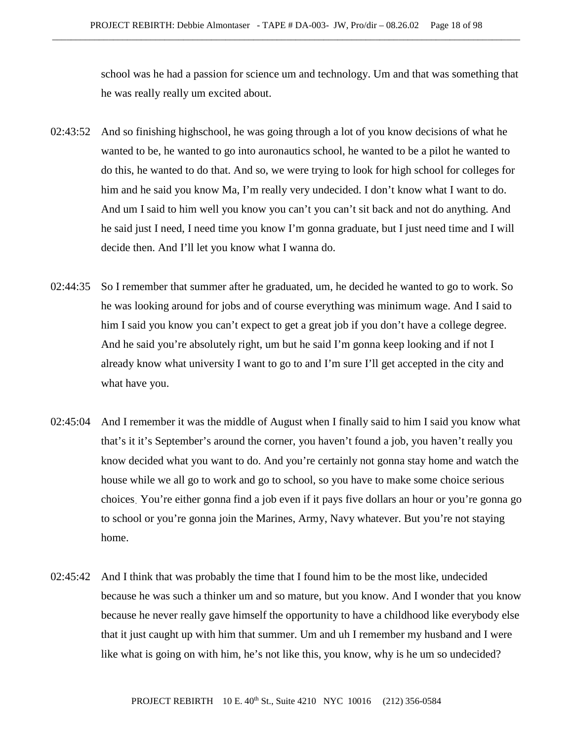school was he had a passion for science um and technology. Um and that was something that he was really really um excited about.

- 02:43:52 And so finishing highschool, he was going through a lot of you know decisions of what he wanted to be, he wanted to go into auronautics school, he wanted to be a pilot he wanted to do this, he wanted to do that. And so, we were trying to look for high school for colleges for him and he said you know Ma, I'm really very undecided. I don't know what I want to do. And um I said to him well you know you can't you can't sit back and not do anything. And he said just I need, I need time you know I'm gonna graduate, but I just need time and I will decide then. And I'll let you know what I wanna do.
- 02:44:35 So I remember that summer after he graduated, um, he decided he wanted to go to work. So he was looking around for jobs and of course everything was minimum wage. And I said to him I said you know you can't expect to get a great job if you don't have a college degree. And he said you're absolutely right, um but he said I'm gonna keep looking and if not I already know what university I want to go to and I'm sure I'll get accepted in the city and what have you.
- 02:45:04 And I remember it was the middle of August when I finally said to him I said you know what that's it it's September's around the corner, you haven't found a job, you haven't really you know decided what you want to do. And you're certainly not gonna stay home and watch the house while we all go to work and go to school, so you have to make some choice serious choices. You're either gonna find a job even if it pays five dollars an hour or you're gonna go to school or you're gonna join the Marines, Army, Navy whatever. But you're not staying home.
- 02:45:42 And I think that was probably the time that I found him to be the most like, undecided because he was such a thinker um and so mature, but you know. And I wonder that you know because he never really gave himself the opportunity to have a childhood like everybody else that it just caught up with him that summer. Um and uh I remember my husband and I were like what is going on with him, he's not like this, you know, why is he um so undecided?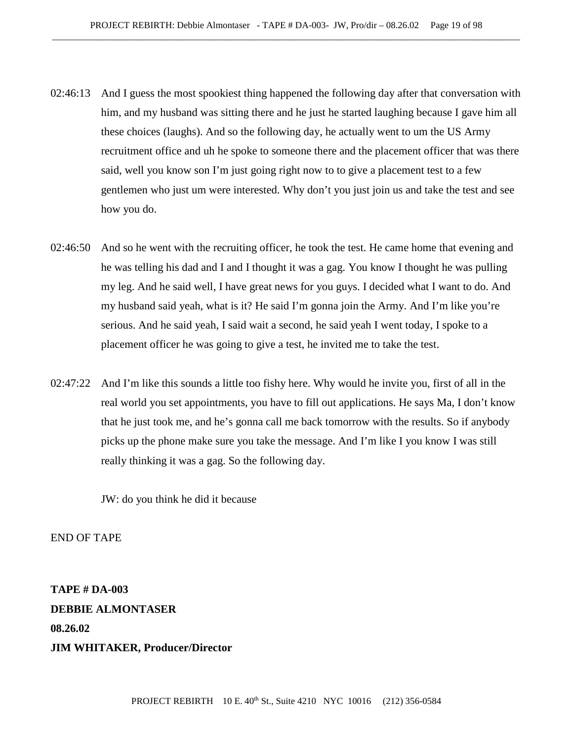- 02:46:13 And I guess the most spookiest thing happened the following day after that conversation with him, and my husband was sitting there and he just he started laughing because I gave him all these choices (laughs). And so the following day, he actually went to um the US Army recruitment office and uh he spoke to someone there and the placement officer that was there said, well you know son I'm just going right now to to give a placement test to a few gentlemen who just um were interested. Why don't you just join us and take the test and see how you do.
- 02:46:50 And so he went with the recruiting officer, he took the test. He came home that evening and he was telling his dad and I and I thought it was a gag. You know I thought he was pulling my leg. And he said well, I have great news for you guys. I decided what I want to do. And my husband said yeah, what is it? He said I'm gonna join the Army. And I'm like you're serious. And he said yeah, I said wait a second, he said yeah I went today, I spoke to a placement officer he was going to give a test, he invited me to take the test.
- 02:47:22 And I'm like this sounds a little too fishy here. Why would he invite you, first of all in the real world you set appointments, you have to fill out applications. He says Ma, I don't know that he just took me, and he's gonna call me back tomorrow with the results. So if anybody picks up the phone make sure you take the message. And I'm like I you know I was still really thinking it was a gag. So the following day.

JW: do you think he did it because

END OF TAPE

**TAPE # DA-003 DEBBIE ALMONTASER 08.26.02 JIM WHITAKER, Producer/Director**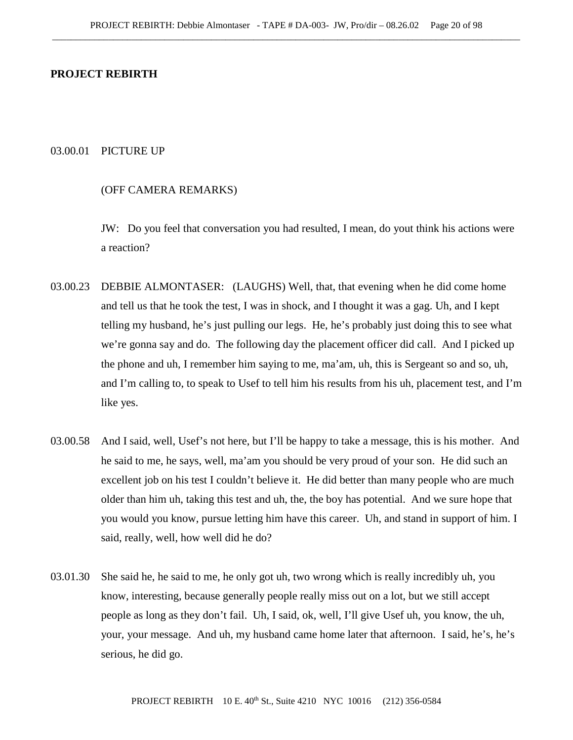## **PROJECT REBIRTH**

## 03.00.01 PICTURE UP

## (OFF CAMERA REMARKS)

JW: Do you feel that conversation you had resulted, I mean, do yout think his actions were a reaction?

- 03.00.23 DEBBIE ALMONTASER: (LAUGHS) Well, that, that evening when he did come home and tell us that he took the test, I was in shock, and I thought it was a gag. Uh, and I kept telling my husband, he's just pulling our legs. He, he's probably just doing this to see what we're gonna say and do. The following day the placement officer did call. And I picked up the phone and uh, I remember him saying to me, ma'am, uh, this is Sergeant so and so, uh, and I'm calling to, to speak to Usef to tell him his results from his uh, placement test, and I'm like yes.
- 03.00.58 And I said, well, Usef's not here, but I'll be happy to take a message, this is his mother. And he said to me, he says, well, ma'am you should be very proud of your son. He did such an excellent job on his test I couldn't believe it. He did better than many people who are much older than him uh, taking this test and uh, the, the boy has potential. And we sure hope that you would you know, pursue letting him have this career. Uh, and stand in support of him. I said, really, well, how well did he do?
- 03.01.30 She said he, he said to me, he only got uh, two wrong which is really incredibly uh, you know, interesting, because generally people really miss out on a lot, but we still accept people as long as they don't fail. Uh, I said, ok, well, I'll give Usef uh, you know, the uh, your, your message. And uh, my husband came home later that afternoon. I said, he's, he's serious, he did go.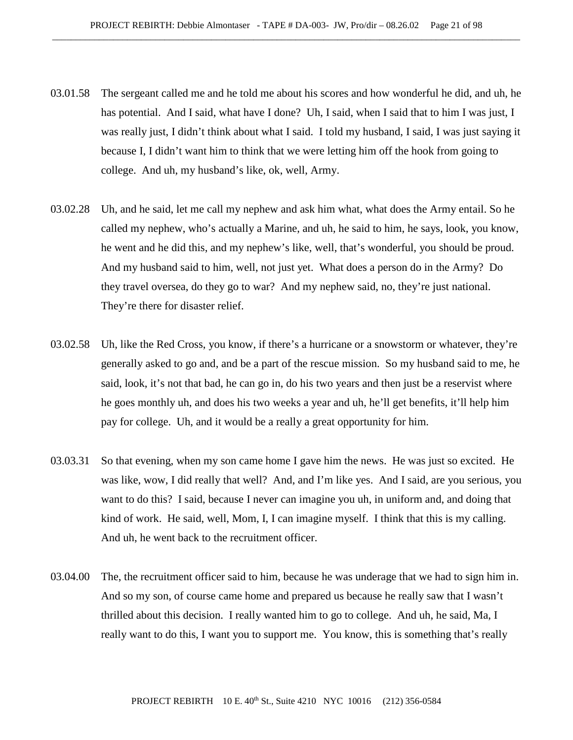- 03.01.58 The sergeant called me and he told me about his scores and how wonderful he did, and uh, he has potential. And I said, what have I done? Uh, I said, when I said that to him I was just, I was really just, I didn't think about what I said. I told my husband, I said, I was just saying it because I, I didn't want him to think that we were letting him off the hook from going to college. And uh, my husband's like, ok, well, Army.
- 03.02.28 Uh, and he said, let me call my nephew and ask him what, what does the Army entail. So he called my nephew, who's actually a Marine, and uh, he said to him, he says, look, you know, he went and he did this, and my nephew's like, well, that's wonderful, you should be proud. And my husband said to him, well, not just yet. What does a person do in the Army? Do they travel oversea, do they go to war? And my nephew said, no, they're just national. They're there for disaster relief.
- 03.02.58 Uh, like the Red Cross, you know, if there's a hurricane or a snowstorm or whatever, they're generally asked to go and, and be a part of the rescue mission. So my husband said to me, he said, look, it's not that bad, he can go in, do his two years and then just be a reservist where he goes monthly uh, and does his two weeks a year and uh, he'll get benefits, it'll help him pay for college. Uh, and it would be a really a great opportunity for him.
- 03.03.31 So that evening, when my son came home I gave him the news. He was just so excited. He was like, wow, I did really that well? And, and I'm like yes. And I said, are you serious, you want to do this? I said, because I never can imagine you uh, in uniform and, and doing that kind of work. He said, well, Mom, I, I can imagine myself. I think that this is my calling. And uh, he went back to the recruitment officer.
- 03.04.00 The, the recruitment officer said to him, because he was underage that we had to sign him in. And so my son, of course came home and prepared us because he really saw that I wasn't thrilled about this decision. I really wanted him to go to college. And uh, he said, Ma, I really want to do this, I want you to support me. You know, this is something that's really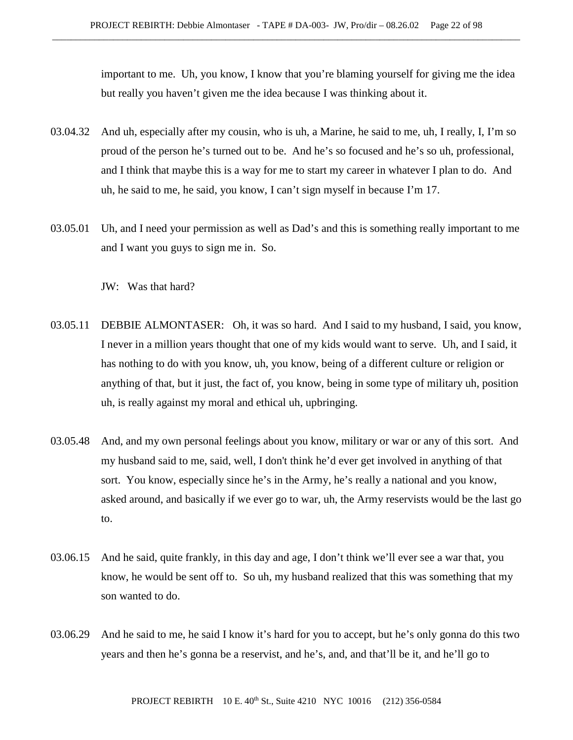important to me. Uh, you know, I know that you're blaming yourself for giving me the idea but really you haven't given me the idea because I was thinking about it.

- 03.04.32 And uh, especially after my cousin, who is uh, a Marine, he said to me, uh, I really, I, I'm so proud of the person he's turned out to be. And he's so focused and he's so uh, professional, and I think that maybe this is a way for me to start my career in whatever I plan to do. And uh, he said to me, he said, you know, I can't sign myself in because I'm 17.
- 03.05.01 Uh, and I need your permission as well as Dad's and this is something really important to me and I want you guys to sign me in. So.

JW: Was that hard?

- 03.05.11 DEBBIE ALMONTASER: Oh, it was so hard. And I said to my husband, I said, you know, I never in a million years thought that one of my kids would want to serve. Uh, and I said, it has nothing to do with you know, uh, you know, being of a different culture or religion or anything of that, but it just, the fact of, you know, being in some type of military uh, position uh, is really against my moral and ethical uh, upbringing.
- 03.05.48 And, and my own personal feelings about you know, military or war or any of this sort. And my husband said to me, said, well, I don't think he'd ever get involved in anything of that sort. You know, especially since he's in the Army, he's really a national and you know, asked around, and basically if we ever go to war, uh, the Army reservists would be the last go to.
- 03.06.15 And he said, quite frankly, in this day and age, I don't think we'll ever see a war that, you know, he would be sent off to. So uh, my husband realized that this was something that my son wanted to do.
- 03.06.29 And he said to me, he said I know it's hard for you to accept, but he's only gonna do this two years and then he's gonna be a reservist, and he's, and, and that'll be it, and he'll go to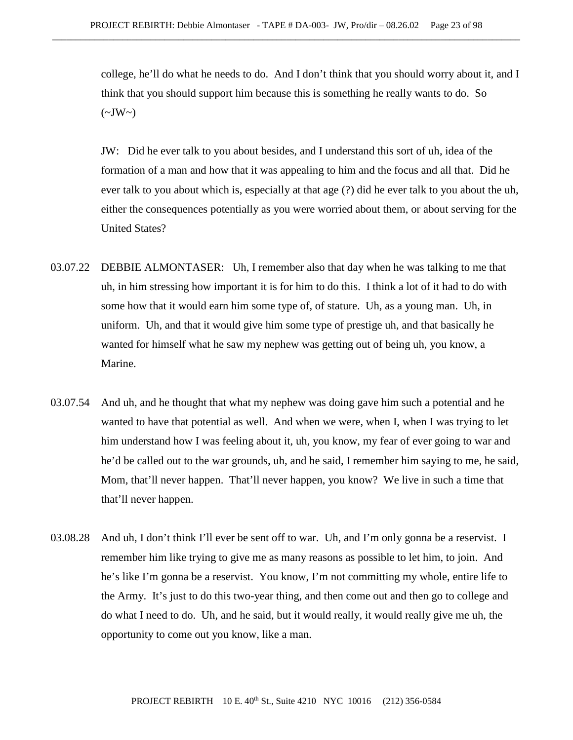college, he'll do what he needs to do. And I don't think that you should worry about it, and I think that you should support him because this is something he really wants to do. So  $(\sim JW \sim)$ 

JW: Did he ever talk to you about besides, and I understand this sort of uh, idea of the formation of a man and how that it was appealing to him and the focus and all that. Did he ever talk to you about which is, especially at that age (?) did he ever talk to you about the uh, either the consequences potentially as you were worried about them, or about serving for the United States?

- 03.07.22 DEBBIE ALMONTASER: Uh, I remember also that day when he was talking to me that uh, in him stressing how important it is for him to do this. I think a lot of it had to do with some how that it would earn him some type of, of stature. Uh, as a young man. Uh, in uniform. Uh, and that it would give him some type of prestige uh, and that basically he wanted for himself what he saw my nephew was getting out of being uh, you know, a Marine.
- 03.07.54 And uh, and he thought that what my nephew was doing gave him such a potential and he wanted to have that potential as well. And when we were, when I, when I was trying to let him understand how I was feeling about it, uh, you know, my fear of ever going to war and he'd be called out to the war grounds, uh, and he said, I remember him saying to me, he said, Mom, that'll never happen. That'll never happen, you know? We live in such a time that that'll never happen.
- 03.08.28 And uh, I don't think I'll ever be sent off to war. Uh, and I'm only gonna be a reservist. I remember him like trying to give me as many reasons as possible to let him, to join. And he's like I'm gonna be a reservist. You know, I'm not committing my whole, entire life to the Army. It's just to do this two-year thing, and then come out and then go to college and do what I need to do. Uh, and he said, but it would really, it would really give me uh, the opportunity to come out you know, like a man.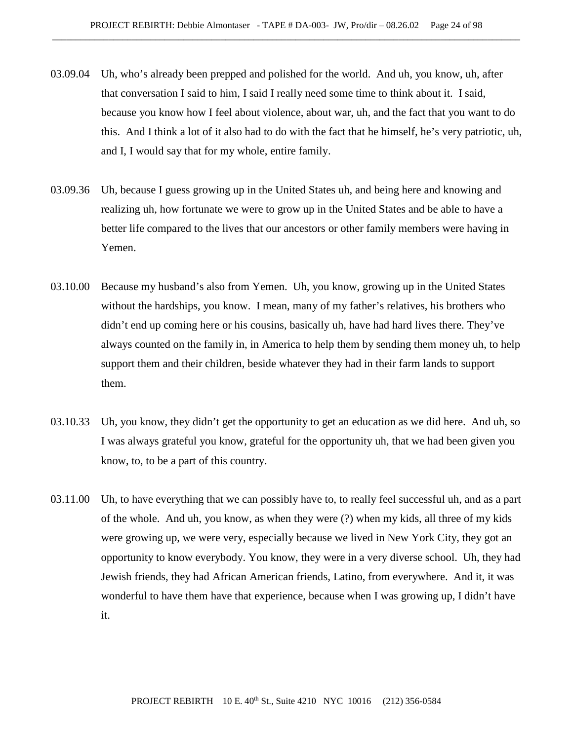- 03.09.04 Uh, who's already been prepped and polished for the world. And uh, you know, uh, after that conversation I said to him, I said I really need some time to think about it. I said, because you know how I feel about violence, about war, uh, and the fact that you want to do this. And I think a lot of it also had to do with the fact that he himself, he's very patriotic, uh, and I, I would say that for my whole, entire family.
- 03.09.36 Uh, because I guess growing up in the United States uh, and being here and knowing and realizing uh, how fortunate we were to grow up in the United States and be able to have a better life compared to the lives that our ancestors or other family members were having in Yemen.
- 03.10.00 Because my husband's also from Yemen. Uh, you know, growing up in the United States without the hardships, you know. I mean, many of my father's relatives, his brothers who didn't end up coming here or his cousins, basically uh, have had hard lives there. They've always counted on the family in, in America to help them by sending them money uh, to help support them and their children, beside whatever they had in their farm lands to support them.
- 03.10.33 Uh, you know, they didn't get the opportunity to get an education as we did here. And uh, so I was always grateful you know, grateful for the opportunity uh, that we had been given you know, to, to be a part of this country.
- 03.11.00 Uh, to have everything that we can possibly have to, to really feel successful uh, and as a part of the whole. And uh, you know, as when they were (?) when my kids, all three of my kids were growing up, we were very, especially because we lived in New York City, they got an opportunity to know everybody. You know, they were in a very diverse school. Uh, they had Jewish friends, they had African American friends, Latino, from everywhere. And it, it was wonderful to have them have that experience, because when I was growing up, I didn't have it.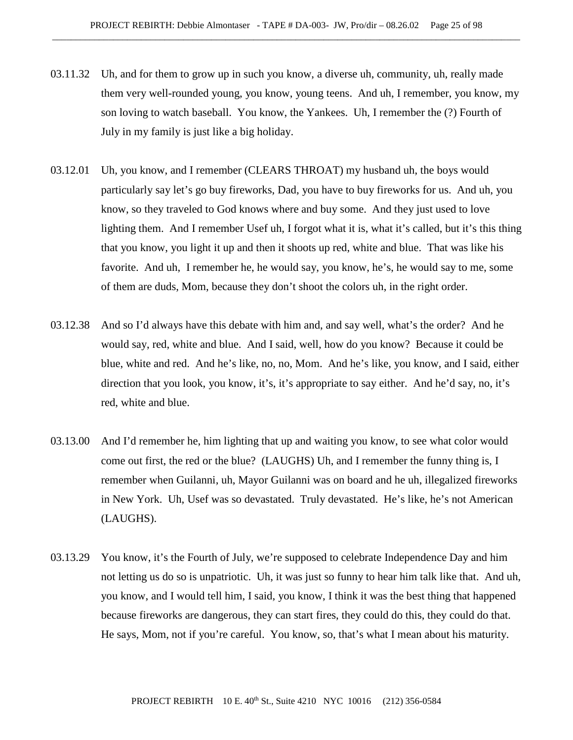- 03.11.32 Uh, and for them to grow up in such you know, a diverse uh, community, uh, really made them very well-rounded young, you know, young teens. And uh, I remember, you know, my son loving to watch baseball. You know, the Yankees. Uh, I remember the (?) Fourth of July in my family is just like a big holiday.
- 03.12.01 Uh, you know, and I remember (CLEARS THROAT) my husband uh, the boys would particularly say let's go buy fireworks, Dad, you have to buy fireworks for us. And uh, you know, so they traveled to God knows where and buy some. And they just used to love lighting them. And I remember Usef uh, I forgot what it is, what it's called, but it's this thing that you know, you light it up and then it shoots up red, white and blue. That was like his favorite. And uh, I remember he, he would say, you know, he's, he would say to me, some of them are duds, Mom, because they don't shoot the colors uh, in the right order.
- 03.12.38 And so I'd always have this debate with him and, and say well, what's the order? And he would say, red, white and blue. And I said, well, how do you know? Because it could be blue, white and red. And he's like, no, no, Mom. And he's like, you know, and I said, either direction that you look, you know, it's, it's appropriate to say either. And he'd say, no, it's red, white and blue.
- 03.13.00 And I'd remember he, him lighting that up and waiting you know, to see what color would come out first, the red or the blue? (LAUGHS) Uh, and I remember the funny thing is, I remember when Guilanni, uh, Mayor Guilanni was on board and he uh, illegalized fireworks in New York. Uh, Usef was so devastated. Truly devastated. He's like, he's not American (LAUGHS).
- 03.13.29 You know, it's the Fourth of July, we're supposed to celebrate Independence Day and him not letting us do so is unpatriotic. Uh, it was just so funny to hear him talk like that. And uh, you know, and I would tell him, I said, you know, I think it was the best thing that happened because fireworks are dangerous, they can start fires, they could do this, they could do that. He says, Mom, not if you're careful. You know, so, that's what I mean about his maturity.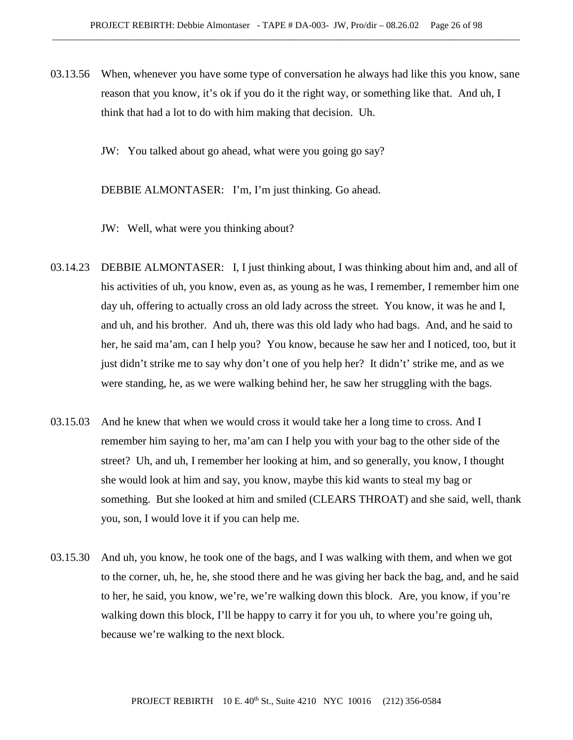03.13.56 When, whenever you have some type of conversation he always had like this you know, sane reason that you know, it's ok if you do it the right way, or something like that. And uh, I think that had a lot to do with him making that decision. Uh.

JW: You talked about go ahead, what were you going go say?

DEBBIE ALMONTASER: I'm, I'm just thinking. Go ahead.

JW: Well, what were you thinking about?

- 03.14.23 DEBBIE ALMONTASER: I, I just thinking about, I was thinking about him and, and all of his activities of uh, you know, even as, as young as he was, I remember, I remember him one day uh, offering to actually cross an old lady across the street. You know, it was he and I, and uh, and his brother. And uh, there was this old lady who had bags. And, and he said to her, he said ma'am, can I help you? You know, because he saw her and I noticed, too, but it just didn't strike me to say why don't one of you help her? It didn't' strike me, and as we were standing, he, as we were walking behind her, he saw her struggling with the bags.
- 03.15.03 And he knew that when we would cross it would take her a long time to cross. And I remember him saying to her, ma'am can I help you with your bag to the other side of the street? Uh, and uh, I remember her looking at him, and so generally, you know, I thought she would look at him and say, you know, maybe this kid wants to steal my bag or something. But she looked at him and smiled (CLEARS THROAT) and she said, well, thank you, son, I would love it if you can help me.
- 03.15.30 And uh, you know, he took one of the bags, and I was walking with them, and when we got to the corner, uh, he, he, she stood there and he was giving her back the bag, and, and he said to her, he said, you know, we're, we're walking down this block. Are, you know, if you're walking down this block, I'll be happy to carry it for you uh, to where you're going uh, because we're walking to the next block.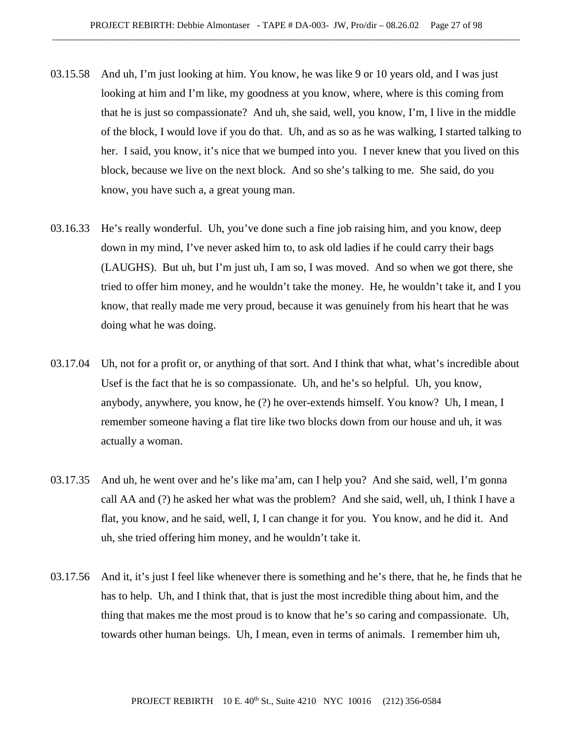- 03.15.58 And uh, I'm just looking at him. You know, he was like 9 or 10 years old, and I was just looking at him and I'm like, my goodness at you know, where, where is this coming from that he is just so compassionate? And uh, she said, well, you know, I'm, I live in the middle of the block, I would love if you do that. Uh, and as so as he was walking, I started talking to her. I said, you know, it's nice that we bumped into you. I never knew that you lived on this block, because we live on the next block. And so she's talking to me. She said, do you know, you have such a, a great young man.
- 03.16.33 He's really wonderful. Uh, you've done such a fine job raising him, and you know, deep down in my mind, I've never asked him to, to ask old ladies if he could carry their bags (LAUGHS). But uh, but I'm just uh, I am so, I was moved. And so when we got there, she tried to offer him money, and he wouldn't take the money. He, he wouldn't take it, and I you know, that really made me very proud, because it was genuinely from his heart that he was doing what he was doing.
- 03.17.04 Uh, not for a profit or, or anything of that sort. And I think that what, what's incredible about Usef is the fact that he is so compassionate. Uh, and he's so helpful. Uh, you know, anybody, anywhere, you know, he (?) he over-extends himself. You know? Uh, I mean, I remember someone having a flat tire like two blocks down from our house and uh, it was actually a woman.
- 03.17.35 And uh, he went over and he's like ma'am, can I help you? And she said, well, I'm gonna call AA and (?) he asked her what was the problem? And she said, well, uh, I think I have a flat, you know, and he said, well, I, I can change it for you. You know, and he did it. And uh, she tried offering him money, and he wouldn't take it.
- 03.17.56 And it, it's just I feel like whenever there is something and he's there, that he, he finds that he has to help. Uh, and I think that, that is just the most incredible thing about him, and the thing that makes me the most proud is to know that he's so caring and compassionate. Uh, towards other human beings. Uh, I mean, even in terms of animals. I remember him uh,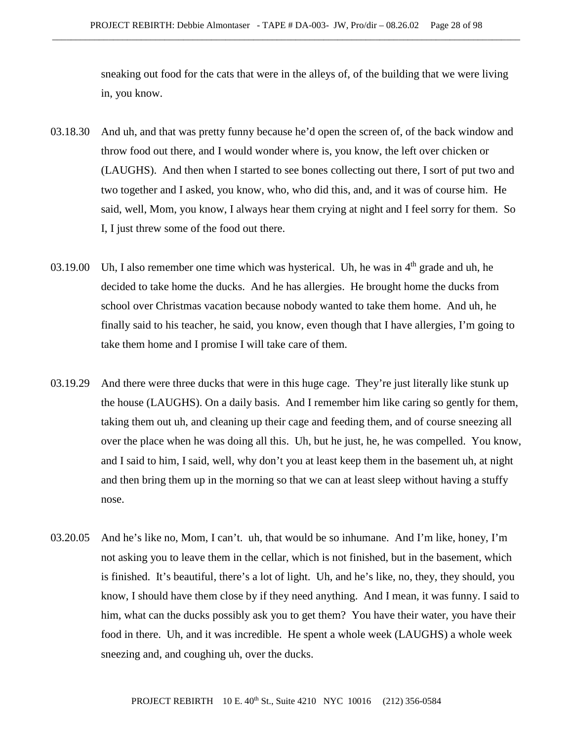sneaking out food for the cats that were in the alleys of, of the building that we were living in, you know.

- 03.18.30 And uh, and that was pretty funny because he'd open the screen of, of the back window and throw food out there, and I would wonder where is, you know, the left over chicken or (LAUGHS). And then when I started to see bones collecting out there, I sort of put two and two together and I asked, you know, who, who did this, and, and it was of course him. He said, well, Mom, you know, I always hear them crying at night and I feel sorry for them. So I, I just threw some of the food out there.
- 03.19.00 Uh, I also remember one time which was hysterical. Uh, he was in  $4<sup>th</sup>$  grade and uh, he decided to take home the ducks. And he has allergies. He brought home the ducks from school over Christmas vacation because nobody wanted to take them home. And uh, he finally said to his teacher, he said, you know, even though that I have allergies, I'm going to take them home and I promise I will take care of them.
- 03.19.29 And there were three ducks that were in this huge cage. They're just literally like stunk up the house (LAUGHS). On a daily basis. And I remember him like caring so gently for them, taking them out uh, and cleaning up their cage and feeding them, and of course sneezing all over the place when he was doing all this. Uh, but he just, he, he was compelled. You know, and I said to him, I said, well, why don't you at least keep them in the basement uh, at night and then bring them up in the morning so that we can at least sleep without having a stuffy nose.
- 03.20.05 And he's like no, Mom, I can't. uh, that would be so inhumane. And I'm like, honey, I'm not asking you to leave them in the cellar, which is not finished, but in the basement, which is finished. It's beautiful, there's a lot of light. Uh, and he's like, no, they, they should, you know, I should have them close by if they need anything. And I mean, it was funny. I said to him, what can the ducks possibly ask you to get them? You have their water, you have their food in there. Uh, and it was incredible. He spent a whole week (LAUGHS) a whole week sneezing and, and coughing uh, over the ducks.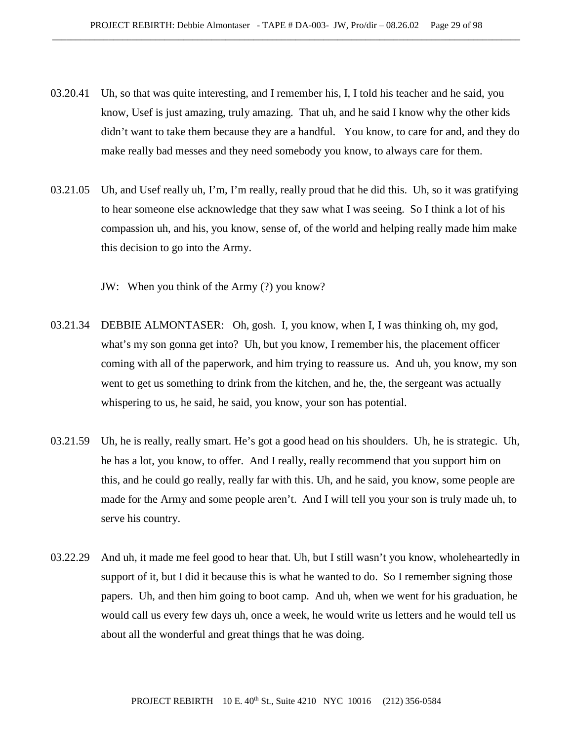- 03.20.41 Uh, so that was quite interesting, and I remember his, I, I told his teacher and he said, you know, Usef is just amazing, truly amazing. That uh, and he said I know why the other kids didn't want to take them because they are a handful. You know, to care for and, and they do make really bad messes and they need somebody you know, to always care for them.
- 03.21.05 Uh, and Usef really uh, I'm, I'm really, really proud that he did this. Uh, so it was gratifying to hear someone else acknowledge that they saw what I was seeing. So I think a lot of his compassion uh, and his, you know, sense of, of the world and helping really made him make this decision to go into the Army.

JW: When you think of the Army (?) you know?

- 03.21.34 DEBBIE ALMONTASER: Oh, gosh. I, you know, when I, I was thinking oh, my god, what's my son gonna get into? Uh, but you know, I remember his, the placement officer coming with all of the paperwork, and him trying to reassure us. And uh, you know, my son went to get us something to drink from the kitchen, and he, the, the sergeant was actually whispering to us, he said, he said, you know, your son has potential.
- 03.21.59 Uh, he is really, really smart. He's got a good head on his shoulders. Uh, he is strategic. Uh, he has a lot, you know, to offer. And I really, really recommend that you support him on this, and he could go really, really far with this. Uh, and he said, you know, some people are made for the Army and some people aren't. And I will tell you your son is truly made uh, to serve his country.
- 03.22.29 And uh, it made me feel good to hear that. Uh, but I still wasn't you know, wholeheartedly in support of it, but I did it because this is what he wanted to do. So I remember signing those papers. Uh, and then him going to boot camp. And uh, when we went for his graduation, he would call us every few days uh, once a week, he would write us letters and he would tell us about all the wonderful and great things that he was doing.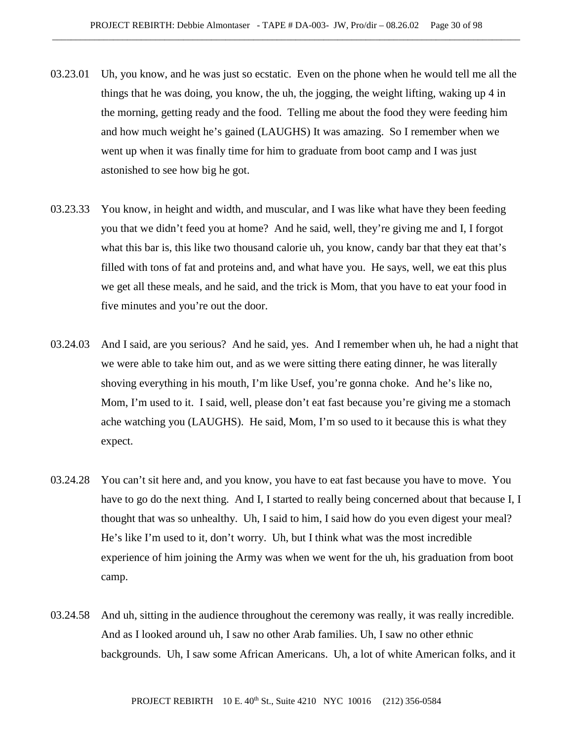- 03.23.01 Uh, you know, and he was just so ecstatic. Even on the phone when he would tell me all the things that he was doing, you know, the uh, the jogging, the weight lifting, waking up 4 in the morning, getting ready and the food. Telling me about the food they were feeding him and how much weight he's gained (LAUGHS) It was amazing. So I remember when we went up when it was finally time for him to graduate from boot camp and I was just astonished to see how big he got.
- 03.23.33 You know, in height and width, and muscular, and I was like what have they been feeding you that we didn't feed you at home? And he said, well, they're giving me and I, I forgot what this bar is, this like two thousand calorie uh, you know, candy bar that they eat that's filled with tons of fat and proteins and, and what have you. He says, well, we eat this plus we get all these meals, and he said, and the trick is Mom, that you have to eat your food in five minutes and you're out the door.
- 03.24.03 And I said, are you serious? And he said, yes. And I remember when uh, he had a night that we were able to take him out, and as we were sitting there eating dinner, he was literally shoving everything in his mouth, I'm like Usef, you're gonna choke. And he's like no, Mom, I'm used to it. I said, well, please don't eat fast because you're giving me a stomach ache watching you (LAUGHS). He said, Mom, I'm so used to it because this is what they expect.
- 03.24.28 You can't sit here and, and you know, you have to eat fast because you have to move. You have to go do the next thing. And I, I started to really being concerned about that because I, I thought that was so unhealthy. Uh, I said to him, I said how do you even digest your meal? He's like I'm used to it, don't worry. Uh, but I think what was the most incredible experience of him joining the Army was when we went for the uh, his graduation from boot camp.
- 03.24.58 And uh, sitting in the audience throughout the ceremony was really, it was really incredible. And as I looked around uh, I saw no other Arab families. Uh, I saw no other ethnic backgrounds. Uh, I saw some African Americans. Uh, a lot of white American folks, and it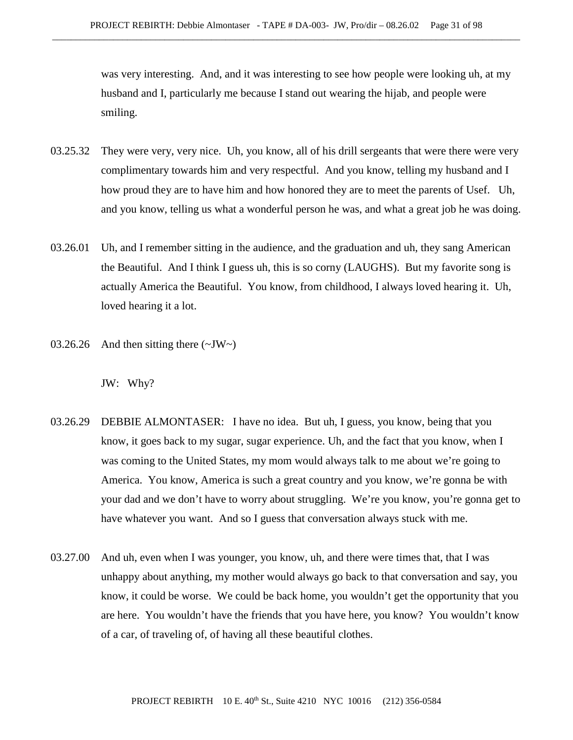was very interesting. And, and it was interesting to see how people were looking uh, at my husband and I, particularly me because I stand out wearing the hijab, and people were smiling.

- 03.25.32 They were very, very nice. Uh, you know, all of his drill sergeants that were there were very complimentary towards him and very respectful. And you know, telling my husband and I how proud they are to have him and how honored they are to meet the parents of Usef. Uh, and you know, telling us what a wonderful person he was, and what a great job he was doing.
- 03.26.01 Uh, and I remember sitting in the audience, and the graduation and uh, they sang American the Beautiful. And I think I guess uh, this is so corny (LAUGHS). But my favorite song is actually America the Beautiful. You know, from childhood, I always loved hearing it. Uh, loved hearing it a lot.
- 03.26.26 And then sitting there  $(\sim JW)$

JW: Why?

- 03.26.29 DEBBIE ALMONTASER: I have no idea. But uh, I guess, you know, being that you know, it goes back to my sugar, sugar experience. Uh, and the fact that you know, when I was coming to the United States, my mom would always talk to me about we're going to America. You know, America is such a great country and you know, we're gonna be with your dad and we don't have to worry about struggling. We're you know, you're gonna get to have whatever you want. And so I guess that conversation always stuck with me.
- 03.27.00 And uh, even when I was younger, you know, uh, and there were times that, that I was unhappy about anything, my mother would always go back to that conversation and say, you know, it could be worse. We could be back home, you wouldn't get the opportunity that you are here. You wouldn't have the friends that you have here, you know? You wouldn't know of a car, of traveling of, of having all these beautiful clothes.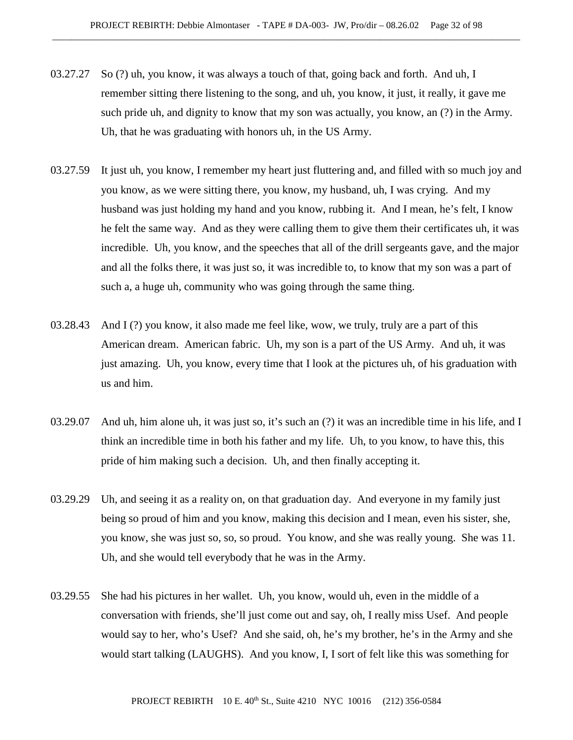- 03.27.27 So (?) uh, you know, it was always a touch of that, going back and forth. And uh, I remember sitting there listening to the song, and uh, you know, it just, it really, it gave me such pride uh, and dignity to know that my son was actually, you know, an (?) in the Army. Uh, that he was graduating with honors uh, in the US Army.
- 03.27.59 It just uh, you know, I remember my heart just fluttering and, and filled with so much joy and you know, as we were sitting there, you know, my husband, uh, I was crying. And my husband was just holding my hand and you know, rubbing it. And I mean, he's felt, I know he felt the same way. And as they were calling them to give them their certificates uh, it was incredible. Uh, you know, and the speeches that all of the drill sergeants gave, and the major and all the folks there, it was just so, it was incredible to, to know that my son was a part of such a, a huge uh, community who was going through the same thing.
- 03.28.43 And I (?) you know, it also made me feel like, wow, we truly, truly are a part of this American dream. American fabric. Uh, my son is a part of the US Army. And uh, it was just amazing. Uh, you know, every time that I look at the pictures uh, of his graduation with us and him.
- 03.29.07 And uh, him alone uh, it was just so, it's such an (?) it was an incredible time in his life, and I think an incredible time in both his father and my life. Uh, to you know, to have this, this pride of him making such a decision. Uh, and then finally accepting it.
- 03.29.29 Uh, and seeing it as a reality on, on that graduation day. And everyone in my family just being so proud of him and you know, making this decision and I mean, even his sister, she, you know, she was just so, so, so proud. You know, and she was really young. She was 11. Uh, and she would tell everybody that he was in the Army.
- 03.29.55 She had his pictures in her wallet. Uh, you know, would uh, even in the middle of a conversation with friends, she'll just come out and say, oh, I really miss Usef. And people would say to her, who's Usef? And she said, oh, he's my brother, he's in the Army and she would start talking (LAUGHS). And you know, I, I sort of felt like this was something for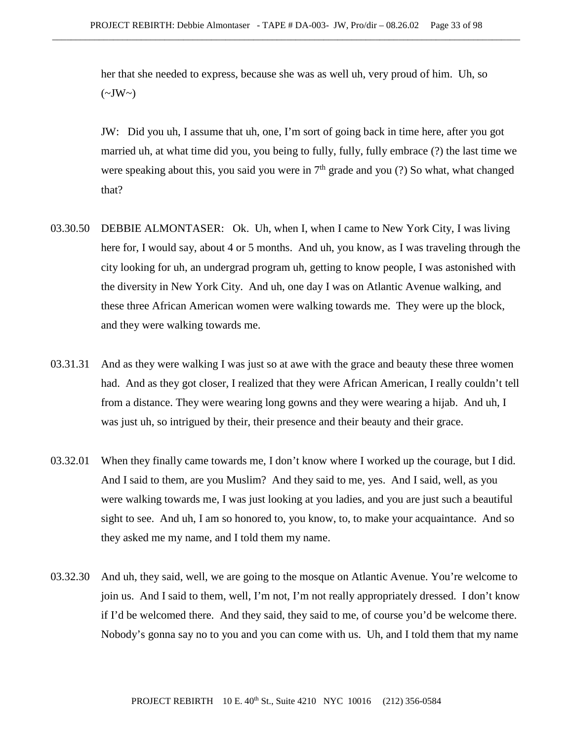her that she needed to express, because she was as well uh, very proud of him. Uh, so  $(\sim JW \sim)$ 

JW: Did you uh, I assume that uh, one, I'm sort of going back in time here, after you got married uh, at what time did you, you being to fully, fully, fully embrace (?) the last time we were speaking about this, you said you were in  $7<sup>th</sup>$  grade and you (?) So what, what changed that?

- 03.30.50 DEBBIE ALMONTASER: Ok. Uh, when I, when I came to New York City, I was living here for, I would say, about 4 or 5 months. And uh, you know, as I was traveling through the city looking for uh, an undergrad program uh, getting to know people, I was astonished with the diversity in New York City. And uh, one day I was on Atlantic Avenue walking, and these three African American women were walking towards me. They were up the block, and they were walking towards me.
- 03.31.31 And as they were walking I was just so at awe with the grace and beauty these three women had. And as they got closer, I realized that they were African American, I really couldn't tell from a distance. They were wearing long gowns and they were wearing a hijab. And uh, I was just uh, so intrigued by their, their presence and their beauty and their grace.
- 03.32.01 When they finally came towards me, I don't know where I worked up the courage, but I did. And I said to them, are you Muslim? And they said to me, yes. And I said, well, as you were walking towards me, I was just looking at you ladies, and you are just such a beautiful sight to see. And uh, I am so honored to, you know, to, to make your acquaintance. And so they asked me my name, and I told them my name.
- 03.32.30 And uh, they said, well, we are going to the mosque on Atlantic Avenue. You're welcome to join us. And I said to them, well, I'm not, I'm not really appropriately dressed. I don't know if I'd be welcomed there. And they said, they said to me, of course you'd be welcome there. Nobody's gonna say no to you and you can come with us. Uh, and I told them that my name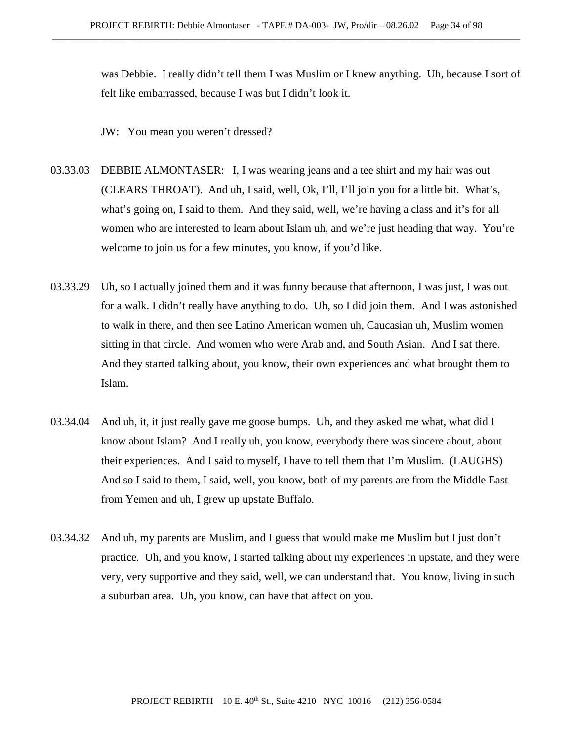was Debbie. I really didn't tell them I was Muslim or I knew anything. Uh, because I sort of felt like embarrassed, because I was but I didn't look it.

JW: You mean you weren't dressed?

- 03.33.03 DEBBIE ALMONTASER: I, I was wearing jeans and a tee shirt and my hair was out (CLEARS THROAT). And uh, I said, well, Ok, I'll, I'll join you for a little bit. What's, what's going on, I said to them. And they said, well, we're having a class and it's for all women who are interested to learn about Islam uh, and we're just heading that way. You're welcome to join us for a few minutes, you know, if you'd like.
- 03.33.29 Uh, so I actually joined them and it was funny because that afternoon, I was just, I was out for a walk. I didn't really have anything to do. Uh, so I did join them. And I was astonished to walk in there, and then see Latino American women uh, Caucasian uh, Muslim women sitting in that circle. And women who were Arab and, and South Asian. And I sat there. And they started talking about, you know, their own experiences and what brought them to Islam.
- 03.34.04 And uh, it, it just really gave me goose bumps. Uh, and they asked me what, what did I know about Islam? And I really uh, you know, everybody there was sincere about, about their experiences. And I said to myself, I have to tell them that I'm Muslim. (LAUGHS) And so I said to them, I said, well, you know, both of my parents are from the Middle East from Yemen and uh, I grew up upstate Buffalo.
- 03.34.32 And uh, my parents are Muslim, and I guess that would make me Muslim but I just don't practice. Uh, and you know, I started talking about my experiences in upstate, and they were very, very supportive and they said, well, we can understand that. You know, living in such a suburban area. Uh, you know, can have that affect on you.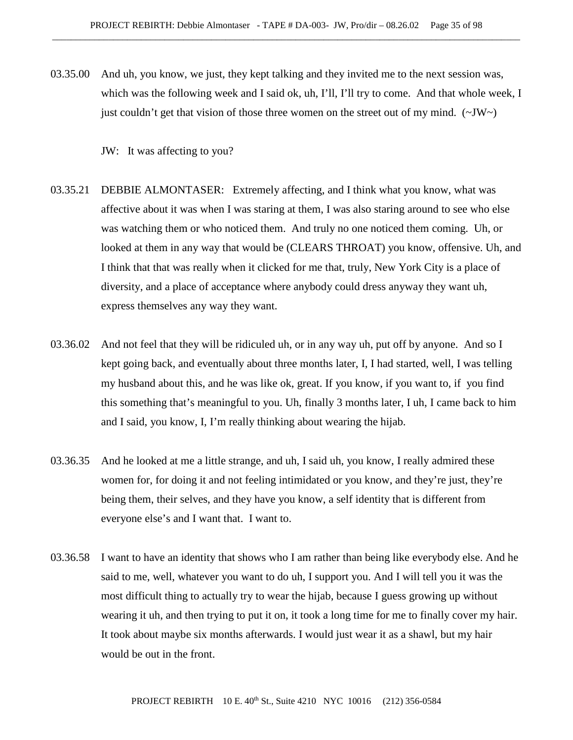03.35.00 And uh, you know, we just, they kept talking and they invited me to the next session was, which was the following week and I said ok, uh, I'll, I'll try to come. And that whole week, I just couldn't get that vision of those three women on the street out of my mind.  $(\sim JW)$ 

JW: It was affecting to you?

- 03.35.21 DEBBIE ALMONTASER: Extremely affecting, and I think what you know, what was affective about it was when I was staring at them, I was also staring around to see who else was watching them or who noticed them. And truly no one noticed them coming. Uh, or looked at them in any way that would be (CLEARS THROAT) you know, offensive. Uh, and I think that that was really when it clicked for me that, truly, New York City is a place of diversity, and a place of acceptance where anybody could dress anyway they want uh, express themselves any way they want.
- 03.36.02 And not feel that they will be ridiculed uh, or in any way uh, put off by anyone. And so I kept going back, and eventually about three months later, I, I had started, well, I was telling my husband about this, and he was like ok, great. If you know, if you want to, if you find this something that's meaningful to you. Uh, finally 3 months later, I uh, I came back to him and I said, you know, I, I'm really thinking about wearing the hijab.
- 03.36.35 And he looked at me a little strange, and uh, I said uh, you know, I really admired these women for, for doing it and not feeling intimidated or you know, and they're just, they're being them, their selves, and they have you know, a self identity that is different from everyone else's and I want that. I want to.
- 03.36.58 I want to have an identity that shows who I am rather than being like everybody else. And he said to me, well, whatever you want to do uh, I support you. And I will tell you it was the most difficult thing to actually try to wear the hijab, because I guess growing up without wearing it uh, and then trying to put it on, it took a long time for me to finally cover my hair. It took about maybe six months afterwards. I would just wear it as a shawl, but my hair would be out in the front.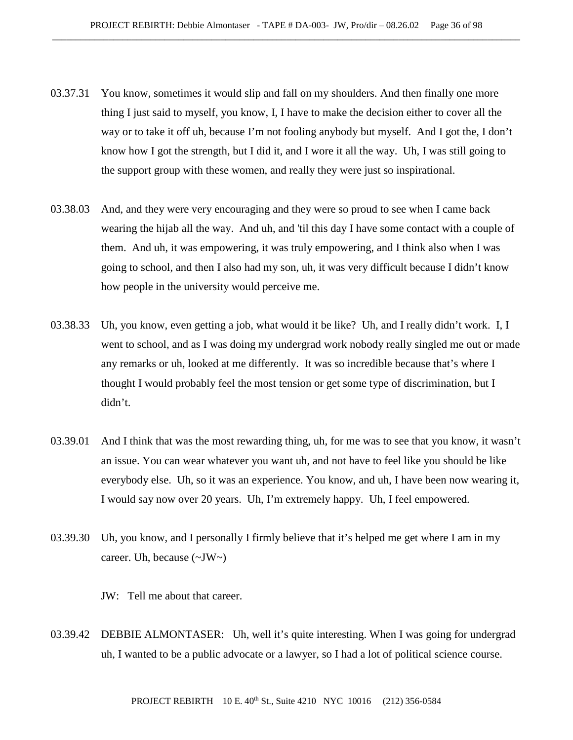- 03.37.31 You know, sometimes it would slip and fall on my shoulders. And then finally one more thing I just said to myself, you know, I, I have to make the decision either to cover all the way or to take it off uh, because I'm not fooling anybody but myself. And I got the, I don't know how I got the strength, but I did it, and I wore it all the way. Uh, I was still going to the support group with these women, and really they were just so inspirational.
- 03.38.03 And, and they were very encouraging and they were so proud to see when I came back wearing the hijab all the way. And uh, and 'til this day I have some contact with a couple of them. And uh, it was empowering, it was truly empowering, and I think also when I was going to school, and then I also had my son, uh, it was very difficult because I didn't know how people in the university would perceive me.
- 03.38.33 Uh, you know, even getting a job, what would it be like? Uh, and I really didn't work. I, I went to school, and as I was doing my undergrad work nobody really singled me out or made any remarks or uh, looked at me differently. It was so incredible because that's where I thought I would probably feel the most tension or get some type of discrimination, but I didn't.
- 03.39.01 And I think that was the most rewarding thing, uh, for me was to see that you know, it wasn't an issue. You can wear whatever you want uh, and not have to feel like you should be like everybody else. Uh, so it was an experience. You know, and uh, I have been now wearing it, I would say now over 20 years. Uh, I'm extremely happy. Uh, I feel empowered.
- 03.39.30 Uh, you know, and I personally I firmly believe that it's helped me get where I am in my career. Uh, because  $(\sim JW)$

JW: Tell me about that career.

03.39.42 DEBBIE ALMONTASER: Uh, well it's quite interesting. When I was going for undergrad uh, I wanted to be a public advocate or a lawyer, so I had a lot of political science course.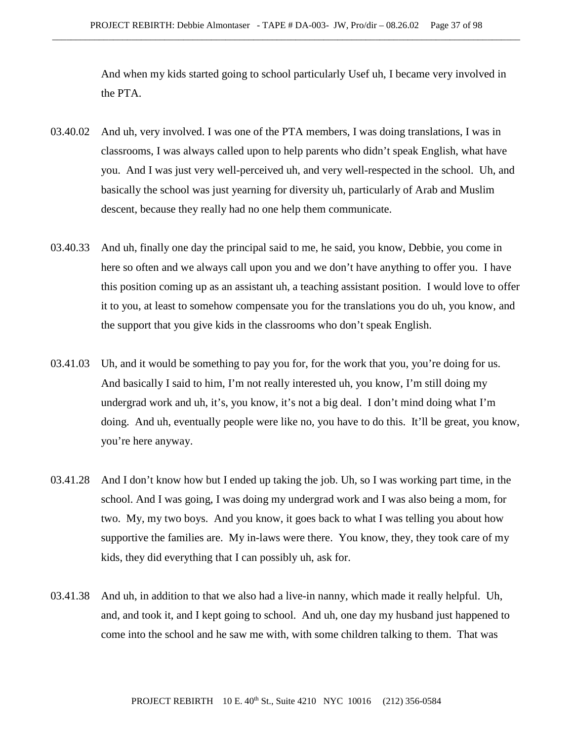And when my kids started going to school particularly Usef uh, I became very involved in the PTA.

- 03.40.02 And uh, very involved. I was one of the PTA members, I was doing translations, I was in classrooms, I was always called upon to help parents who didn't speak English, what have you. And I was just very well-perceived uh, and very well-respected in the school. Uh, and basically the school was just yearning for diversity uh, particularly of Arab and Muslim descent, because they really had no one help them communicate.
- 03.40.33 And uh, finally one day the principal said to me, he said, you know, Debbie, you come in here so often and we always call upon you and we don't have anything to offer you. I have this position coming up as an assistant uh, a teaching assistant position. I would love to offer it to you, at least to somehow compensate you for the translations you do uh, you know, and the support that you give kids in the classrooms who don't speak English.
- 03.41.03 Uh, and it would be something to pay you for, for the work that you, you're doing for us. And basically I said to him, I'm not really interested uh, you know, I'm still doing my undergrad work and uh, it's, you know, it's not a big deal. I don't mind doing what I'm doing. And uh, eventually people were like no, you have to do this. It'll be great, you know, you're here anyway.
- 03.41.28 And I don't know how but I ended up taking the job. Uh, so I was working part time, in the school. And I was going, I was doing my undergrad work and I was also being a mom, for two. My, my two boys. And you know, it goes back to what I was telling you about how supportive the families are. My in-laws were there. You know, they, they took care of my kids, they did everything that I can possibly uh, ask for.
- 03.41.38 And uh, in addition to that we also had a live-in nanny, which made it really helpful. Uh, and, and took it, and I kept going to school. And uh, one day my husband just happened to come into the school and he saw me with, with some children talking to them. That was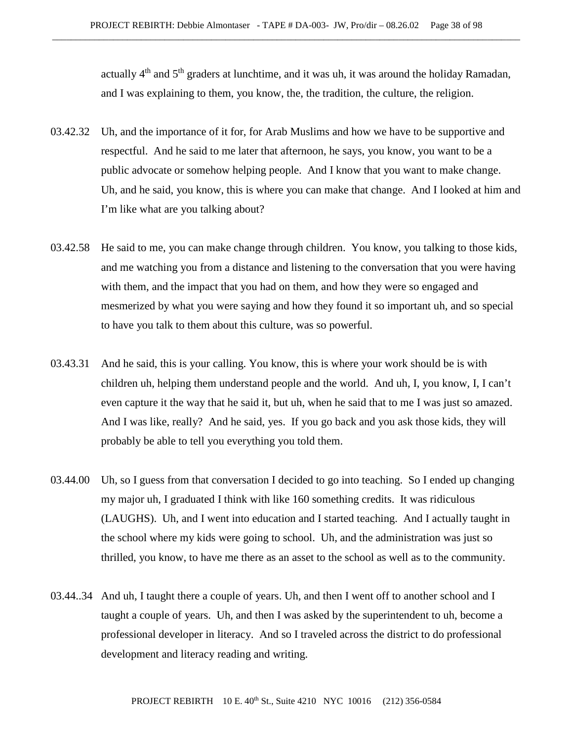actually  $4<sup>th</sup>$  and  $5<sup>th</sup>$  graders at lunchtime, and it was uh, it was around the holiday Ramadan, and I was explaining to them, you know, the, the tradition, the culture, the religion.

- 03.42.32 Uh, and the importance of it for, for Arab Muslims and how we have to be supportive and respectful. And he said to me later that afternoon, he says, you know, you want to be a public advocate or somehow helping people. And I know that you want to make change. Uh, and he said, you know, this is where you can make that change. And I looked at him and I'm like what are you talking about?
- 03.42.58 He said to me, you can make change through children. You know, you talking to those kids, and me watching you from a distance and listening to the conversation that you were having with them, and the impact that you had on them, and how they were so engaged and mesmerized by what you were saying and how they found it so important uh, and so special to have you talk to them about this culture, was so powerful.
- 03.43.31 And he said, this is your calling. You know, this is where your work should be is with children uh, helping them understand people and the world. And uh, I, you know, I, I can't even capture it the way that he said it, but uh, when he said that to me I was just so amazed. And I was like, really? And he said, yes. If you go back and you ask those kids, they will probably be able to tell you everything you told them.
- 03.44.00 Uh, so I guess from that conversation I decided to go into teaching. So I ended up changing my major uh, I graduated I think with like 160 something credits. It was ridiculous (LAUGHS). Uh, and I went into education and I started teaching. And I actually taught in the school where my kids were going to school. Uh, and the administration was just so thrilled, you know, to have me there as an asset to the school as well as to the community.
- 03.44..34 And uh, I taught there a couple of years. Uh, and then I went off to another school and I taught a couple of years. Uh, and then I was asked by the superintendent to uh, become a professional developer in literacy. And so I traveled across the district to do professional development and literacy reading and writing.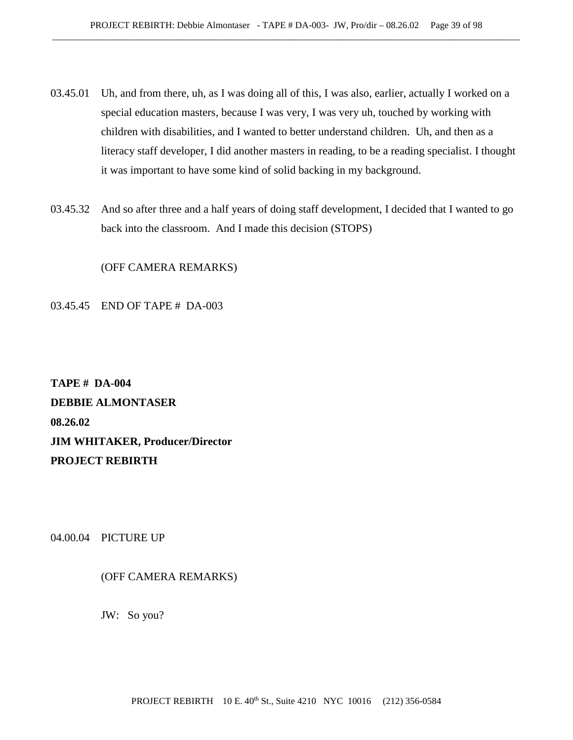- 03.45.01 Uh, and from there, uh, as I was doing all of this, I was also, earlier, actually I worked on a special education masters, because I was very, I was very uh, touched by working with children with disabilities, and I wanted to better understand children. Uh, and then as a literacy staff developer, I did another masters in reading, to be a reading specialist. I thought it was important to have some kind of solid backing in my background.
- 03.45.32 And so after three and a half years of doing staff development, I decided that I wanted to go back into the classroom. And I made this decision (STOPS)

(OFF CAMERA REMARKS)

03.45.45 END OF TAPE # DA-003

**TAPE # DA-004 DEBBIE ALMONTASER 08.26.02 JIM WHITAKER, Producer/Director PROJECT REBIRTH**

04.00.04 PICTURE UP

(OFF CAMERA REMARKS)

JW: So you?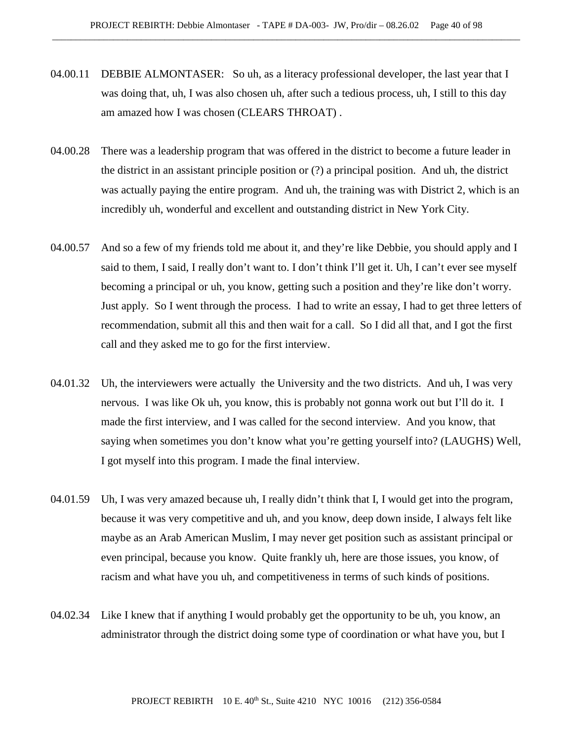- 04.00.11 DEBBIE ALMONTASER: So uh, as a literacy professional developer, the last year that I was doing that, uh, I was also chosen uh, after such a tedious process, uh, I still to this day am amazed how I was chosen (CLEARS THROAT) .
- 04.00.28 There was a leadership program that was offered in the district to become a future leader in the district in an assistant principle position or (?) a principal position. And uh, the district was actually paying the entire program. And uh, the training was with District 2, which is an incredibly uh, wonderful and excellent and outstanding district in New York City.
- 04.00.57 And so a few of my friends told me about it, and they're like Debbie, you should apply and I said to them, I said, I really don't want to. I don't think I'll get it. Uh, I can't ever see myself becoming a principal or uh, you know, getting such a position and they're like don't worry. Just apply. So I went through the process. I had to write an essay, I had to get three letters of recommendation, submit all this and then wait for a call. So I did all that, and I got the first call and they asked me to go for the first interview.
- 04.01.32 Uh, the interviewers were actually the University and the two districts. And uh, I was very nervous. I was like Ok uh, you know, this is probably not gonna work out but I'll do it. I made the first interview, and I was called for the second interview. And you know, that saying when sometimes you don't know what you're getting yourself into? (LAUGHS) Well, I got myself into this program. I made the final interview.
- 04.01.59 Uh, I was very amazed because uh, I really didn't think that I, I would get into the program, because it was very competitive and uh, and you know, deep down inside, I always felt like maybe as an Arab American Muslim, I may never get position such as assistant principal or even principal, because you know. Quite frankly uh, here are those issues, you know, of racism and what have you uh, and competitiveness in terms of such kinds of positions.
- 04.02.34 Like I knew that if anything I would probably get the opportunity to be uh, you know, an administrator through the district doing some type of coordination or what have you, but I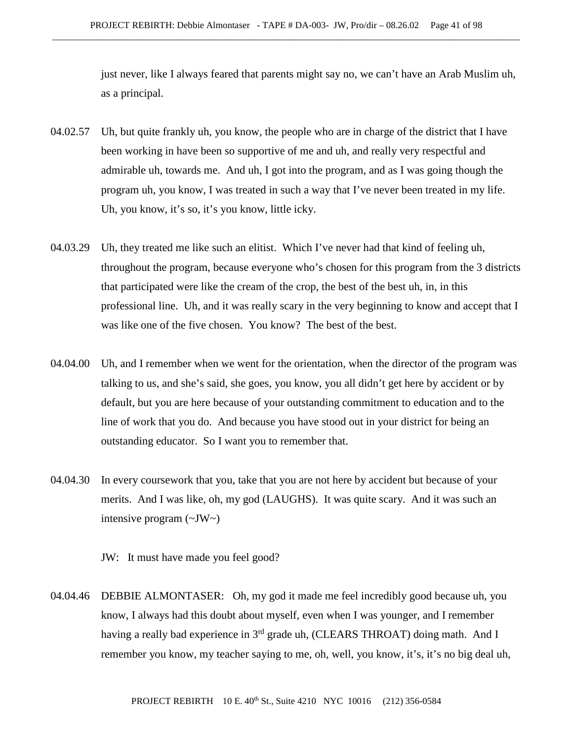just never, like I always feared that parents might say no, we can't have an Arab Muslim uh, as a principal.

- 04.02.57 Uh, but quite frankly uh, you know, the people who are in charge of the district that I have been working in have been so supportive of me and uh, and really very respectful and admirable uh, towards me. And uh, I got into the program, and as I was going though the program uh, you know, I was treated in such a way that I've never been treated in my life. Uh, you know, it's so, it's you know, little icky.
- 04.03.29 Uh, they treated me like such an elitist. Which I've never had that kind of feeling uh, throughout the program, because everyone who's chosen for this program from the 3 districts that participated were like the cream of the crop, the best of the best uh, in, in this professional line. Uh, and it was really scary in the very beginning to know and accept that I was like one of the five chosen. You know? The best of the best.
- 04.04.00 Uh, and I remember when we went for the orientation, when the director of the program was talking to us, and she's said, she goes, you know, you all didn't get here by accident or by default, but you are here because of your outstanding commitment to education and to the line of work that you do. And because you have stood out in your district for being an outstanding educator. So I want you to remember that.
- 04.04.30 In every coursework that you, take that you are not here by accident but because of your merits. And I was like, oh, my god (LAUGHS). It was quite scary. And it was such an intensive program (~JW~)

JW: It must have made you feel good?

04.04.46 DEBBIE ALMONTASER: Oh, my god it made me feel incredibly good because uh, you know, I always had this doubt about myself, even when I was younger, and I remember having a really bad experience in 3<sup>rd</sup> grade uh, (CLEARS THROAT) doing math. And I remember you know, my teacher saying to me, oh, well, you know, it's, it's no big deal uh,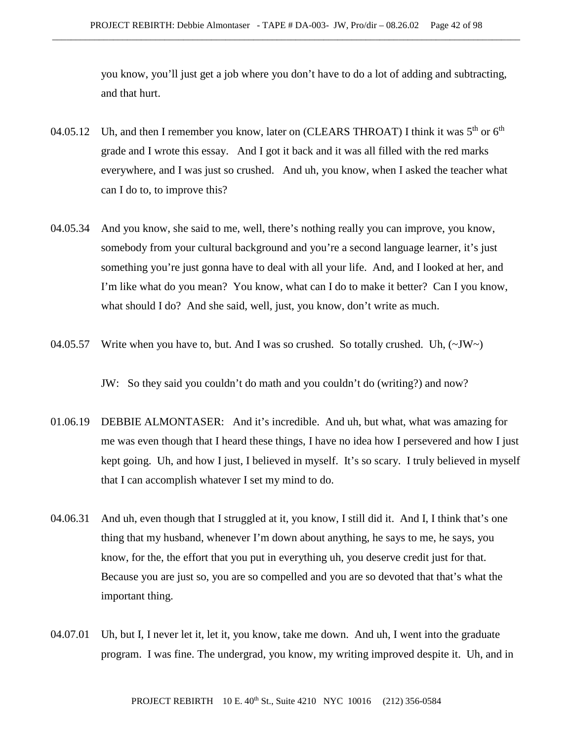you know, you'll just get a job where you don't have to do a lot of adding and subtracting, and that hurt.

- 04.05.12 Uh, and then I remember you know, later on (CLEARS THROAT) I think it was  $5<sup>th</sup>$  or  $6<sup>th</sup>$ grade and I wrote this essay. And I got it back and it was all filled with the red marks everywhere, and I was just so crushed. And uh, you know, when I asked the teacher what can I do to, to improve this?
- 04.05.34 And you know, she said to me, well, there's nothing really you can improve, you know, somebody from your cultural background and you're a second language learner, it's just something you're just gonna have to deal with all your life. And, and I looked at her, and I'm like what do you mean? You know, what can I do to make it better? Can I you know, what should I do? And she said, well, just, you know, don't write as much.
- 04.05.57 Write when you have to, but. And I was so crushed. So totally crushed. Uh,  $(\sim JW)$

JW: So they said you couldn't do math and you couldn't do (writing?) and now?

- 01.06.19 DEBBIE ALMONTASER: And it's incredible. And uh, but what, what was amazing for me was even though that I heard these things, I have no idea how I persevered and how I just kept going. Uh, and how I just, I believed in myself. It's so scary. I truly believed in myself that I can accomplish whatever I set my mind to do.
- 04.06.31 And uh, even though that I struggled at it, you know, I still did it. And I, I think that's one thing that my husband, whenever I'm down about anything, he says to me, he says, you know, for the, the effort that you put in everything uh, you deserve credit just for that. Because you are just so, you are so compelled and you are so devoted that that's what the important thing.
- 04.07.01 Uh, but I, I never let it, let it, you know, take me down. And uh, I went into the graduate program. I was fine. The undergrad, you know, my writing improved despite it. Uh, and in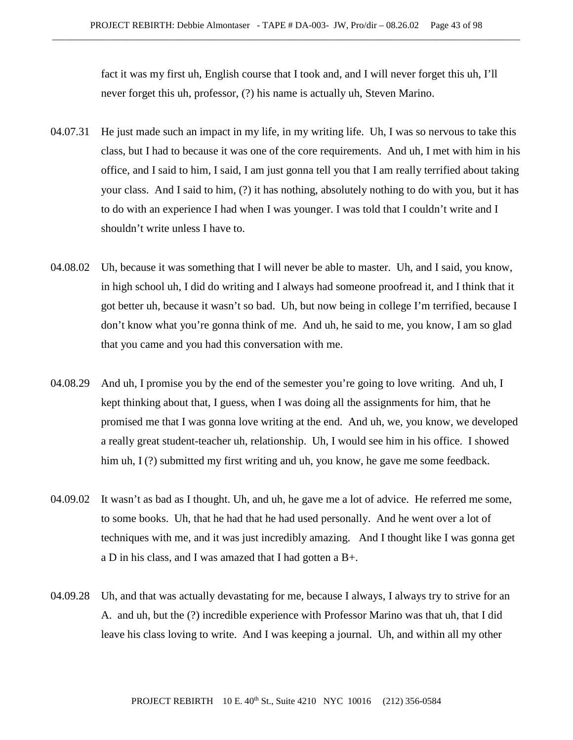fact it was my first uh, English course that I took and, and I will never forget this uh, I'll never forget this uh, professor, (?) his name is actually uh, Steven Marino.

- 04.07.31 He just made such an impact in my life, in my writing life. Uh, I was so nervous to take this class, but I had to because it was one of the core requirements. And uh, I met with him in his office, and I said to him, I said, I am just gonna tell you that I am really terrified about taking your class. And I said to him, (?) it has nothing, absolutely nothing to do with you, but it has to do with an experience I had when I was younger. I was told that I couldn't write and I shouldn't write unless I have to.
- 04.08.02 Uh, because it was something that I will never be able to master. Uh, and I said, you know, in high school uh, I did do writing and I always had someone proofread it, and I think that it got better uh, because it wasn't so bad. Uh, but now being in college I'm terrified, because I don't know what you're gonna think of me. And uh, he said to me, you know, I am so glad that you came and you had this conversation with me.
- 04.08.29 And uh, I promise you by the end of the semester you're going to love writing. And uh, I kept thinking about that, I guess, when I was doing all the assignments for him, that he promised me that I was gonna love writing at the end. And uh, we, you know, we developed a really great student-teacher uh, relationship. Uh, I would see him in his office. I showed him uh, I (?) submitted my first writing and uh, you know, he gave me some feedback.
- 04.09.02 It wasn't as bad as I thought. Uh, and uh, he gave me a lot of advice. He referred me some, to some books. Uh, that he had that he had used personally. And he went over a lot of techniques with me, and it was just incredibly amazing. And I thought like I was gonna get a D in his class, and I was amazed that I had gotten a B+.
- 04.09.28 Uh, and that was actually devastating for me, because I always, I always try to strive for an A. and uh, but the (?) incredible experience with Professor Marino was that uh, that I did leave his class loving to write. And I was keeping a journal. Uh, and within all my other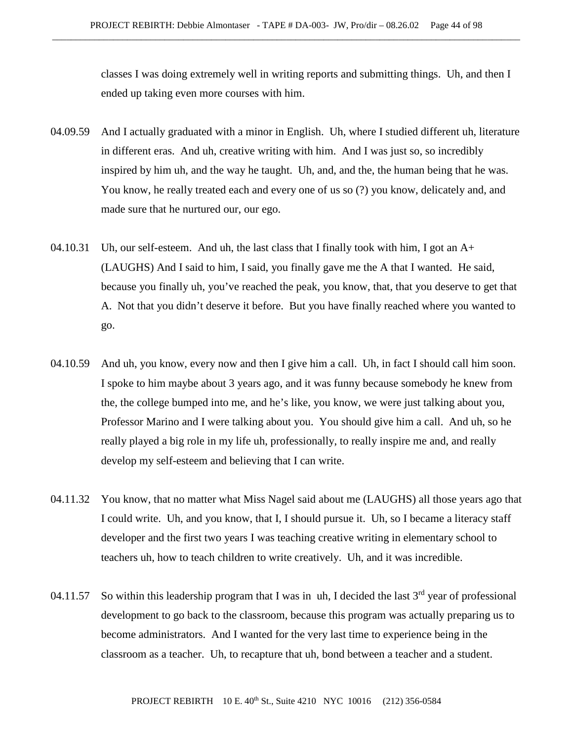classes I was doing extremely well in writing reports and submitting things. Uh, and then I ended up taking even more courses with him.

- 04.09.59 And I actually graduated with a minor in English. Uh, where I studied different uh, literature in different eras. And uh, creative writing with him. And I was just so, so incredibly inspired by him uh, and the way he taught. Uh, and, and the, the human being that he was. You know, he really treated each and every one of us so (?) you know, delicately and, and made sure that he nurtured our, our ego.
- 04.10.31 Uh, our self-esteem. And uh, the last class that I finally took with him, I got an  $A+$ (LAUGHS) And I said to him, I said, you finally gave me the A that I wanted. He said, because you finally uh, you've reached the peak, you know, that, that you deserve to get that A. Not that you didn't deserve it before. But you have finally reached where you wanted to go.
- 04.10.59 And uh, you know, every now and then I give him a call. Uh, in fact I should call him soon. I spoke to him maybe about 3 years ago, and it was funny because somebody he knew from the, the college bumped into me, and he's like, you know, we were just talking about you, Professor Marino and I were talking about you. You should give him a call. And uh, so he really played a big role in my life uh, professionally, to really inspire me and, and really develop my self-esteem and believing that I can write.
- 04.11.32 You know, that no matter what Miss Nagel said about me (LAUGHS) all those years ago that I could write. Uh, and you know, that I, I should pursue it. Uh, so I became a literacy staff developer and the first two years I was teaching creative writing in elementary school to teachers uh, how to teach children to write creatively. Uh, and it was incredible.
- 04.11.57 So within this leadership program that I was in uh, I decided the last  $3<sup>rd</sup>$  year of professional development to go back to the classroom, because this program was actually preparing us to become administrators. And I wanted for the very last time to experience being in the classroom as a teacher. Uh, to recapture that uh, bond between a teacher and a student.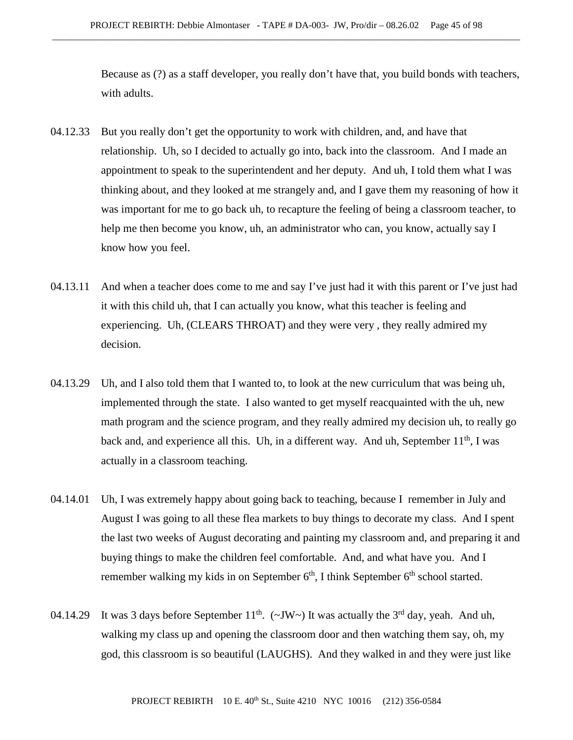Because as (?) as a staff developer, you really don't have that, you build bonds with teachers, with adults.

- 04.12.33 But you really don't get the opportunity to work with children, and, and have that relationship. Uh, so I decided to actually go into, back into the classroom. And I made an appointment to speak to the superintendent and her deputy. And uh, I told them what I was thinking about, and they looked at me strangely and, and I gave them my reasoning of how it was important for me to go back uh, to recapture the feeling of being a classroom teacher, to help me then become you know, uh, an administrator who can, you know, actually say I know how you feel.
- 04.13.11 And when a teacher does come to me and say I've just had it with this parent or I've just had it with this child uh, that I can actually you know, what this teacher is feeling and experiencing. Uh, (CLEARS THROAT) and they were very , they really admired my decision.
- 04.13.29 Uh, and I also told them that I wanted to, to look at the new curriculum that was being uh, implemented through the state. I also wanted to get myself reacquainted with the uh, new math program and the science program, and they really admired my decision uh, to really go back and, and experience all this. Uh, in a different way. And uh, September 11<sup>th</sup>, I was actually in a classroom teaching.
- 04.14.01 Uh, I was extremely happy about going back to teaching, because I remember in July and August I was going to all these flea markets to buy things to decorate my class. And I spent the last two weeks of August decorating and painting my classroom and, and preparing it and buying things to make the children feel comfortable. And, and what have you. And I remember walking my kids in on September  $6<sup>th</sup>$ , I think September  $6<sup>th</sup>$  school started.
- 04.14.29 It was 3 days before September  $11^{th}$ . ( $\sim$ JW $\sim$ ) It was actually the 3<sup>rd</sup> day, yeah. And uh, walking my class up and opening the classroom door and then watching them say, oh, my god, this classroom is so beautiful (LAUGHS). And they walked in and they were just like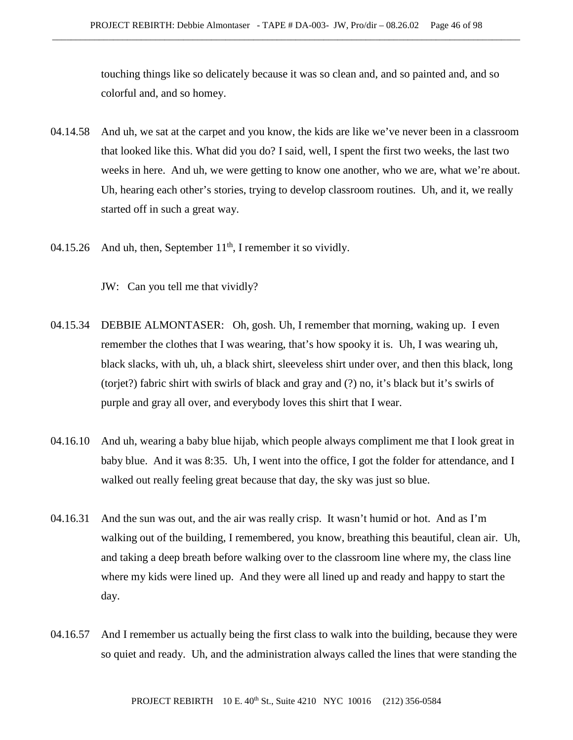touching things like so delicately because it was so clean and, and so painted and, and so colorful and, and so homey.

- 04.14.58 And uh, we sat at the carpet and you know, the kids are like we've never been in a classroom that looked like this. What did you do? I said, well, I spent the first two weeks, the last two weeks in here. And uh, we were getting to know one another, who we are, what we're about. Uh, hearing each other's stories, trying to develop classroom routines. Uh, and it, we really started off in such a great way.
- 04.15.26 And uh, then, September  $11<sup>th</sup>$ , I remember it so vividly.

JW: Can you tell me that vividly?

- 04.15.34 DEBBIE ALMONTASER: Oh, gosh. Uh, I remember that morning, waking up. I even remember the clothes that I was wearing, that's how spooky it is. Uh, I was wearing uh, black slacks, with uh, uh, a black shirt, sleeveless shirt under over, and then this black, long (torjet?) fabric shirt with swirls of black and gray and (?) no, it's black but it's swirls of purple and gray all over, and everybody loves this shirt that I wear.
- 04.16.10 And uh, wearing a baby blue hijab, which people always compliment me that I look great in baby blue. And it was 8:35. Uh, I went into the office, I got the folder for attendance, and I walked out really feeling great because that day, the sky was just so blue.
- 04.16.31 And the sun was out, and the air was really crisp. It wasn't humid or hot. And as I'm walking out of the building, I remembered, you know, breathing this beautiful, clean air. Uh, and taking a deep breath before walking over to the classroom line where my, the class line where my kids were lined up. And they were all lined up and ready and happy to start the day.
- 04.16.57 And I remember us actually being the first class to walk into the building, because they were so quiet and ready. Uh, and the administration always called the lines that were standing the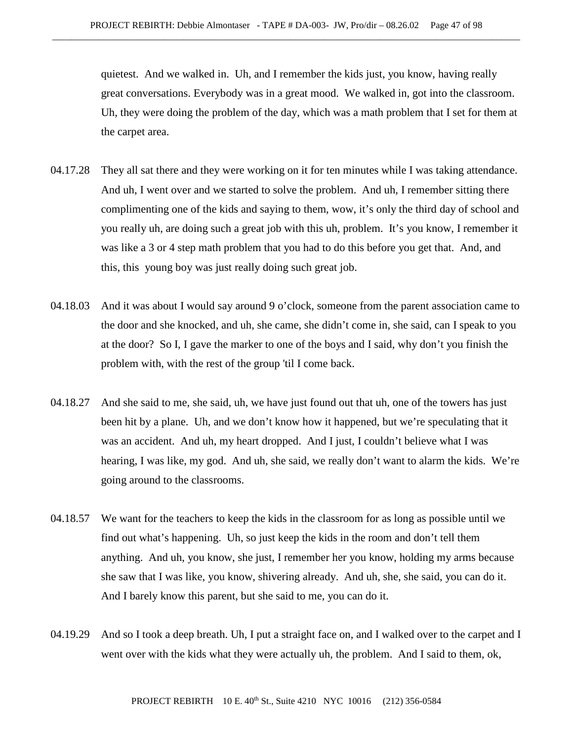quietest. And we walked in. Uh, and I remember the kids just, you know, having really great conversations. Everybody was in a great mood. We walked in, got into the classroom. Uh, they were doing the problem of the day, which was a math problem that I set for them at the carpet area.

- 04.17.28 They all sat there and they were working on it for ten minutes while I was taking attendance. And uh, I went over and we started to solve the problem. And uh, I remember sitting there complimenting one of the kids and saying to them, wow, it's only the third day of school and you really uh, are doing such a great job with this uh, problem. It's you know, I remember it was like a 3 or 4 step math problem that you had to do this before you get that. And, and this, this young boy was just really doing such great job.
- 04.18.03 And it was about I would say around 9 o'clock, someone from the parent association came to the door and she knocked, and uh, she came, she didn't come in, she said, can I speak to you at the door? So I, I gave the marker to one of the boys and I said, why don't you finish the problem with, with the rest of the group 'til I come back.
- 04.18.27 And she said to me, she said, uh, we have just found out that uh, one of the towers has just been hit by a plane. Uh, and we don't know how it happened, but we're speculating that it was an accident. And uh, my heart dropped. And I just, I couldn't believe what I was hearing, I was like, my god. And uh, she said, we really don't want to alarm the kids. We're going around to the classrooms.
- 04.18.57 We want for the teachers to keep the kids in the classroom for as long as possible until we find out what's happening. Uh, so just keep the kids in the room and don't tell them anything. And uh, you know, she just, I remember her you know, holding my arms because she saw that I was like, you know, shivering already. And uh, she, she said, you can do it. And I barely know this parent, but she said to me, you can do it.
- 04.19.29 And so I took a deep breath. Uh, I put a straight face on, and I walked over to the carpet and I went over with the kids what they were actually uh, the problem. And I said to them, ok,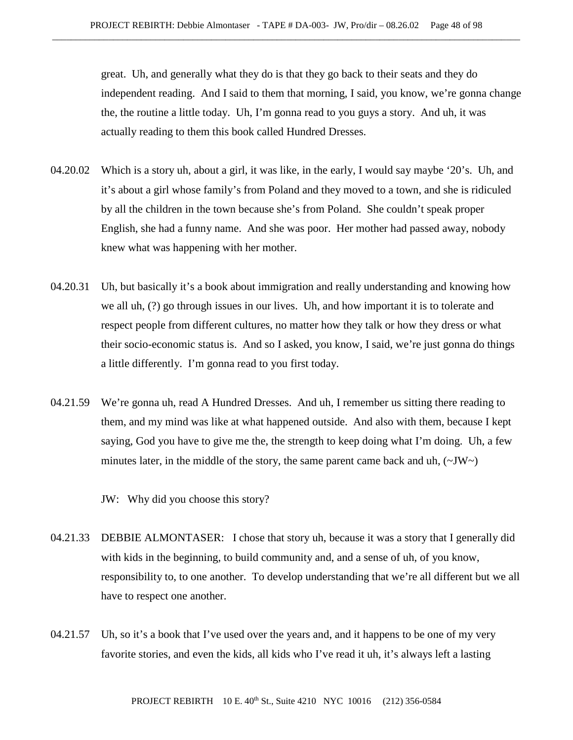great. Uh, and generally what they do is that they go back to their seats and they do independent reading. And I said to them that morning, I said, you know, we're gonna change the, the routine a little today. Uh, I'm gonna read to you guys a story. And uh, it was actually reading to them this book called Hundred Dresses.

- 04.20.02 Which is a story uh, about a girl, it was like, in the early, I would say maybe '20's. Uh, and it's about a girl whose family's from Poland and they moved to a town, and she is ridiculed by all the children in the town because she's from Poland. She couldn't speak proper English, she had a funny name. And she was poor. Her mother had passed away, nobody knew what was happening with her mother.
- 04.20.31 Uh, but basically it's a book about immigration and really understanding and knowing how we all uh, (?) go through issues in our lives. Uh, and how important it is to tolerate and respect people from different cultures, no matter how they talk or how they dress or what their socio-economic status is. And so I asked, you know, I said, we're just gonna do things a little differently. I'm gonna read to you first today.
- 04.21.59 We're gonna uh, read A Hundred Dresses. And uh, I remember us sitting there reading to them, and my mind was like at what happened outside. And also with them, because I kept saying, God you have to give me the, the strength to keep doing what I'm doing. Uh, a few minutes later, in the middle of the story, the same parent came back and uh,  $(\sim JW \sim)$

JW: Why did you choose this story?

- 04.21.33 DEBBIE ALMONTASER: I chose that story uh, because it was a story that I generally did with kids in the beginning, to build community and, and a sense of uh, of you know, responsibility to, to one another. To develop understanding that we're all different but we all have to respect one another.
- 04.21.57 Uh, so it's a book that I've used over the years and, and it happens to be one of my very favorite stories, and even the kids, all kids who I've read it uh, it's always left a lasting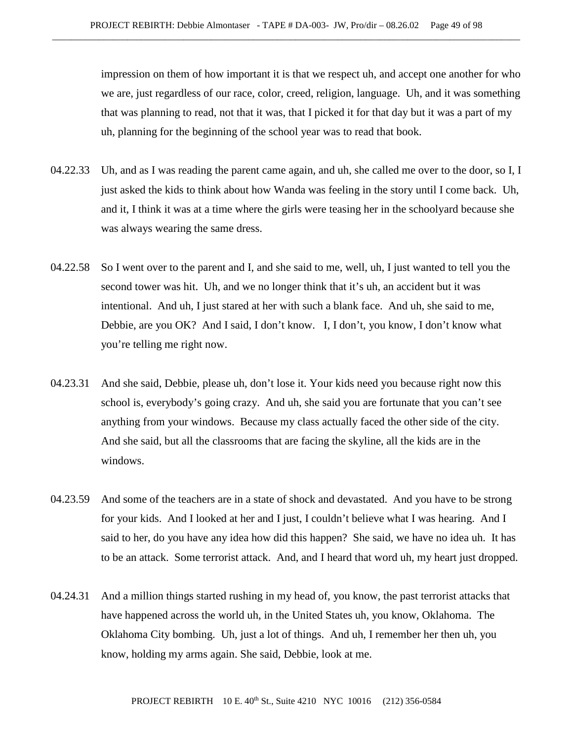impression on them of how important it is that we respect uh, and accept one another for who we are, just regardless of our race, color, creed, religion, language. Uh, and it was something that was planning to read, not that it was, that I picked it for that day but it was a part of my uh, planning for the beginning of the school year was to read that book.

- 04.22.33 Uh, and as I was reading the parent came again, and uh, she called me over to the door, so I, I just asked the kids to think about how Wanda was feeling in the story until I come back. Uh, and it, I think it was at a time where the girls were teasing her in the schoolyard because she was always wearing the same dress.
- 04.22.58 So I went over to the parent and I, and she said to me, well, uh, I just wanted to tell you the second tower was hit. Uh, and we no longer think that it's uh, an accident but it was intentional. And uh, I just stared at her with such a blank face. And uh, she said to me, Debbie, are you OK? And I said, I don't know. I, I don't, you know, I don't know what you're telling me right now.
- 04.23.31 And she said, Debbie, please uh, don't lose it. Your kids need you because right now this school is, everybody's going crazy. And uh, she said you are fortunate that you can't see anything from your windows. Because my class actually faced the other side of the city. And she said, but all the classrooms that are facing the skyline, all the kids are in the windows.
- 04.23.59 And some of the teachers are in a state of shock and devastated. And you have to be strong for your kids. And I looked at her and I just, I couldn't believe what I was hearing. And I said to her, do you have any idea how did this happen? She said, we have no idea uh. It has to be an attack. Some terrorist attack. And, and I heard that word uh, my heart just dropped.
- 04.24.31 And a million things started rushing in my head of, you know, the past terrorist attacks that have happened across the world uh, in the United States uh, you know, Oklahoma. The Oklahoma City bombing. Uh, just a lot of things. And uh, I remember her then uh, you know, holding my arms again. She said, Debbie, look at me.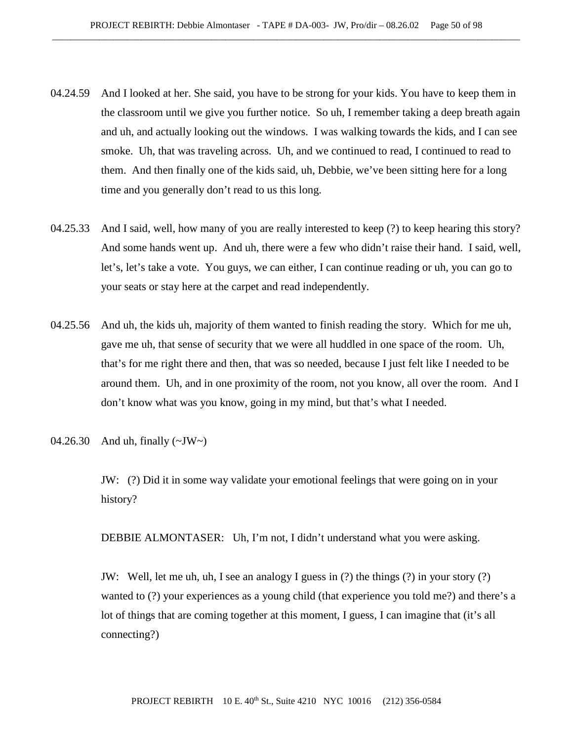- 04.24.59 And I looked at her. She said, you have to be strong for your kids. You have to keep them in the classroom until we give you further notice. So uh, I remember taking a deep breath again and uh, and actually looking out the windows. I was walking towards the kids, and I can see smoke. Uh, that was traveling across. Uh, and we continued to read, I continued to read to them. And then finally one of the kids said, uh, Debbie, we've been sitting here for a long time and you generally don't read to us this long.
- 04.25.33 And I said, well, how many of you are really interested to keep (?) to keep hearing this story? And some hands went up. And uh, there were a few who didn't raise their hand. I said, well, let's, let's take a vote. You guys, we can either, I can continue reading or uh, you can go to your seats or stay here at the carpet and read independently.
- 04.25.56 And uh, the kids uh, majority of them wanted to finish reading the story. Which for me uh, gave me uh, that sense of security that we were all huddled in one space of the room. Uh, that's for me right there and then, that was so needed, because I just felt like I needed to be around them. Uh, and in one proximity of the room, not you know, all over the room. And I don't know what was you know, going in my mind, but that's what I needed.
- 04.26.30 And uh, finally (~JW~)

JW: (?) Did it in some way validate your emotional feelings that were going on in your history?

DEBBIE ALMONTASER: Uh, I'm not, I didn't understand what you were asking.

JW: Well, let me uh, uh, I see an analogy I guess in (?) the things (?) in your story (?) wanted to (?) your experiences as a young child (that experience you told me?) and there's a lot of things that are coming together at this moment, I guess, I can imagine that (it's all connecting?)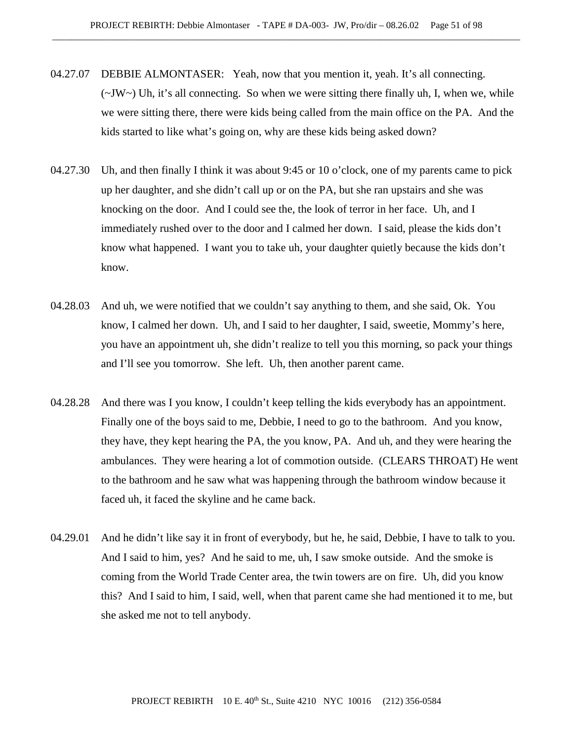- 04.27.07 DEBBIE ALMONTASER: Yeah, now that you mention it, yeah. It's all connecting.  $(\sim JW \sim)$  Uh, it's all connecting. So when we were sitting there finally uh, I, when we, while we were sitting there, there were kids being called from the main office on the PA. And the kids started to like what's going on, why are these kids being asked down?
- 04.27.30 Uh, and then finally I think it was about 9:45 or 10 o'clock, one of my parents came to pick up her daughter, and she didn't call up or on the PA, but she ran upstairs and she was knocking on the door. And I could see the, the look of terror in her face. Uh, and I immediately rushed over to the door and I calmed her down. I said, please the kids don't know what happened. I want you to take uh, your daughter quietly because the kids don't know.
- 04.28.03 And uh, we were notified that we couldn't say anything to them, and she said, Ok. You know, I calmed her down. Uh, and I said to her daughter, I said, sweetie, Mommy's here, you have an appointment uh, she didn't realize to tell you this morning, so pack your things and I'll see you tomorrow. She left. Uh, then another parent came.
- 04.28.28 And there was I you know, I couldn't keep telling the kids everybody has an appointment. Finally one of the boys said to me, Debbie, I need to go to the bathroom. And you know, they have, they kept hearing the PA, the you know, PA. And uh, and they were hearing the ambulances. They were hearing a lot of commotion outside. (CLEARS THROAT) He went to the bathroom and he saw what was happening through the bathroom window because it faced uh, it faced the skyline and he came back.
- 04.29.01 And he didn't like say it in front of everybody, but he, he said, Debbie, I have to talk to you. And I said to him, yes? And he said to me, uh, I saw smoke outside. And the smoke is coming from the World Trade Center area, the twin towers are on fire. Uh, did you know this? And I said to him, I said, well, when that parent came she had mentioned it to me, but she asked me not to tell anybody.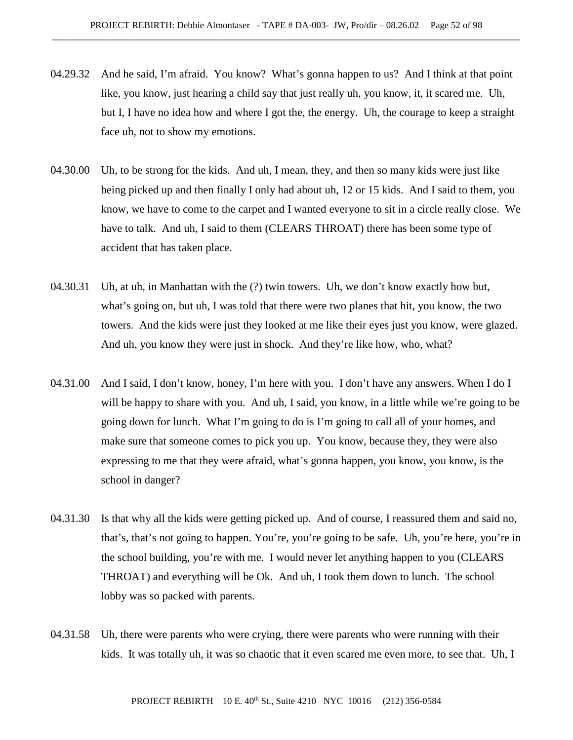- 04.29.32 And he said, I'm afraid. You know? What's gonna happen to us? And I think at that point like, you know, just hearing a child say that just really uh, you know, it, it scared me. Uh, but I, I have no idea how and where I got the, the energy. Uh, the courage to keep a straight face uh, not to show my emotions.
- 04.30.00 Uh, to be strong for the kids. And uh, I mean, they, and then so many kids were just like being picked up and then finally I only had about uh, 12 or 15 kids. And I said to them, you know, we have to come to the carpet and I wanted everyone to sit in a circle really close. We have to talk. And uh, I said to them (CLEARS THROAT) there has been some type of accident that has taken place.
- 04.30.31 Uh, at uh, in Manhattan with the (?) twin towers. Uh, we don't know exactly how but, what's going on, but uh, I was told that there were two planes that hit, you know, the two towers. And the kids were just they looked at me like their eyes just you know, were glazed. And uh, you know they were just in shock. And they're like how, who, what?
- 04.31.00 And I said, I don't know, honey, I'm here with you. I don't have any answers. When I do I will be happy to share with you. And uh, I said, you know, in a little while we're going to be going down for lunch. What I'm going to do is I'm going to call all of your homes, and make sure that someone comes to pick you up. You know, because they, they were also expressing to me that they were afraid, what's gonna happen, you know, you know, is the school in danger?
- 04.31.30 Is that why all the kids were getting picked up. And of course, I reassured them and said no, that's, that's not going to happen. You're, you're going to be safe. Uh, you're here, you're in the school building, you're with me. I would never let anything happen to you (CLEARS THROAT) and everything will be Ok. And uh, I took them down to lunch. The school lobby was so packed with parents.
- 04.31.58 Uh, there were parents who were crying, there were parents who were running with their kids. It was totally uh, it was so chaotic that it even scared me even more, to see that. Uh, I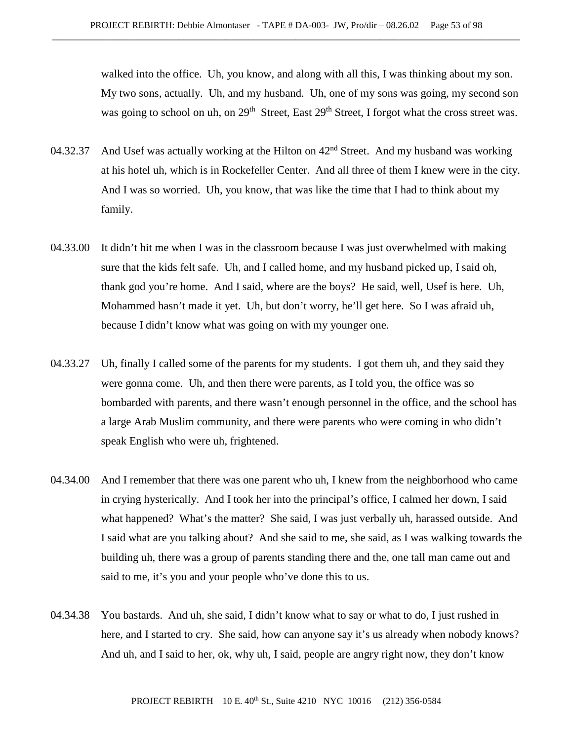walked into the office. Uh, you know, and along with all this, I was thinking about my son. My two sons, actually. Uh, and my husband. Uh, one of my sons was going, my second son was going to school on uh, on 29<sup>th</sup> Street, East 29<sup>th</sup> Street, I forgot what the cross street was.

- 04.32.37 And Usef was actually working at the Hilton on  $42<sup>nd</sup>$  Street. And my husband was working at his hotel uh, which is in Rockefeller Center. And all three of them I knew were in the city. And I was so worried. Uh, you know, that was like the time that I had to think about my family.
- 04.33.00 It didn't hit me when I was in the classroom because I was just overwhelmed with making sure that the kids felt safe. Uh, and I called home, and my husband picked up, I said oh, thank god you're home. And I said, where are the boys? He said, well, Usef is here. Uh, Mohammed hasn't made it yet. Uh, but don't worry, he'll get here. So I was afraid uh, because I didn't know what was going on with my younger one.
- 04.33.27 Uh, finally I called some of the parents for my students. I got them uh, and they said they were gonna come. Uh, and then there were parents, as I told you, the office was so bombarded with parents, and there wasn't enough personnel in the office, and the school has a large Arab Muslim community, and there were parents who were coming in who didn't speak English who were uh, frightened.
- 04.34.00 And I remember that there was one parent who uh, I knew from the neighborhood who came in crying hysterically. And I took her into the principal's office, I calmed her down, I said what happened? What's the matter? She said, I was just verbally uh, harassed outside. And I said what are you talking about? And she said to me, she said, as I was walking towards the building uh, there was a group of parents standing there and the, one tall man came out and said to me, it's you and your people who've done this to us.
- 04.34.38 You bastards. And uh, she said, I didn't know what to say or what to do, I just rushed in here, and I started to cry. She said, how can anyone say it's us already when nobody knows? And uh, and I said to her, ok, why uh, I said, people are angry right now, they don't know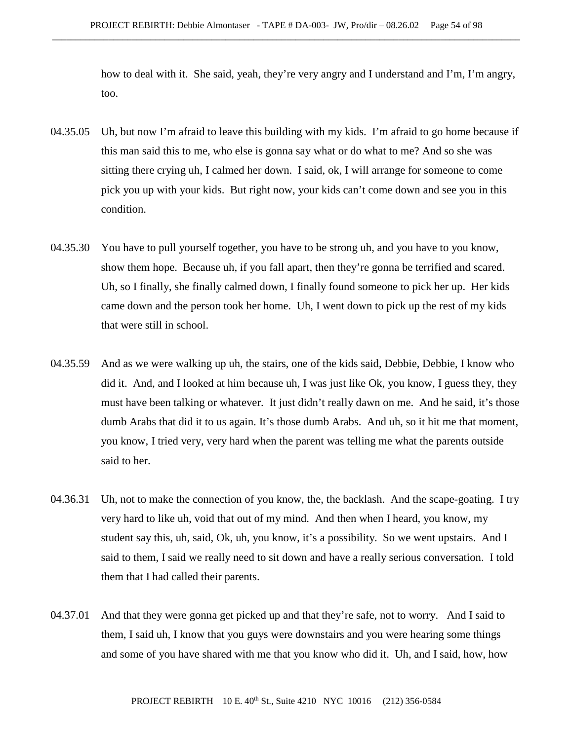how to deal with it. She said, yeah, they're very angry and I understand and I'm, I'm angry, too.

- 04.35.05 Uh, but now I'm afraid to leave this building with my kids. I'm afraid to go home because if this man said this to me, who else is gonna say what or do what to me? And so she was sitting there crying uh, I calmed her down. I said, ok, I will arrange for someone to come pick you up with your kids. But right now, your kids can't come down and see you in this condition.
- 04.35.30 You have to pull yourself together, you have to be strong uh, and you have to you know, show them hope. Because uh, if you fall apart, then they're gonna be terrified and scared. Uh, so I finally, she finally calmed down, I finally found someone to pick her up. Her kids came down and the person took her home. Uh, I went down to pick up the rest of my kids that were still in school.
- 04.35.59 And as we were walking up uh, the stairs, one of the kids said, Debbie, Debbie, I know who did it. And, and I looked at him because uh, I was just like Ok, you know, I guess they, they must have been talking or whatever. It just didn't really dawn on me. And he said, it's those dumb Arabs that did it to us again. It's those dumb Arabs. And uh, so it hit me that moment, you know, I tried very, very hard when the parent was telling me what the parents outside said to her.
- 04.36.31 Uh, not to make the connection of you know, the, the backlash. And the scape-goating. I try very hard to like uh, void that out of my mind. And then when I heard, you know, my student say this, uh, said, Ok, uh, you know, it's a possibility. So we went upstairs. And I said to them, I said we really need to sit down and have a really serious conversation. I told them that I had called their parents.
- 04.37.01 And that they were gonna get picked up and that they're safe, not to worry. And I said to them, I said uh, I know that you guys were downstairs and you were hearing some things and some of you have shared with me that you know who did it. Uh, and I said, how, how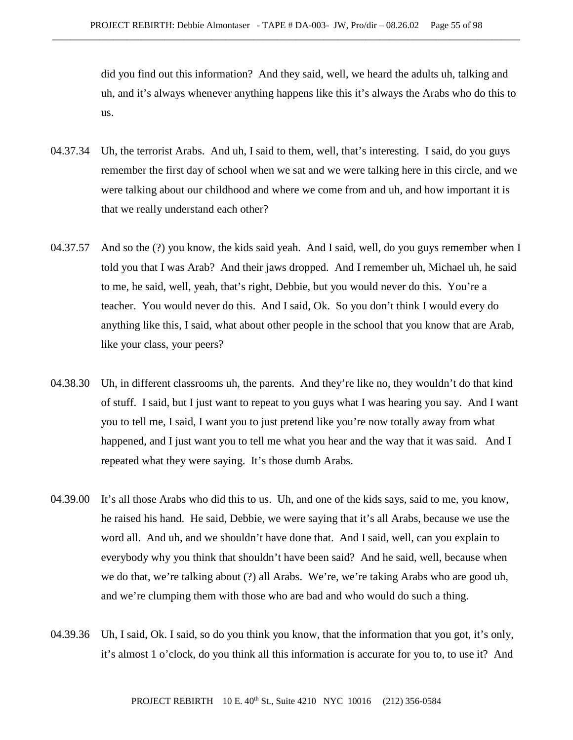did you find out this information? And they said, well, we heard the adults uh, talking and uh, and it's always whenever anything happens like this it's always the Arabs who do this to us.

- 04.37.34 Uh, the terrorist Arabs. And uh, I said to them, well, that's interesting. I said, do you guys remember the first day of school when we sat and we were talking here in this circle, and we were talking about our childhood and where we come from and uh, and how important it is that we really understand each other?
- 04.37.57 And so the (?) you know, the kids said yeah. And I said, well, do you guys remember when I told you that I was Arab? And their jaws dropped. And I remember uh, Michael uh, he said to me, he said, well, yeah, that's right, Debbie, but you would never do this. You're a teacher. You would never do this. And I said, Ok. So you don't think I would every do anything like this, I said, what about other people in the school that you know that are Arab, like your class, your peers?
- 04.38.30 Uh, in different classrooms uh, the parents. And they're like no, they wouldn't do that kind of stuff. I said, but I just want to repeat to you guys what I was hearing you say. And I want you to tell me, I said, I want you to just pretend like you're now totally away from what happened, and I just want you to tell me what you hear and the way that it was said. And I repeated what they were saying. It's those dumb Arabs.
- 04.39.00 It's all those Arabs who did this to us. Uh, and one of the kids says, said to me, you know, he raised his hand. He said, Debbie, we were saying that it's all Arabs, because we use the word all. And uh, and we shouldn't have done that. And I said, well, can you explain to everybody why you think that shouldn't have been said? And he said, well, because when we do that, we're talking about (?) all Arabs. We're, we're taking Arabs who are good uh, and we're clumping them with those who are bad and who would do such a thing.
- 04.39.36 Uh, I said, Ok. I said, so do you think you know, that the information that you got, it's only, it's almost 1 o'clock, do you think all this information is accurate for you to, to use it? And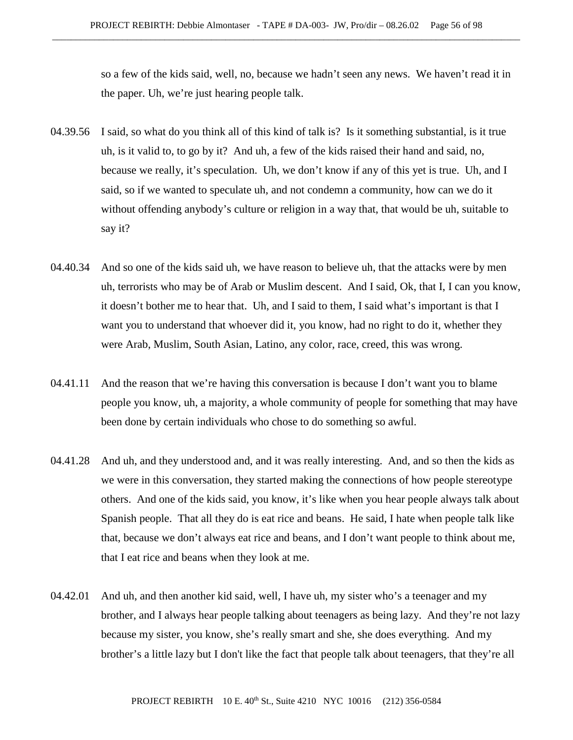so a few of the kids said, well, no, because we hadn't seen any news. We haven't read it in the paper. Uh, we're just hearing people talk.

- 04.39.56 I said, so what do you think all of this kind of talk is? Is it something substantial, is it true uh, is it valid to, to go by it? And uh, a few of the kids raised their hand and said, no, because we really, it's speculation. Uh, we don't know if any of this yet is true. Uh, and I said, so if we wanted to speculate uh, and not condemn a community, how can we do it without offending anybody's culture or religion in a way that, that would be uh, suitable to say it?
- 04.40.34 And so one of the kids said uh, we have reason to believe uh, that the attacks were by men uh, terrorists who may be of Arab or Muslim descent. And I said, Ok, that I, I can you know, it doesn't bother me to hear that. Uh, and I said to them, I said what's important is that I want you to understand that whoever did it, you know, had no right to do it, whether they were Arab, Muslim, South Asian, Latino, any color, race, creed, this was wrong.
- 04.41.11 And the reason that we're having this conversation is because I don't want you to blame people you know, uh, a majority, a whole community of people for something that may have been done by certain individuals who chose to do something so awful.
- 04.41.28 And uh, and they understood and, and it was really interesting. And, and so then the kids as we were in this conversation, they started making the connections of how people stereotype others. And one of the kids said, you know, it's like when you hear people always talk about Spanish people. That all they do is eat rice and beans. He said, I hate when people talk like that, because we don't always eat rice and beans, and I don't want people to think about me, that I eat rice and beans when they look at me.
- 04.42.01 And uh, and then another kid said, well, I have uh, my sister who's a teenager and my brother, and I always hear people talking about teenagers as being lazy. And they're not lazy because my sister, you know, she's really smart and she, she does everything. And my brother's a little lazy but I don't like the fact that people talk about teenagers, that they're all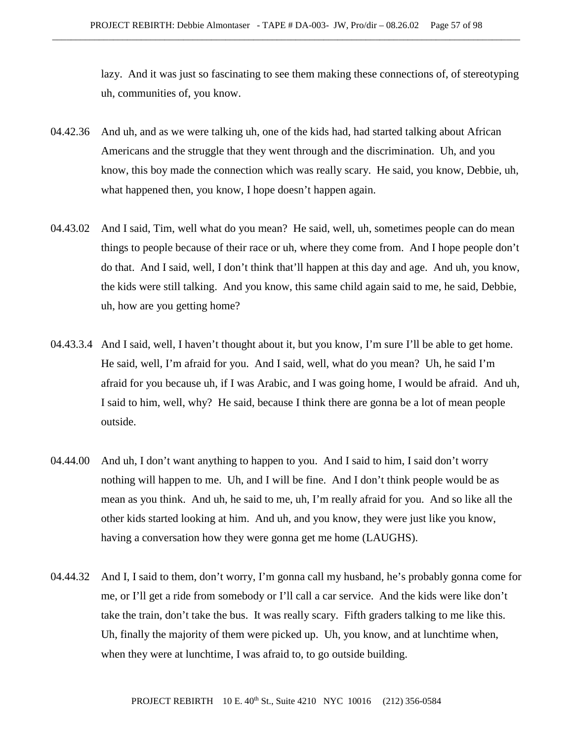lazy. And it was just so fascinating to see them making these connections of, of stereotyping uh, communities of, you know.

- 04.42.36 And uh, and as we were talking uh, one of the kids had, had started talking about African Americans and the struggle that they went through and the discrimination. Uh, and you know, this boy made the connection which was really scary. He said, you know, Debbie, uh, what happened then, you know, I hope doesn't happen again.
- 04.43.02 And I said, Tim, well what do you mean? He said, well, uh, sometimes people can do mean things to people because of their race or uh, where they come from. And I hope people don't do that. And I said, well, I don't think that'll happen at this day and age. And uh, you know, the kids were still talking. And you know, this same child again said to me, he said, Debbie, uh, how are you getting home?
- 04.43.3.4 And I said, well, I haven't thought about it, but you know, I'm sure I'll be able to get home. He said, well, I'm afraid for you. And I said, well, what do you mean? Uh, he said I'm afraid for you because uh, if I was Arabic, and I was going home, I would be afraid. And uh, I said to him, well, why? He said, because I think there are gonna be a lot of mean people outside.
- 04.44.00 And uh, I don't want anything to happen to you. And I said to him, I said don't worry nothing will happen to me. Uh, and I will be fine. And I don't think people would be as mean as you think. And uh, he said to me, uh, I'm really afraid for you. And so like all the other kids started looking at him. And uh, and you know, they were just like you know, having a conversation how they were gonna get me home (LAUGHS).
- 04.44.32 And I, I said to them, don't worry, I'm gonna call my husband, he's probably gonna come for me, or I'll get a ride from somebody or I'll call a car service. And the kids were like don't take the train, don't take the bus. It was really scary. Fifth graders talking to me like this. Uh, finally the majority of them were picked up. Uh, you know, and at lunchtime when, when they were at lunchtime, I was afraid to, to go outside building.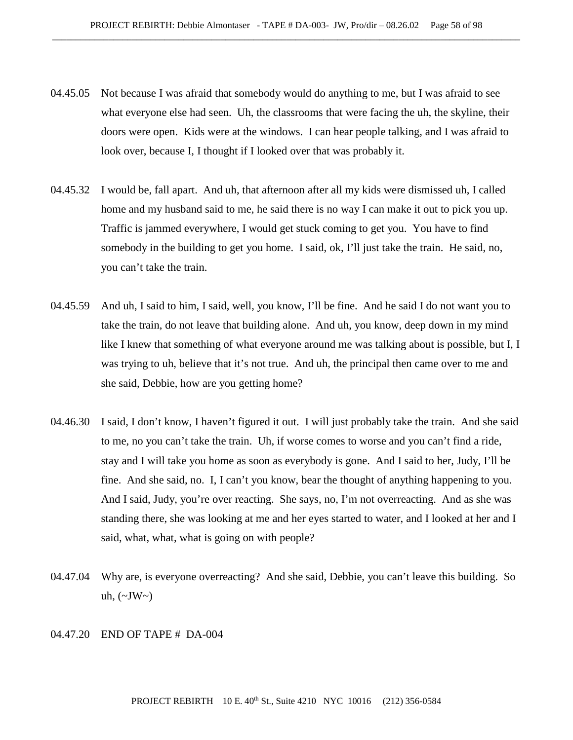- 04.45.05 Not because I was afraid that somebody would do anything to me, but I was afraid to see what everyone else had seen. Uh, the classrooms that were facing the uh, the skyline, their doors were open. Kids were at the windows. I can hear people talking, and I was afraid to look over, because I, I thought if I looked over that was probably it.
- 04.45.32 I would be, fall apart. And uh, that afternoon after all my kids were dismissed uh, I called home and my husband said to me, he said there is no way I can make it out to pick you up. Traffic is jammed everywhere, I would get stuck coming to get you. You have to find somebody in the building to get you home. I said, ok, I'll just take the train. He said, no, you can't take the train.
- 04.45.59 And uh, I said to him, I said, well, you know, I'll be fine. And he said I do not want you to take the train, do not leave that building alone. And uh, you know, deep down in my mind like I knew that something of what everyone around me was talking about is possible, but I, I was trying to uh, believe that it's not true. And uh, the principal then came over to me and she said, Debbie, how are you getting home?
- 04.46.30 I said, I don't know, I haven't figured it out. I will just probably take the train. And she said to me, no you can't take the train. Uh, if worse comes to worse and you can't find a ride, stay and I will take you home as soon as everybody is gone. And I said to her, Judy, I'll be fine. And she said, no. I, I can't you know, bear the thought of anything happening to you. And I said, Judy, you're over reacting. She says, no, I'm not overreacting. And as she was standing there, she was looking at me and her eyes started to water, and I looked at her and I said, what, what, what is going on with people?
- 04.47.04 Why are, is everyone overreacting? And she said, Debbie, you can't leave this building. So uh,  $(\sim JW \sim)$

## 04.47.20 END OF TAPE # DA-004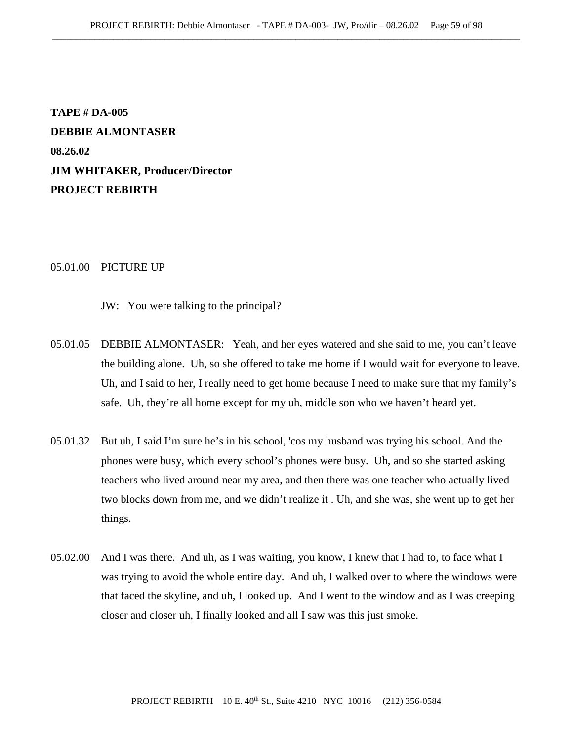**TAPE # DA-005 DEBBIE ALMONTASER 08.26.02 JIM WHITAKER, Producer/Director PROJECT REBIRTH**

## 05.01.00 PICTURE UP

JW: You were talking to the principal?

- 05.01.05 DEBBIE ALMONTASER: Yeah, and her eyes watered and she said to me, you can't leave the building alone. Uh, so she offered to take me home if I would wait for everyone to leave. Uh, and I said to her, I really need to get home because I need to make sure that my family's safe. Uh, they're all home except for my uh, middle son who we haven't heard yet.
- 05.01.32 But uh, I said I'm sure he's in his school, 'cos my husband was trying his school. And the phones were busy, which every school's phones were busy. Uh, and so she started asking teachers who lived around near my area, and then there was one teacher who actually lived two blocks down from me, and we didn't realize it . Uh, and she was, she went up to get her things.
- 05.02.00 And I was there. And uh, as I was waiting, you know, I knew that I had to, to face what I was trying to avoid the whole entire day. And uh, I walked over to where the windows were that faced the skyline, and uh, I looked up. And I went to the window and as I was creeping closer and closer uh, I finally looked and all I saw was this just smoke.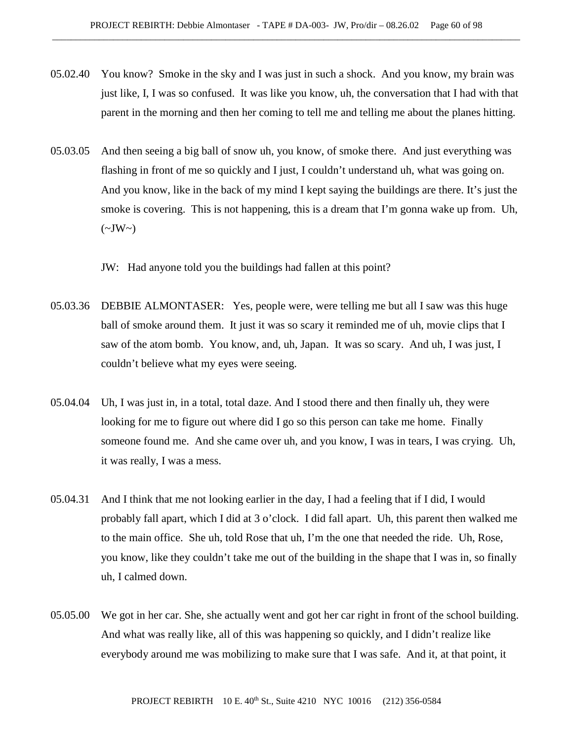- 05.02.40 You know? Smoke in the sky and I was just in such a shock. And you know, my brain was just like, I, I was so confused. It was like you know, uh, the conversation that I had with that parent in the morning and then her coming to tell me and telling me about the planes hitting.
- 05.03.05 And then seeing a big ball of snow uh, you know, of smoke there. And just everything was flashing in front of me so quickly and I just, I couldn't understand uh, what was going on. And you know, like in the back of my mind I kept saying the buildings are there. It's just the smoke is covering. This is not happening, this is a dream that I'm gonna wake up from. Uh,  $(\sim JW \sim)$

JW: Had anyone told you the buildings had fallen at this point?

- 05.03.36 DEBBIE ALMONTASER: Yes, people were, were telling me but all I saw was this huge ball of smoke around them. It just it was so scary it reminded me of uh, movie clips that I saw of the atom bomb. You know, and, uh, Japan. It was so scary. And uh, I was just, I couldn't believe what my eyes were seeing.
- 05.04.04 Uh, I was just in, in a total, total daze. And I stood there and then finally uh, they were looking for me to figure out where did I go so this person can take me home. Finally someone found me. And she came over uh, and you know, I was in tears, I was crying. Uh, it was really, I was a mess.
- 05.04.31 And I think that me not looking earlier in the day, I had a feeling that if I did, I would probably fall apart, which I did at 3 o'clock. I did fall apart. Uh, this parent then walked me to the main office. She uh, told Rose that uh, I'm the one that needed the ride. Uh, Rose, you know, like they couldn't take me out of the building in the shape that I was in, so finally uh, I calmed down.
- 05.05.00 We got in her car. She, she actually went and got her car right in front of the school building. And what was really like, all of this was happening so quickly, and I didn't realize like everybody around me was mobilizing to make sure that I was safe. And it, at that point, it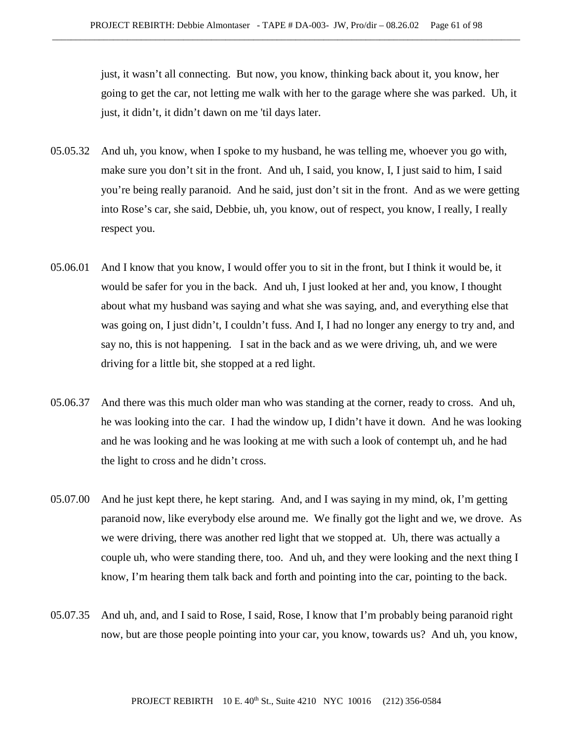just, it wasn't all connecting. But now, you know, thinking back about it, you know, her going to get the car, not letting me walk with her to the garage where she was parked. Uh, it just, it didn't, it didn't dawn on me 'til days later.

- 05.05.32 And uh, you know, when I spoke to my husband, he was telling me, whoever you go with, make sure you don't sit in the front. And uh, I said, you know, I, I just said to him, I said you're being really paranoid. And he said, just don't sit in the front. And as we were getting into Rose's car, she said, Debbie, uh, you know, out of respect, you know, I really, I really respect you.
- 05.06.01 And I know that you know, I would offer you to sit in the front, but I think it would be, it would be safer for you in the back. And uh, I just looked at her and, you know, I thought about what my husband was saying and what she was saying, and, and everything else that was going on, I just didn't, I couldn't fuss. And I, I had no longer any energy to try and, and say no, this is not happening. I sat in the back and as we were driving, uh, and we were driving for a little bit, she stopped at a red light.
- 05.06.37 And there was this much older man who was standing at the corner, ready to cross. And uh, he was looking into the car. I had the window up, I didn't have it down. And he was looking and he was looking and he was looking at me with such a look of contempt uh, and he had the light to cross and he didn't cross.
- 05.07.00 And he just kept there, he kept staring. And, and I was saying in my mind, ok, I'm getting paranoid now, like everybody else around me. We finally got the light and we, we drove. As we were driving, there was another red light that we stopped at. Uh, there was actually a couple uh, who were standing there, too. And uh, and they were looking and the next thing I know, I'm hearing them talk back and forth and pointing into the car, pointing to the back.
- 05.07.35 And uh, and, and I said to Rose, I said, Rose, I know that I'm probably being paranoid right now, but are those people pointing into your car, you know, towards us? And uh, you know,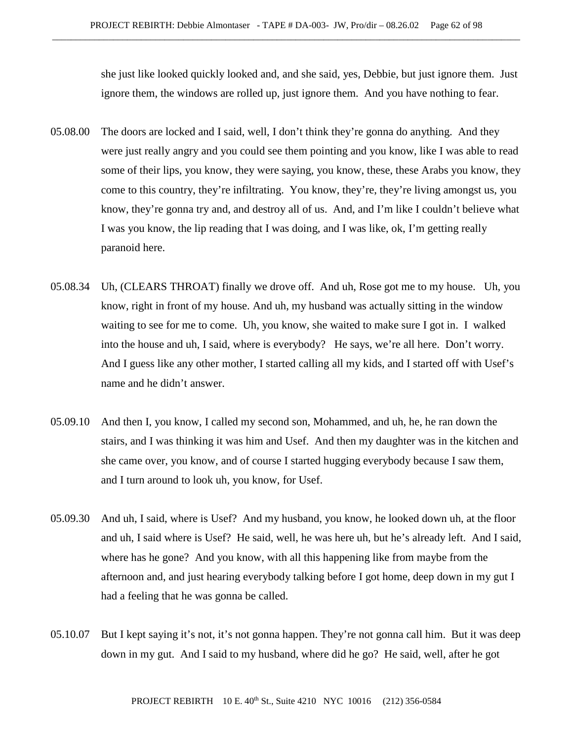she just like looked quickly looked and, and she said, yes, Debbie, but just ignore them. Just ignore them, the windows are rolled up, just ignore them. And you have nothing to fear.

- 05.08.00 The doors are locked and I said, well, I don't think they're gonna do anything. And they were just really angry and you could see them pointing and you know, like I was able to read some of their lips, you know, they were saying, you know, these, these Arabs you know, they come to this country, they're infiltrating. You know, they're, they're living amongst us, you know, they're gonna try and, and destroy all of us. And, and I'm like I couldn't believe what I was you know, the lip reading that I was doing, and I was like, ok, I'm getting really paranoid here.
- 05.08.34 Uh, (CLEARS THROAT) finally we drove off. And uh, Rose got me to my house. Uh, you know, right in front of my house. And uh, my husband was actually sitting in the window waiting to see for me to come. Uh, you know, she waited to make sure I got in. I walked into the house and uh, I said, where is everybody? He says, we're all here. Don't worry. And I guess like any other mother, I started calling all my kids, and I started off with Usef's name and he didn't answer.
- 05.09.10 And then I, you know, I called my second son, Mohammed, and uh, he, he ran down the stairs, and I was thinking it was him and Usef. And then my daughter was in the kitchen and she came over, you know, and of course I started hugging everybody because I saw them, and I turn around to look uh, you know, for Usef.
- 05.09.30 And uh, I said, where is Usef? And my husband, you know, he looked down uh, at the floor and uh, I said where is Usef? He said, well, he was here uh, but he's already left. And I said, where has he gone? And you know, with all this happening like from maybe from the afternoon and, and just hearing everybody talking before I got home, deep down in my gut I had a feeling that he was gonna be called.
- 05.10.07 But I kept saying it's not, it's not gonna happen. They're not gonna call him. But it was deep down in my gut. And I said to my husband, where did he go? He said, well, after he got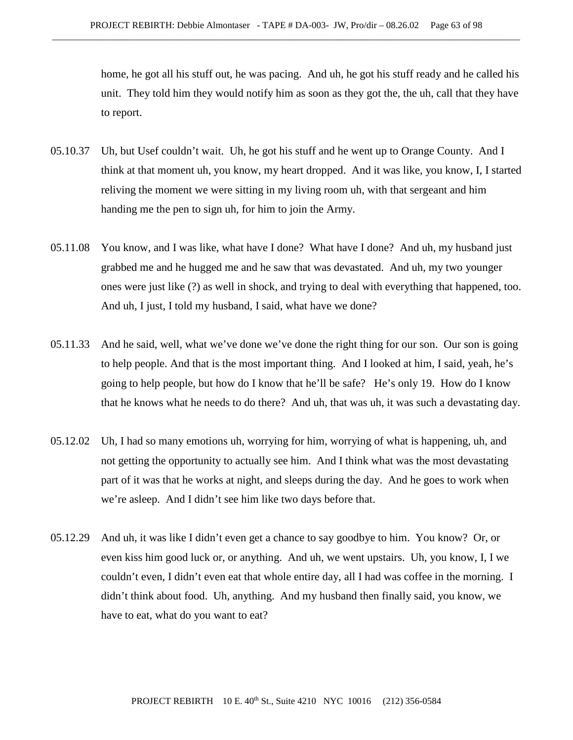home, he got all his stuff out, he was pacing. And uh, he got his stuff ready and he called his unit. They told him they would notify him as soon as they got the, the uh, call that they have to report.

- 05.10.37 Uh, but Usef couldn't wait. Uh, he got his stuff and he went up to Orange County. And I think at that moment uh, you know, my heart dropped. And it was like, you know, I, I started reliving the moment we were sitting in my living room uh, with that sergeant and him handing me the pen to sign uh, for him to join the Army.
- 05.11.08 You know, and I was like, what have I done? What have I done? And uh, my husband just grabbed me and he hugged me and he saw that was devastated. And uh, my two younger ones were just like (?) as well in shock, and trying to deal with everything that happened, too. And uh, I just, I told my husband, I said, what have we done?
- 05.11.33 And he said, well, what we've done we've done the right thing for our son. Our son is going to help people. And that is the most important thing. And I looked at him, I said, yeah, he's going to help people, but how do I know that he'll be safe? He's only 19. How do I know that he knows what he needs to do there? And uh, that was uh, it was such a devastating day.
- 05.12.02 Uh, I had so many emotions uh, worrying for him, worrying of what is happening, uh, and not getting the opportunity to actually see him. And I think what was the most devastating part of it was that he works at night, and sleeps during the day. And he goes to work when we're asleep. And I didn't see him like two days before that.
- 05.12.29 And uh, it was like I didn't even get a chance to say goodbye to him. You know? Or, or even kiss him good luck or, or anything. And uh, we went upstairs. Uh, you know, I, I we couldn't even, I didn't even eat that whole entire day, all I had was coffee in the morning. I didn't think about food. Uh, anything. And my husband then finally said, you know, we have to eat, what do you want to eat?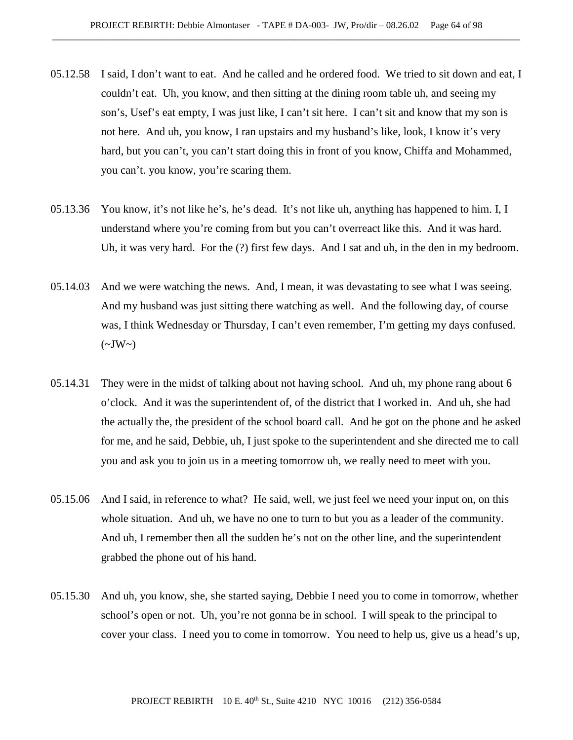- 05.12.58 I said, I don't want to eat. And he called and he ordered food. We tried to sit down and eat, I couldn't eat. Uh, you know, and then sitting at the dining room table uh, and seeing my son's, Usef's eat empty, I was just like, I can't sit here. I can't sit and know that my son is not here. And uh, you know, I ran upstairs and my husband's like, look, I know it's very hard, but you can't, you can't start doing this in front of you know, Chiffa and Mohammed, you can't. you know, you're scaring them.
- 05.13.36 You know, it's not like he's, he's dead. It's not like uh, anything has happened to him. I, I understand where you're coming from but you can't overreact like this. And it was hard. Uh, it was very hard. For the (?) first few days. And I sat and uh, in the den in my bedroom.
- 05.14.03 And we were watching the news. And, I mean, it was devastating to see what I was seeing. And my husband was just sitting there watching as well. And the following day, of course was, I think Wednesday or Thursday, I can't even remember, I'm getting my days confused.  $(\sim JW\sim)$
- 05.14.31 They were in the midst of talking about not having school. And uh, my phone rang about 6 o'clock. And it was the superintendent of, of the district that I worked in. And uh, she had the actually the, the president of the school board call. And he got on the phone and he asked for me, and he said, Debbie, uh, I just spoke to the superintendent and she directed me to call you and ask you to join us in a meeting tomorrow uh, we really need to meet with you.
- 05.15.06 And I said, in reference to what? He said, well, we just feel we need your input on, on this whole situation. And uh, we have no one to turn to but you as a leader of the community. And uh, I remember then all the sudden he's not on the other line, and the superintendent grabbed the phone out of his hand.
- 05.15.30 And uh, you know, she, she started saying, Debbie I need you to come in tomorrow, whether school's open or not. Uh, you're not gonna be in school. I will speak to the principal to cover your class. I need you to come in tomorrow. You need to help us, give us a head's up,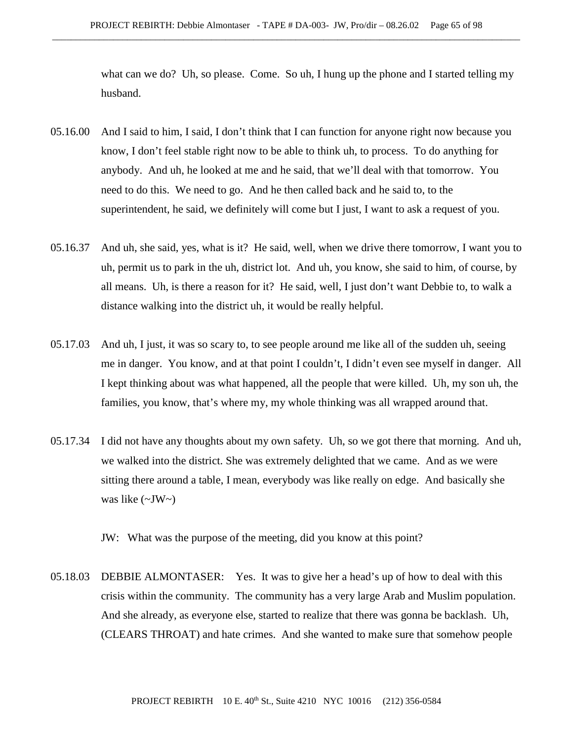what can we do? Uh, so please. Come. So uh, I hung up the phone and I started telling my husband.

- 05.16.00 And I said to him, I said, I don't think that I can function for anyone right now because you know, I don't feel stable right now to be able to think uh, to process. To do anything for anybody. And uh, he looked at me and he said, that we'll deal with that tomorrow. You need to do this. We need to go. And he then called back and he said to, to the superintendent, he said, we definitely will come but I just, I want to ask a request of you.
- 05.16.37 And uh, she said, yes, what is it? He said, well, when we drive there tomorrow, I want you to uh, permit us to park in the uh, district lot. And uh, you know, she said to him, of course, by all means. Uh, is there a reason for it? He said, well, I just don't want Debbie to, to walk a distance walking into the district uh, it would be really helpful.
- 05.17.03 And uh, I just, it was so scary to, to see people around me like all of the sudden uh, seeing me in danger. You know, and at that point I couldn't, I didn't even see myself in danger. All I kept thinking about was what happened, all the people that were killed. Uh, my son uh, the families, you know, that's where my, my whole thinking was all wrapped around that.
- 05.17.34 I did not have any thoughts about my own safety. Uh, so we got there that morning. And uh, we walked into the district. She was extremely delighted that we came. And as we were sitting there around a table, I mean, everybody was like really on edge. And basically she was like  $(\sim JW)$

JW: What was the purpose of the meeting, did you know at this point?

05.18.03 DEBBIE ALMONTASER: Yes. It was to give her a head's up of how to deal with this crisis within the community. The community has a very large Arab and Muslim population. And she already, as everyone else, started to realize that there was gonna be backlash. Uh, (CLEARS THROAT) and hate crimes. And she wanted to make sure that somehow people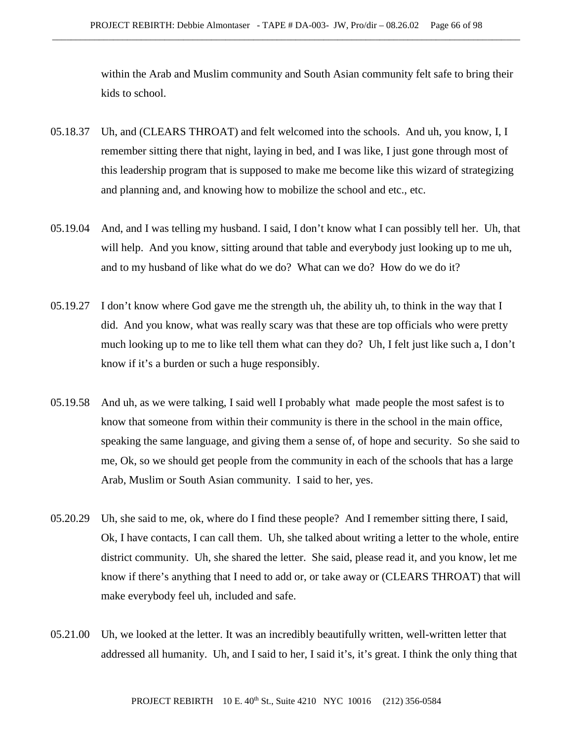within the Arab and Muslim community and South Asian community felt safe to bring their kids to school.

- 05.18.37 Uh, and (CLEARS THROAT) and felt welcomed into the schools. And uh, you know, I, I remember sitting there that night, laying in bed, and I was like, I just gone through most of this leadership program that is supposed to make me become like this wizard of strategizing and planning and, and knowing how to mobilize the school and etc., etc.
- 05.19.04 And, and I was telling my husband. I said, I don't know what I can possibly tell her. Uh, that will help. And you know, sitting around that table and everybody just looking up to me uh, and to my husband of like what do we do? What can we do? How do we do it?
- 05.19.27 I don't know where God gave me the strength uh, the ability uh, to think in the way that I did. And you know, what was really scary was that these are top officials who were pretty much looking up to me to like tell them what can they do? Uh, I felt just like such a, I don't know if it's a burden or such a huge responsibly.
- 05.19.58 And uh, as we were talking, I said well I probably what made people the most safest is to know that someone from within their community is there in the school in the main office, speaking the same language, and giving them a sense of, of hope and security. So she said to me, Ok, so we should get people from the community in each of the schools that has a large Arab, Muslim or South Asian community. I said to her, yes.
- 05.20.29 Uh, she said to me, ok, where do I find these people? And I remember sitting there, I said, Ok, I have contacts, I can call them. Uh, she talked about writing a letter to the whole, entire district community. Uh, she shared the letter. She said, please read it, and you know, let me know if there's anything that I need to add or, or take away or (CLEARS THROAT) that will make everybody feel uh, included and safe.
- 05.21.00 Uh, we looked at the letter. It was an incredibly beautifully written, well-written letter that addressed all humanity. Uh, and I said to her, I said it's, it's great. I think the only thing that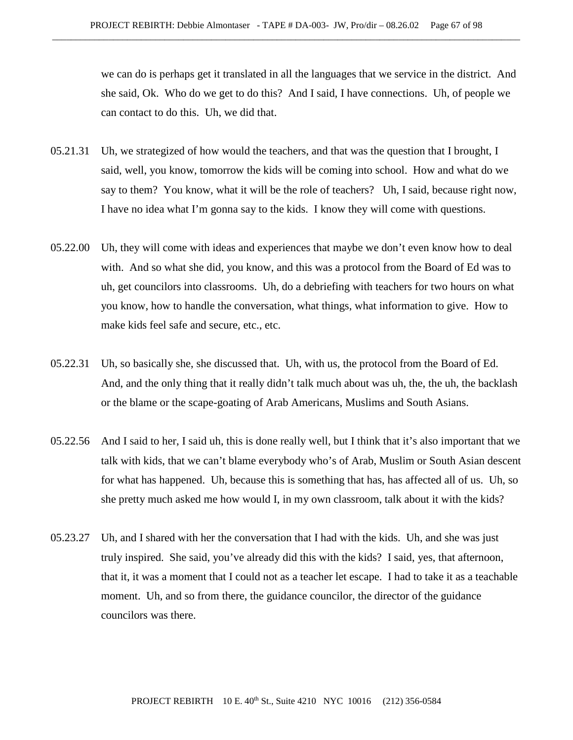we can do is perhaps get it translated in all the languages that we service in the district. And she said, Ok. Who do we get to do this? And I said, I have connections. Uh, of people we can contact to do this. Uh, we did that.

- 05.21.31 Uh, we strategized of how would the teachers, and that was the question that I brought, I said, well, you know, tomorrow the kids will be coming into school. How and what do we say to them? You know, what it will be the role of teachers? Uh, I said, because right now, I have no idea what I'm gonna say to the kids. I know they will come with questions.
- 05.22.00 Uh, they will come with ideas and experiences that maybe we don't even know how to deal with. And so what she did, you know, and this was a protocol from the Board of Ed was to uh, get councilors into classrooms. Uh, do a debriefing with teachers for two hours on what you know, how to handle the conversation, what things, what information to give. How to make kids feel safe and secure, etc., etc.
- 05.22.31 Uh, so basically she, she discussed that. Uh, with us, the protocol from the Board of Ed. And, and the only thing that it really didn't talk much about was uh, the, the uh, the backlash or the blame or the scape-goating of Arab Americans, Muslims and South Asians.
- 05.22.56 And I said to her, I said uh, this is done really well, but I think that it's also important that we talk with kids, that we can't blame everybody who's of Arab, Muslim or South Asian descent for what has happened. Uh, because this is something that has, has affected all of us. Uh, so she pretty much asked me how would I, in my own classroom, talk about it with the kids?
- 05.23.27 Uh, and I shared with her the conversation that I had with the kids. Uh, and she was just truly inspired. She said, you've already did this with the kids? I said, yes, that afternoon, that it, it was a moment that I could not as a teacher let escape. I had to take it as a teachable moment. Uh, and so from there, the guidance councilor, the director of the guidance councilors was there.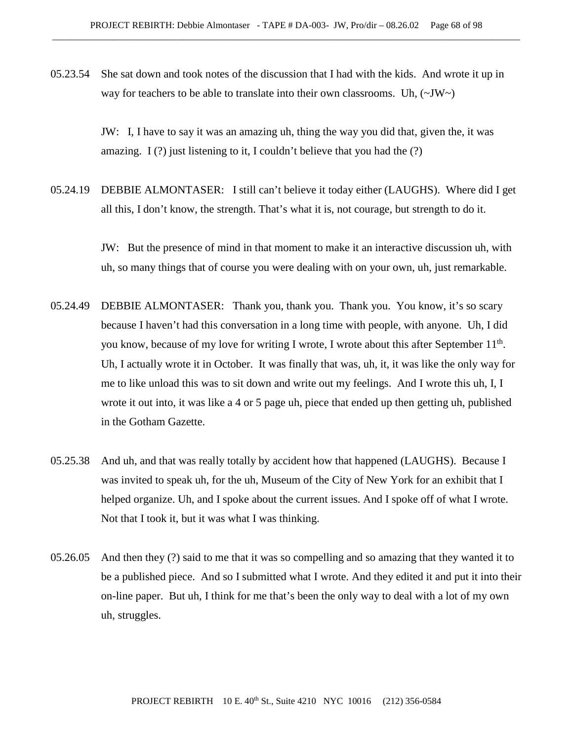05.23.54 She sat down and took notes of the discussion that I had with the kids. And wrote it up in way for teachers to be able to translate into their own classrooms. Uh,  $(\sim JW)$ 

> JW: I, I have to say it was an amazing uh, thing the way you did that, given the, it was amazing. I  $(?)$  just listening to it, I couldn't believe that you had the  $(?)$

05.24.19 DEBBIE ALMONTASER: I still can't believe it today either (LAUGHS). Where did I get all this, I don't know, the strength. That's what it is, not courage, but strength to do it.

> JW: But the presence of mind in that moment to make it an interactive discussion uh, with uh, so many things that of course you were dealing with on your own, uh, just remarkable.

- 05.24.49 DEBBIE ALMONTASER: Thank you, thank you. Thank you. You know, it's so scary because I haven't had this conversation in a long time with people, with anyone. Uh, I did you know, because of my love for writing I wrote, I wrote about this after September  $11<sup>th</sup>$ . Uh, I actually wrote it in October. It was finally that was, uh, it, it was like the only way for me to like unload this was to sit down and write out my feelings. And I wrote this uh, I, I wrote it out into, it was like a 4 or 5 page uh, piece that ended up then getting uh, published in the Gotham Gazette.
- 05.25.38 And uh, and that was really totally by accident how that happened (LAUGHS). Because I was invited to speak uh, for the uh, Museum of the City of New York for an exhibit that I helped organize. Uh, and I spoke about the current issues. And I spoke off of what I wrote. Not that I took it, but it was what I was thinking.
- 05.26.05 And then they (?) said to me that it was so compelling and so amazing that they wanted it to be a published piece. And so I submitted what I wrote. And they edited it and put it into their on-line paper. But uh, I think for me that's been the only way to deal with a lot of my own uh, struggles.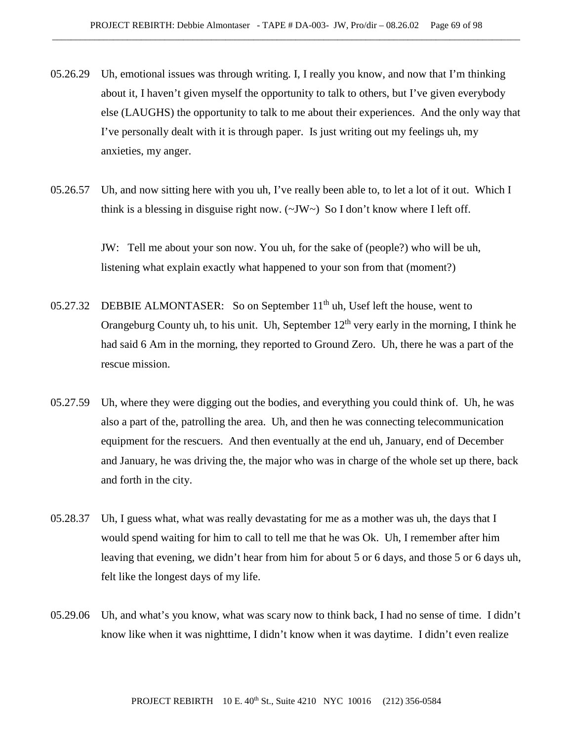- 05.26.29 Uh, emotional issues was through writing. I, I really you know, and now that I'm thinking about it, I haven't given myself the opportunity to talk to others, but I've given everybody else (LAUGHS) the opportunity to talk to me about their experiences. And the only way that I've personally dealt with it is through paper. Is just writing out my feelings uh, my anxieties, my anger.
- 05.26.57 Uh, and now sitting here with you uh, I've really been able to, to let a lot of it out. Which I think is a blessing in disguise right now.  $(\sim JW \sim)$  So I don't know where I left off.

JW: Tell me about your son now. You uh, for the sake of (people?) who will be uh, listening what explain exactly what happened to your son from that (moment?)

- 05.27.32 DEBBIE ALMONTASER: So on September 11<sup>th</sup> uh, Usef left the house, went to Orangeburg County uh, to his unit. Uh, September  $12<sup>th</sup>$  very early in the morning, I think he had said 6 Am in the morning, they reported to Ground Zero. Uh, there he was a part of the rescue mission.
- 05.27.59 Uh, where they were digging out the bodies, and everything you could think of. Uh, he was also a part of the, patrolling the area. Uh, and then he was connecting telecommunication equipment for the rescuers. And then eventually at the end uh, January, end of December and January, he was driving the, the major who was in charge of the whole set up there, back and forth in the city.
- 05.28.37 Uh, I guess what, what was really devastating for me as a mother was uh, the days that I would spend waiting for him to call to tell me that he was Ok. Uh, I remember after him leaving that evening, we didn't hear from him for about 5 or 6 days, and those 5 or 6 days uh, felt like the longest days of my life.
- 05.29.06 Uh, and what's you know, what was scary now to think back, I had no sense of time. I didn't know like when it was nighttime, I didn't know when it was daytime. I didn't even realize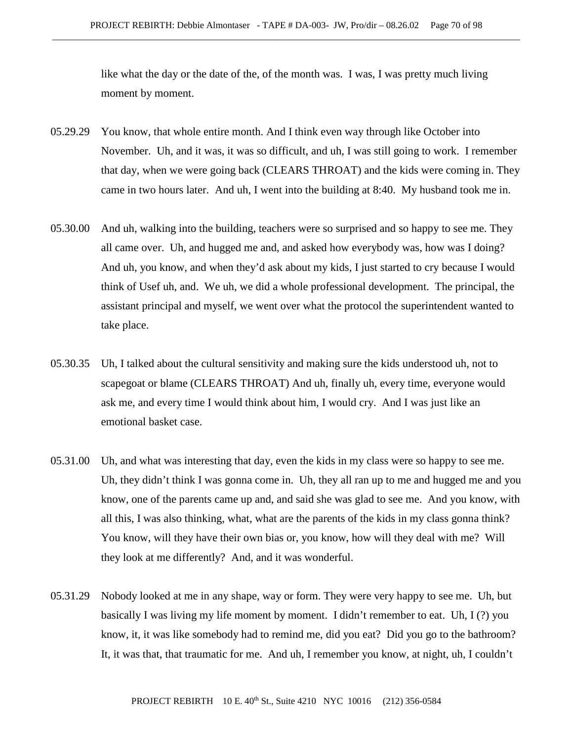like what the day or the date of the, of the month was. I was, I was pretty much living moment by moment.

- 05.29.29 You know, that whole entire month. And I think even way through like October into November. Uh, and it was, it was so difficult, and uh, I was still going to work. I remember that day, when we were going back (CLEARS THROAT) and the kids were coming in. They came in two hours later. And uh, I went into the building at 8:40. My husband took me in.
- 05.30.00 And uh, walking into the building, teachers were so surprised and so happy to see me. They all came over. Uh, and hugged me and, and asked how everybody was, how was I doing? And uh, you know, and when they'd ask about my kids, I just started to cry because I would think of Usef uh, and. We uh, we did a whole professional development. The principal, the assistant principal and myself, we went over what the protocol the superintendent wanted to take place.
- 05.30.35 Uh, I talked about the cultural sensitivity and making sure the kids understood uh, not to scapegoat or blame (CLEARS THROAT) And uh, finally uh, every time, everyone would ask me, and every time I would think about him, I would cry. And I was just like an emotional basket case.
- 05.31.00 Uh, and what was interesting that day, even the kids in my class were so happy to see me. Uh, they didn't think I was gonna come in. Uh, they all ran up to me and hugged me and you know, one of the parents came up and, and said she was glad to see me. And you know, with all this, I was also thinking, what, what are the parents of the kids in my class gonna think? You know, will they have their own bias or, you know, how will they deal with me? Will they look at me differently? And, and it was wonderful.
- 05.31.29 Nobody looked at me in any shape, way or form. They were very happy to see me. Uh, but basically I was living my life moment by moment. I didn't remember to eat. Uh, I (?) you know, it, it was like somebody had to remind me, did you eat? Did you go to the bathroom? It, it was that, that traumatic for me. And uh, I remember you know, at night, uh, I couldn't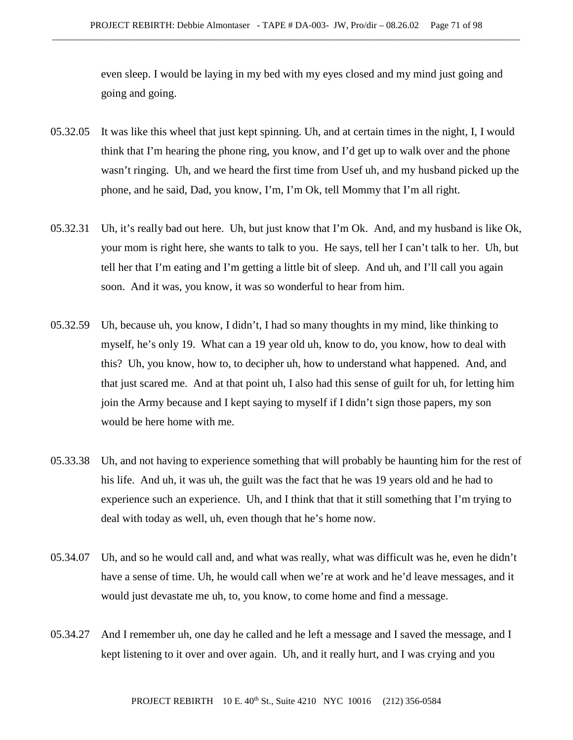even sleep. I would be laying in my bed with my eyes closed and my mind just going and going and going.

- 05.32.05 It was like this wheel that just kept spinning. Uh, and at certain times in the night, I, I would think that I'm hearing the phone ring, you know, and I'd get up to walk over and the phone wasn't ringing. Uh, and we heard the first time from Usef uh, and my husband picked up the phone, and he said, Dad, you know, I'm, I'm Ok, tell Mommy that I'm all right.
- 05.32.31 Uh, it's really bad out here. Uh, but just know that I'm Ok. And, and my husband is like Ok, your mom is right here, she wants to talk to you. He says, tell her I can't talk to her. Uh, but tell her that I'm eating and I'm getting a little bit of sleep. And uh, and I'll call you again soon. And it was, you know, it was so wonderful to hear from him.
- 05.32.59 Uh, because uh, you know, I didn't, I had so many thoughts in my mind, like thinking to myself, he's only 19. What can a 19 year old uh, know to do, you know, how to deal with this? Uh, you know, how to, to decipher uh, how to understand what happened. And, and that just scared me. And at that point uh, I also had this sense of guilt for uh, for letting him join the Army because and I kept saying to myself if I didn't sign those papers, my son would be here home with me.
- 05.33.38 Uh, and not having to experience something that will probably be haunting him for the rest of his life. And uh, it was uh, the guilt was the fact that he was 19 years old and he had to experience such an experience. Uh, and I think that that it still something that I'm trying to deal with today as well, uh, even though that he's home now.
- 05.34.07 Uh, and so he would call and, and what was really, what was difficult was he, even he didn't have a sense of time. Uh, he would call when we're at work and he'd leave messages, and it would just devastate me uh, to, you know, to come home and find a message.
- 05.34.27 And I remember uh, one day he called and he left a message and I saved the message, and I kept listening to it over and over again. Uh, and it really hurt, and I was crying and you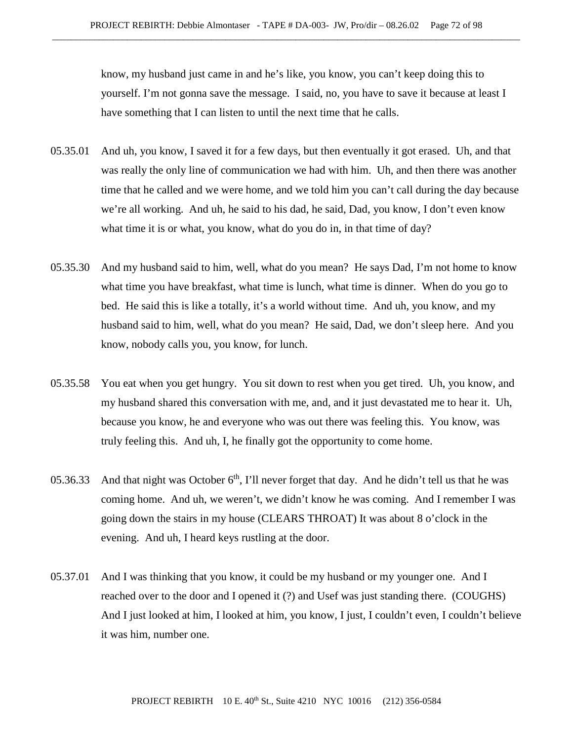know, my husband just came in and he's like, you know, you can't keep doing this to yourself. I'm not gonna save the message. I said, no, you have to save it because at least I have something that I can listen to until the next time that he calls.

- 05.35.01 And uh, you know, I saved it for a few days, but then eventually it got erased. Uh, and that was really the only line of communication we had with him. Uh, and then there was another time that he called and we were home, and we told him you can't call during the day because we're all working. And uh, he said to his dad, he said, Dad, you know, I don't even know what time it is or what, you know, what do you do in, in that time of day?
- 05.35.30 And my husband said to him, well, what do you mean? He says Dad, I'm not home to know what time you have breakfast, what time is lunch, what time is dinner. When do you go to bed. He said this is like a totally, it's a world without time. And uh, you know, and my husband said to him, well, what do you mean? He said, Dad, we don't sleep here. And you know, nobody calls you, you know, for lunch.
- 05.35.58 You eat when you get hungry. You sit down to rest when you get tired. Uh, you know, and my husband shared this conversation with me, and, and it just devastated me to hear it. Uh, because you know, he and everyone who was out there was feeling this. You know, was truly feeling this. And uh, I, he finally got the opportunity to come home.
- 05.36.33 And that night was October  $6<sup>th</sup>$ , I'll never forget that day. And he didn't tell us that he was coming home. And uh, we weren't, we didn't know he was coming. And I remember I was going down the stairs in my house (CLEARS THROAT) It was about 8 o'clock in the evening. And uh, I heard keys rustling at the door.
- 05.37.01 And I was thinking that you know, it could be my husband or my younger one. And I reached over to the door and I opened it (?) and Usef was just standing there. (COUGHS) And I just looked at him, I looked at him, you know, I just, I couldn't even, I couldn't believe it was him, number one.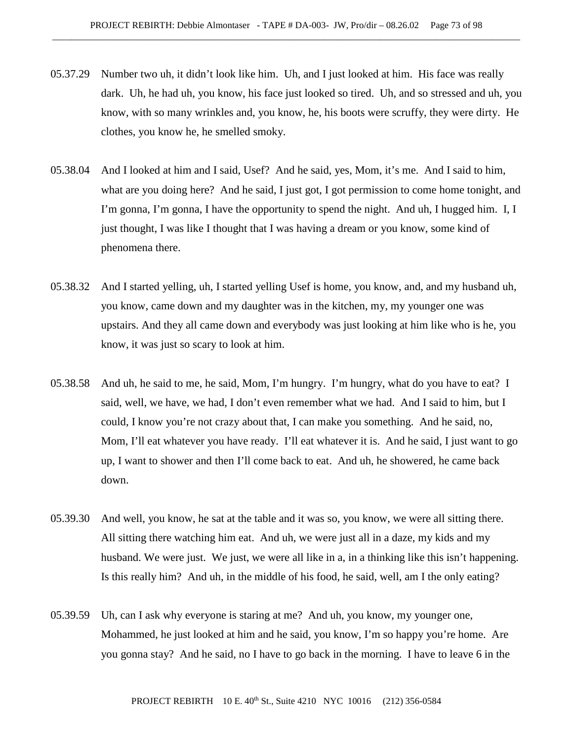- 05.37.29 Number two uh, it didn't look like him. Uh, and I just looked at him. His face was really dark. Uh, he had uh, you know, his face just looked so tired. Uh, and so stressed and uh, you know, with so many wrinkles and, you know, he, his boots were scruffy, they were dirty. He clothes, you know he, he smelled smoky.
- 05.38.04 And I looked at him and I said, Usef? And he said, yes, Mom, it's me. And I said to him, what are you doing here? And he said, I just got, I got permission to come home tonight, and I'm gonna, I'm gonna, I have the opportunity to spend the night. And uh, I hugged him. I, I just thought, I was like I thought that I was having a dream or you know, some kind of phenomena there.
- 05.38.32 And I started yelling, uh, I started yelling Usef is home, you know, and, and my husband uh, you know, came down and my daughter was in the kitchen, my, my younger one was upstairs. And they all came down and everybody was just looking at him like who is he, you know, it was just so scary to look at him.
- 05.38.58 And uh, he said to me, he said, Mom, I'm hungry. I'm hungry, what do you have to eat? I said, well, we have, we had, I don't even remember what we had. And I said to him, but I could, I know you're not crazy about that, I can make you something. And he said, no, Mom, I'll eat whatever you have ready. I'll eat whatever it is. And he said, I just want to go up, I want to shower and then I'll come back to eat. And uh, he showered, he came back down.
- 05.39.30 And well, you know, he sat at the table and it was so, you know, we were all sitting there. All sitting there watching him eat. And uh, we were just all in a daze, my kids and my husband. We were just. We just, we were all like in a, in a thinking like this isn't happening. Is this really him? And uh, in the middle of his food, he said, well, am I the only eating?
- 05.39.59 Uh, can I ask why everyone is staring at me? And uh, you know, my younger one, Mohammed, he just looked at him and he said, you know, I'm so happy you're home. Are you gonna stay? And he said, no I have to go back in the morning. I have to leave 6 in the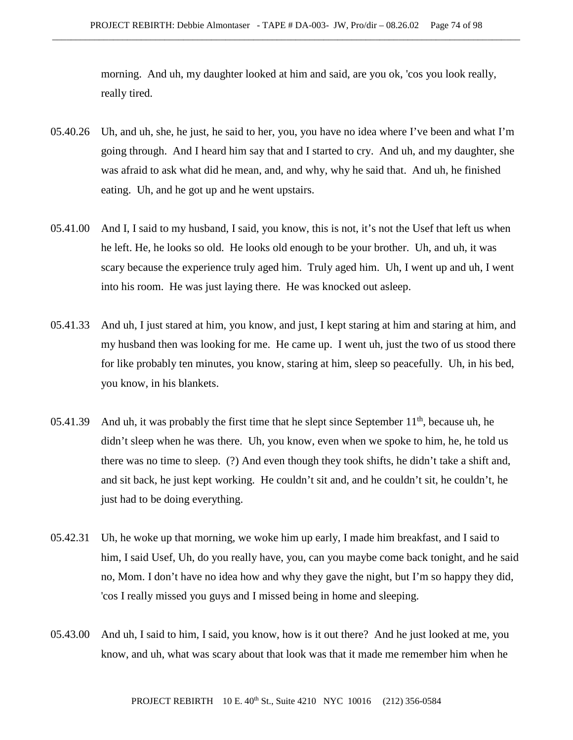morning. And uh, my daughter looked at him and said, are you ok, 'cos you look really, really tired.

- 05.40.26 Uh, and uh, she, he just, he said to her, you, you have no idea where I've been and what I'm going through. And I heard him say that and I started to cry. And uh, and my daughter, she was afraid to ask what did he mean, and, and why, why he said that. And uh, he finished eating. Uh, and he got up and he went upstairs.
- 05.41.00 And I, I said to my husband, I said, you know, this is not, it's not the Usef that left us when he left. He, he looks so old. He looks old enough to be your brother. Uh, and uh, it was scary because the experience truly aged him. Truly aged him. Uh, I went up and uh, I went into his room. He was just laying there. He was knocked out asleep.
- 05.41.33 And uh, I just stared at him, you know, and just, I kept staring at him and staring at him, and my husband then was looking for me. He came up. I went uh, just the two of us stood there for like probably ten minutes, you know, staring at him, sleep so peacefully. Uh, in his bed, you know, in his blankets.
- 05.41.39 And uh, it was probably the first time that he slept since September  $11<sup>th</sup>$ , because uh, he didn't sleep when he was there. Uh, you know, even when we spoke to him, he, he told us there was no time to sleep. (?) And even though they took shifts, he didn't take a shift and, and sit back, he just kept working. He couldn't sit and, and he couldn't sit, he couldn't, he just had to be doing everything.
- 05.42.31 Uh, he woke up that morning, we woke him up early, I made him breakfast, and I said to him, I said Usef, Uh, do you really have, you, can you maybe come back tonight, and he said no, Mom. I don't have no idea how and why they gave the night, but I'm so happy they did, 'cos I really missed you guys and I missed being in home and sleeping.
- 05.43.00 And uh, I said to him, I said, you know, how is it out there? And he just looked at me, you know, and uh, what was scary about that look was that it made me remember him when he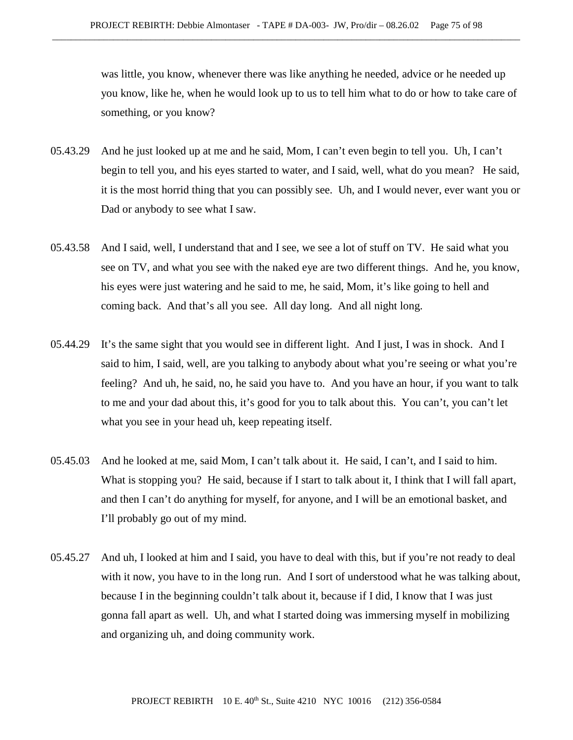was little, you know, whenever there was like anything he needed, advice or he needed up you know, like he, when he would look up to us to tell him what to do or how to take care of something, or you know?

- 05.43.29 And he just looked up at me and he said, Mom, I can't even begin to tell you. Uh, I can't begin to tell you, and his eyes started to water, and I said, well, what do you mean? He said, it is the most horrid thing that you can possibly see. Uh, and I would never, ever want you or Dad or anybody to see what I saw.
- 05.43.58 And I said, well, I understand that and I see, we see a lot of stuff on TV. He said what you see on TV, and what you see with the naked eye are two different things. And he, you know, his eyes were just watering and he said to me, he said, Mom, it's like going to hell and coming back. And that's all you see. All day long. And all night long.
- 05.44.29 It's the same sight that you would see in different light. And I just, I was in shock. And I said to him, I said, well, are you talking to anybody about what you're seeing or what you're feeling? And uh, he said, no, he said you have to. And you have an hour, if you want to talk to me and your dad about this, it's good for you to talk about this. You can't, you can't let what you see in your head uh, keep repeating itself.
- 05.45.03 And he looked at me, said Mom, I can't talk about it. He said, I can't, and I said to him. What is stopping you? He said, because if I start to talk about it, I think that I will fall apart, and then I can't do anything for myself, for anyone, and I will be an emotional basket, and I'll probably go out of my mind.
- 05.45.27 And uh, I looked at him and I said, you have to deal with this, but if you're not ready to deal with it now, you have to in the long run. And I sort of understood what he was talking about, because I in the beginning couldn't talk about it, because if I did, I know that I was just gonna fall apart as well. Uh, and what I started doing was immersing myself in mobilizing and organizing uh, and doing community work.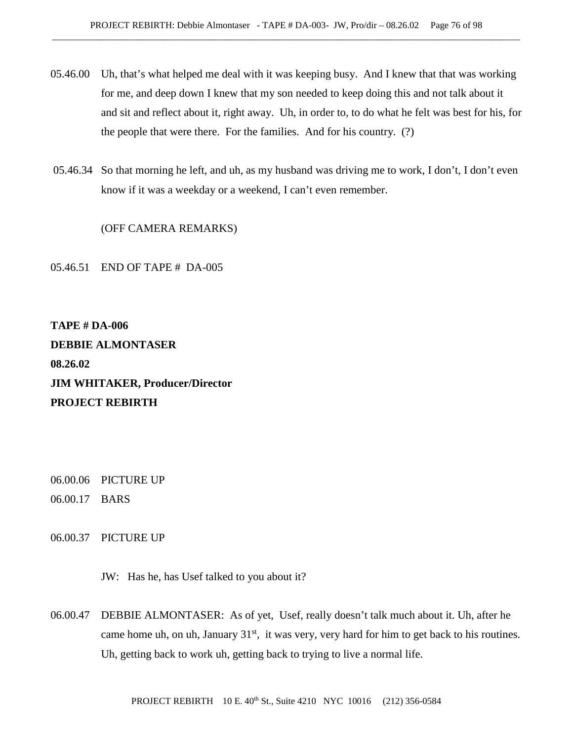- 05.46.00 Uh, that's what helped me deal with it was keeping busy. And I knew that that was working for me, and deep down I knew that my son needed to keep doing this and not talk about it and sit and reflect about it, right away. Uh, in order to, to do what he felt was best for his, for the people that were there. For the families. And for his country. (?)
- 05.46.34 So that morning he left, and uh, as my husband was driving me to work, I don't, I don't even know if it was a weekday or a weekend, I can't even remember.

(OFF CAMERA REMARKS)

05.46.51 END OF TAPE # DA-005

**TAPE # DA-006 DEBBIE ALMONTASER 08.26.02 JIM WHITAKER, Producer/Director PROJECT REBIRTH**

- 06.00.06 PICTURE UP
- 06.00.17 BARS
- 06.00.37 PICTURE UP

JW: Has he, has Usef talked to you about it?

06.00.47 DEBBIE ALMONTASER: As of yet, Usef, really doesn't talk much about it. Uh, after he came home uh, on uh, January  $31<sup>st</sup>$ , it was very, very hard for him to get back to his routines. Uh, getting back to work uh, getting back to trying to live a normal life.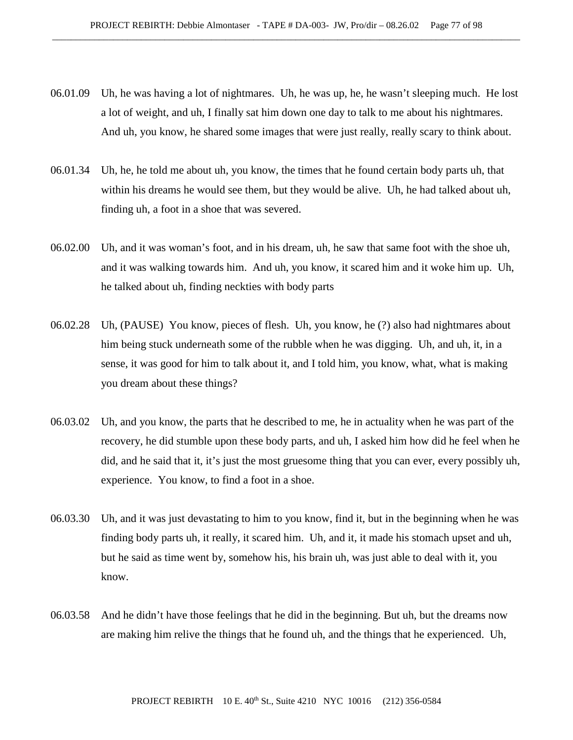- 06.01.09 Uh, he was having a lot of nightmares. Uh, he was up, he, he wasn't sleeping much. He lost a lot of weight, and uh, I finally sat him down one day to talk to me about his nightmares. And uh, you know, he shared some images that were just really, really scary to think about.
- 06.01.34 Uh, he, he told me about uh, you know, the times that he found certain body parts uh, that within his dreams he would see them, but they would be alive. Uh, he had talked about uh, finding uh, a foot in a shoe that was severed.
- 06.02.00 Uh, and it was woman's foot, and in his dream, uh, he saw that same foot with the shoe uh, and it was walking towards him. And uh, you know, it scared him and it woke him up. Uh, he talked about uh, finding neckties with body parts
- 06.02.28 Uh, (PAUSE) You know, pieces of flesh. Uh, you know, he (?) also had nightmares about him being stuck underneath some of the rubble when he was digging. Uh, and uh, it, in a sense, it was good for him to talk about it, and I told him, you know, what, what is making you dream about these things?
- 06.03.02 Uh, and you know, the parts that he described to me, he in actuality when he was part of the recovery, he did stumble upon these body parts, and uh, I asked him how did he feel when he did, and he said that it, it's just the most gruesome thing that you can ever, every possibly uh, experience. You know, to find a foot in a shoe.
- 06.03.30 Uh, and it was just devastating to him to you know, find it, but in the beginning when he was finding body parts uh, it really, it scared him. Uh, and it, it made his stomach upset and uh, but he said as time went by, somehow his, his brain uh, was just able to deal with it, you know.
- 06.03.58 And he didn't have those feelings that he did in the beginning. But uh, but the dreams now are making him relive the things that he found uh, and the things that he experienced. Uh,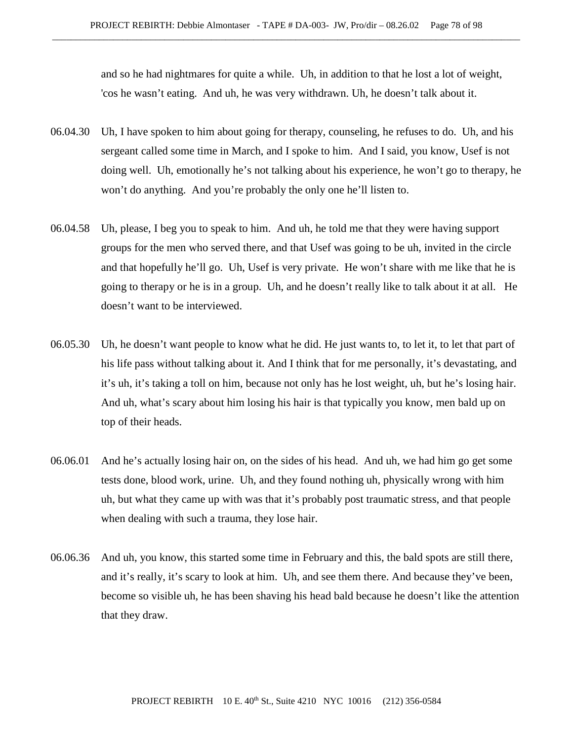and so he had nightmares for quite a while. Uh, in addition to that he lost a lot of weight, 'cos he wasn't eating. And uh, he was very withdrawn. Uh, he doesn't talk about it.

- 06.04.30 Uh, I have spoken to him about going for therapy, counseling, he refuses to do. Uh, and his sergeant called some time in March, and I spoke to him. And I said, you know, Usef is not doing well. Uh, emotionally he's not talking about his experience, he won't go to therapy, he won't do anything. And you're probably the only one he'll listen to.
- 06.04.58 Uh, please, I beg you to speak to him. And uh, he told me that they were having support groups for the men who served there, and that Usef was going to be uh, invited in the circle and that hopefully he'll go. Uh, Usef is very private. He won't share with me like that he is going to therapy or he is in a group. Uh, and he doesn't really like to talk about it at all. He doesn't want to be interviewed.
- 06.05.30 Uh, he doesn't want people to know what he did. He just wants to, to let it, to let that part of his life pass without talking about it. And I think that for me personally, it's devastating, and it's uh, it's taking a toll on him, because not only has he lost weight, uh, but he's losing hair. And uh, what's scary about him losing his hair is that typically you know, men bald up on top of their heads.
- 06.06.01 And he's actually losing hair on, on the sides of his head. And uh, we had him go get some tests done, blood work, urine. Uh, and they found nothing uh, physically wrong with him uh, but what they came up with was that it's probably post traumatic stress, and that people when dealing with such a trauma, they lose hair.
- 06.06.36 And uh, you know, this started some time in February and this, the bald spots are still there, and it's really, it's scary to look at him. Uh, and see them there. And because they've been, become so visible uh, he has been shaving his head bald because he doesn't like the attention that they draw.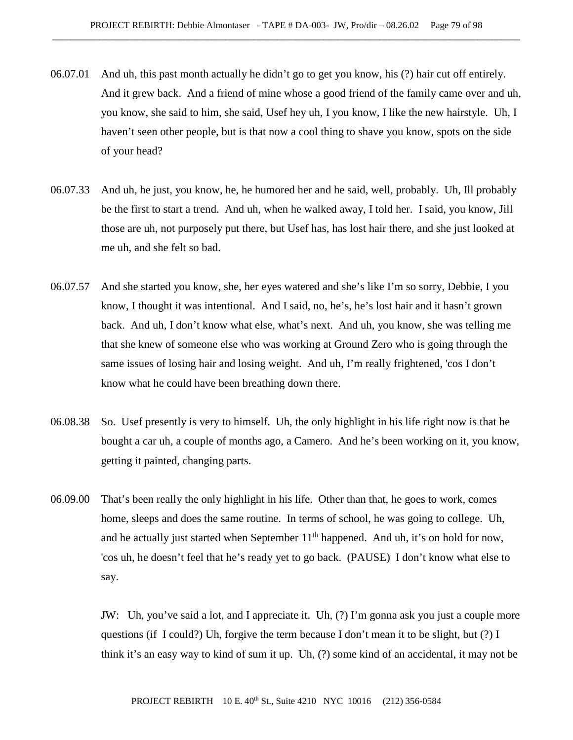- 06.07.01 And uh, this past month actually he didn't go to get you know, his (?) hair cut off entirely. And it grew back. And a friend of mine whose a good friend of the family came over and uh, you know, she said to him, she said, Usef hey uh, I you know, I like the new hairstyle. Uh, I haven't seen other people, but is that now a cool thing to shave you know, spots on the side of your head?
- 06.07.33 And uh, he just, you know, he, he humored her and he said, well, probably. Uh, Ill probably be the first to start a trend. And uh, when he walked away, I told her. I said, you know, Jill those are uh, not purposely put there, but Usef has, has lost hair there, and she just looked at me uh, and she felt so bad.
- 06.07.57 And she started you know, she, her eyes watered and she's like I'm so sorry, Debbie, I you know, I thought it was intentional. And I said, no, he's, he's lost hair and it hasn't grown back. And uh, I don't know what else, what's next. And uh, you know, she was telling me that she knew of someone else who was working at Ground Zero who is going through the same issues of losing hair and losing weight. And uh, I'm really frightened, 'cos I don't know what he could have been breathing down there.
- 06.08.38 So. Usef presently is very to himself. Uh, the only highlight in his life right now is that he bought a car uh, a couple of months ago, a Camero. And he's been working on it, you know, getting it painted, changing parts.
- 06.09.00 That's been really the only highlight in his life. Other than that, he goes to work, comes home, sleeps and does the same routine. In terms of school, he was going to college. Uh, and he actually just started when September  $11<sup>th</sup>$  happened. And uh, it's on hold for now, 'cos uh, he doesn't feel that he's ready yet to go back. (PAUSE) I don't know what else to say.

JW: Uh, you've said a lot, and I appreciate it. Uh, (?) I'm gonna ask you just a couple more questions (if I could?) Uh, forgive the term because I don't mean it to be slight, but (?) I think it's an easy way to kind of sum it up. Uh, (?) some kind of an accidental, it may not be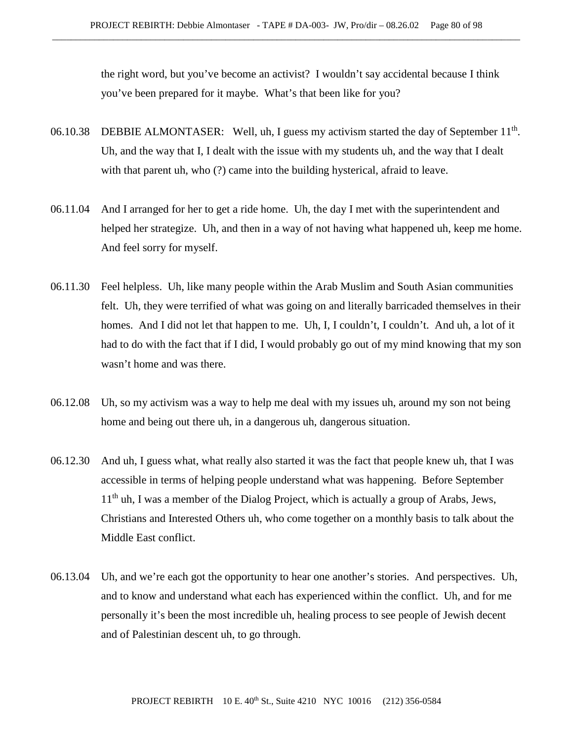the right word, but you've become an activist? I wouldn't say accidental because I think you've been prepared for it maybe. What's that been like for you?

- 06.10.38 DEBBIE ALMONTASER: Well, uh, I guess my activism started the day of September 11<sup>th</sup>. Uh, and the way that I, I dealt with the issue with my students uh, and the way that I dealt with that parent uh, who (?) came into the building hysterical, afraid to leave.
- 06.11.04 And I arranged for her to get a ride home. Uh, the day I met with the superintendent and helped her strategize. Uh, and then in a way of not having what happened uh, keep me home. And feel sorry for myself.
- 06.11.30 Feel helpless. Uh, like many people within the Arab Muslim and South Asian communities felt. Uh, they were terrified of what was going on and literally barricaded themselves in their homes. And I did not let that happen to me. Uh, I, I couldn't, I couldn't. And uh, a lot of it had to do with the fact that if I did, I would probably go out of my mind knowing that my son wasn't home and was there.
- 06.12.08 Uh, so my activism was a way to help me deal with my issues uh, around my son not being home and being out there uh, in a dangerous uh, dangerous situation.
- 06.12.30 And uh, I guess what, what really also started it was the fact that people knew uh, that I was accessible in terms of helping people understand what was happening. Before September  $11<sup>th</sup>$  uh, I was a member of the Dialog Project, which is actually a group of Arabs, Jews, Christians and Interested Others uh, who come together on a monthly basis to talk about the Middle East conflict.
- 06.13.04 Uh, and we're each got the opportunity to hear one another's stories. And perspectives. Uh, and to know and understand what each has experienced within the conflict. Uh, and for me personally it's been the most incredible uh, healing process to see people of Jewish decent and of Palestinian descent uh, to go through.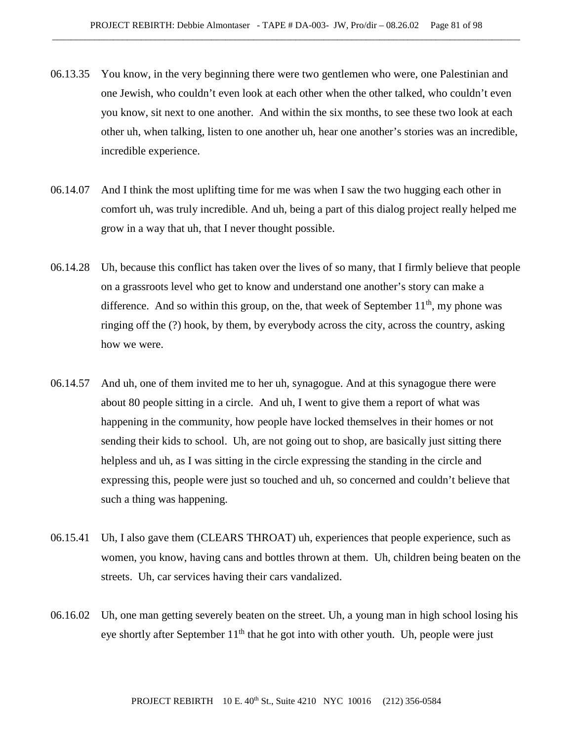- 06.13.35 You know, in the very beginning there were two gentlemen who were, one Palestinian and one Jewish, who couldn't even look at each other when the other talked, who couldn't even you know, sit next to one another. And within the six months, to see these two look at each other uh, when talking, listen to one another uh, hear one another's stories was an incredible, incredible experience.
- 06.14.07 And I think the most uplifting time for me was when I saw the two hugging each other in comfort uh, was truly incredible. And uh, being a part of this dialog project really helped me grow in a way that uh, that I never thought possible.
- 06.14.28 Uh, because this conflict has taken over the lives of so many, that I firmly believe that people on a grassroots level who get to know and understand one another's story can make a difference. And so within this group, on the, that week of September  $11<sup>th</sup>$ , my phone was ringing off the (?) hook, by them, by everybody across the city, across the country, asking how we were.
- 06.14.57 And uh, one of them invited me to her uh, synagogue. And at this synagogue there were about 80 people sitting in a circle. And uh, I went to give them a report of what was happening in the community, how people have locked themselves in their homes or not sending their kids to school. Uh, are not going out to shop, are basically just sitting there helpless and uh, as I was sitting in the circle expressing the standing in the circle and expressing this, people were just so touched and uh, so concerned and couldn't believe that such a thing was happening.
- 06.15.41 Uh, I also gave them (CLEARS THROAT) uh, experiences that people experience, such as women, you know, having cans and bottles thrown at them. Uh, children being beaten on the streets. Uh, car services having their cars vandalized.
- 06.16.02 Uh, one man getting severely beaten on the street. Uh, a young man in high school losing his eye shortly after September  $11<sup>th</sup>$  that he got into with other youth. Uh, people were just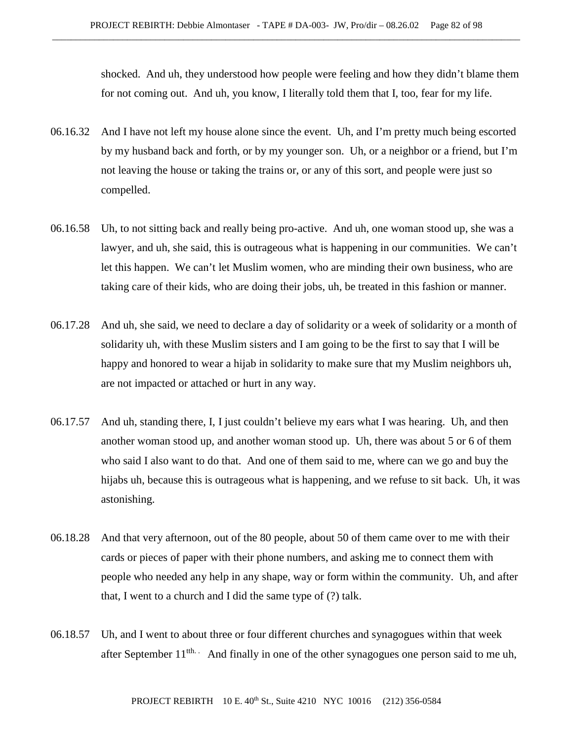shocked. And uh, they understood how people were feeling and how they didn't blame them for not coming out. And uh, you know, I literally told them that I, too, fear for my life.

- 06.16.32 And I have not left my house alone since the event. Uh, and I'm pretty much being escorted by my husband back and forth, or by my younger son. Uh, or a neighbor or a friend, but I'm not leaving the house or taking the trains or, or any of this sort, and people were just so compelled.
- 06.16.58 Uh, to not sitting back and really being pro-active. And uh, one woman stood up, she was a lawyer, and uh, she said, this is outrageous what is happening in our communities. We can't let this happen. We can't let Muslim women, who are minding their own business, who are taking care of their kids, who are doing their jobs, uh, be treated in this fashion or manner.
- 06.17.28 And uh, she said, we need to declare a day of solidarity or a week of solidarity or a month of solidarity uh, with these Muslim sisters and I am going to be the first to say that I will be happy and honored to wear a hijab in solidarity to make sure that my Muslim neighbors uh, are not impacted or attached or hurt in any way.
- 06.17.57 And uh, standing there, I, I just couldn't believe my ears what I was hearing. Uh, and then another woman stood up, and another woman stood up. Uh, there was about 5 or 6 of them who said I also want to do that. And one of them said to me, where can we go and buy the hijabs uh, because this is outrageous what is happening, and we refuse to sit back. Uh, it was astonishing.
- 06.18.28 And that very afternoon, out of the 80 people, about 50 of them came over to me with their cards or pieces of paper with their phone numbers, and asking me to connect them with people who needed any help in any shape, way or form within the community. Uh, and after that, I went to a church and I did the same type of (?) talk.
- 06.18.57 Uh, and I went to about three or four different churches and synagogues within that week after September  $11^{\text{th}}$ . And finally in one of the other synagogues one person said to me uh,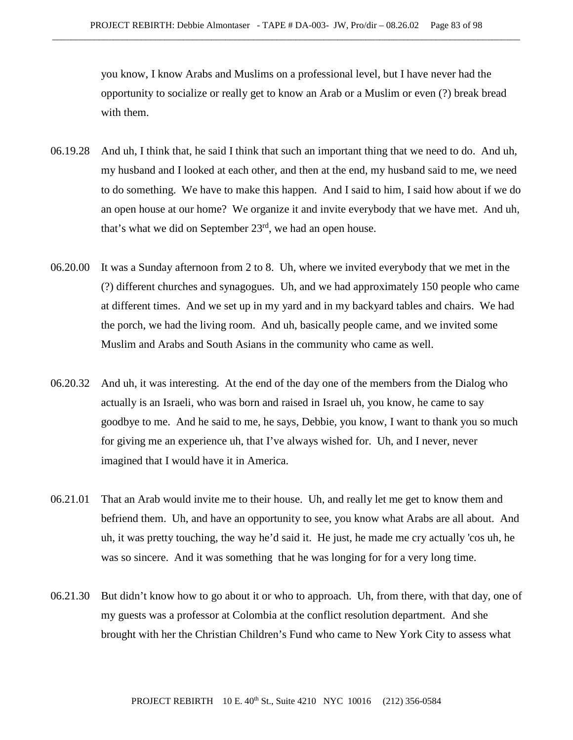you know, I know Arabs and Muslims on a professional level, but I have never had the opportunity to socialize or really get to know an Arab or a Muslim or even (?) break bread with them.

- 06.19.28 And uh, I think that, he said I think that such an important thing that we need to do. And uh, my husband and I looked at each other, and then at the end, my husband said to me, we need to do something. We have to make this happen. And I said to him, I said how about if we do an open house at our home? We organize it and invite everybody that we have met. And uh, that's what we did on September  $23<sup>rd</sup>$ , we had an open house.
- 06.20.00 It was a Sunday afternoon from 2 to 8. Uh, where we invited everybody that we met in the (?) different churches and synagogues. Uh, and we had approximately 150 people who came at different times. And we set up in my yard and in my backyard tables and chairs. We had the porch, we had the living room. And uh, basically people came, and we invited some Muslim and Arabs and South Asians in the community who came as well.
- 06.20.32 And uh, it was interesting. At the end of the day one of the members from the Dialog who actually is an Israeli, who was born and raised in Israel uh, you know, he came to say goodbye to me. And he said to me, he says, Debbie, you know, I want to thank you so much for giving me an experience uh, that I've always wished for. Uh, and I never, never imagined that I would have it in America.
- 06.21.01 That an Arab would invite me to their house. Uh, and really let me get to know them and befriend them. Uh, and have an opportunity to see, you know what Arabs are all about. And uh, it was pretty touching, the way he'd said it. He just, he made me cry actually 'cos uh, he was so sincere. And it was something that he was longing for for a very long time.
- 06.21.30 But didn't know how to go about it or who to approach. Uh, from there, with that day, one of my guests was a professor at Colombia at the conflict resolution department. And she brought with her the Christian Children's Fund who came to New York City to assess what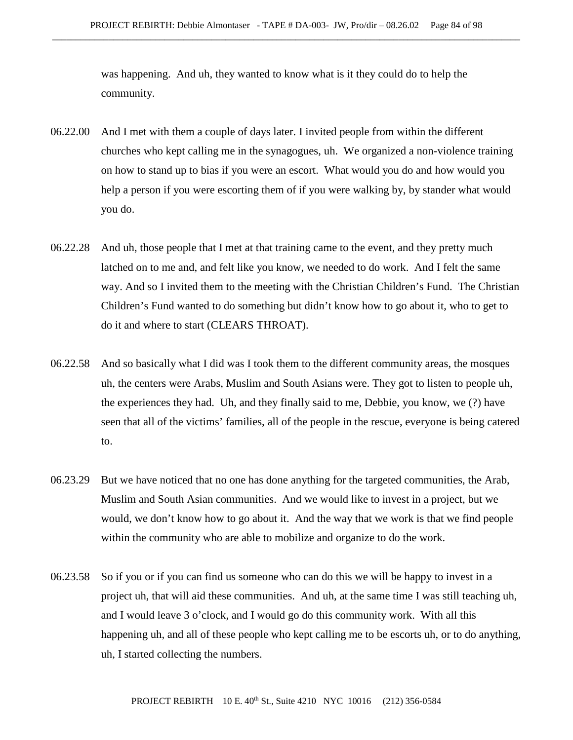was happening. And uh, they wanted to know what is it they could do to help the community.

- 06.22.00 And I met with them a couple of days later. I invited people from within the different churches who kept calling me in the synagogues, uh. We organized a non-violence training on how to stand up to bias if you were an escort. What would you do and how would you help a person if you were escorting them of if you were walking by, by stander what would you do.
- 06.22.28 And uh, those people that I met at that training came to the event, and they pretty much latched on to me and, and felt like you know, we needed to do work. And I felt the same way. And so I invited them to the meeting with the Christian Children's Fund. The Christian Children's Fund wanted to do something but didn't know how to go about it, who to get to do it and where to start (CLEARS THROAT).
- 06.22.58 And so basically what I did was I took them to the different community areas, the mosques uh, the centers were Arabs, Muslim and South Asians were. They got to listen to people uh, the experiences they had. Uh, and they finally said to me, Debbie, you know, we (?) have seen that all of the victims' families, all of the people in the rescue, everyone is being catered to.
- 06.23.29 But we have noticed that no one has done anything for the targeted communities, the Arab, Muslim and South Asian communities. And we would like to invest in a project, but we would, we don't know how to go about it. And the way that we work is that we find people within the community who are able to mobilize and organize to do the work.
- 06.23.58 So if you or if you can find us someone who can do this we will be happy to invest in a project uh, that will aid these communities. And uh, at the same time I was still teaching uh, and I would leave 3 o'clock, and I would go do this community work. With all this happening uh, and all of these people who kept calling me to be escorts uh, or to do anything, uh, I started collecting the numbers.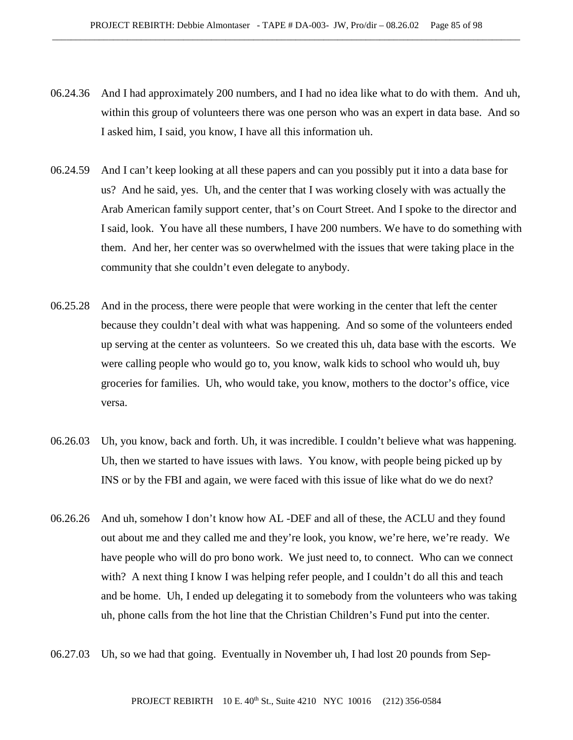- 06.24.36 And I had approximately 200 numbers, and I had no idea like what to do with them. And uh, within this group of volunteers there was one person who was an expert in data base. And so I asked him, I said, you know, I have all this information uh.
- 06.24.59 And I can't keep looking at all these papers and can you possibly put it into a data base for us? And he said, yes. Uh, and the center that I was working closely with was actually the Arab American family support center, that's on Court Street. And I spoke to the director and I said, look. You have all these numbers, I have 200 numbers. We have to do something with them. And her, her center was so overwhelmed with the issues that were taking place in the community that she couldn't even delegate to anybody.
- 06.25.28 And in the process, there were people that were working in the center that left the center because they couldn't deal with what was happening. And so some of the volunteers ended up serving at the center as volunteers. So we created this uh, data base with the escorts. We were calling people who would go to, you know, walk kids to school who would uh, buy groceries for families. Uh, who would take, you know, mothers to the doctor's office, vice versa.
- 06.26.03 Uh, you know, back and forth. Uh, it was incredible. I couldn't believe what was happening. Uh, then we started to have issues with laws. You know, with people being picked up by INS or by the FBI and again, we were faced with this issue of like what do we do next?
- 06.26.26 And uh, somehow I don't know how AL -DEF and all of these, the ACLU and they found out about me and they called me and they're look, you know, we're here, we're ready. We have people who will do pro bono work. We just need to, to connect. Who can we connect with? A next thing I know I was helping refer people, and I couldn't do all this and teach and be home. Uh, I ended up delegating it to somebody from the volunteers who was taking uh, phone calls from the hot line that the Christian Children's Fund put into the center.
- 06.27.03 Uh, so we had that going. Eventually in November uh, I had lost 20 pounds from Sep-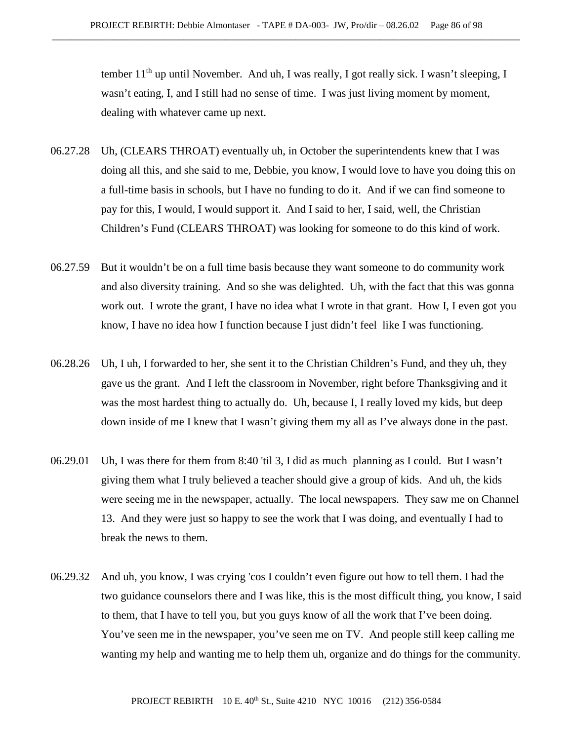tember 11<sup>th</sup> up until November. And uh, I was really, I got really sick. I wasn't sleeping, I wasn't eating, I, and I still had no sense of time. I was just living moment by moment, dealing with whatever came up next.

- 06.27.28 Uh, (CLEARS THROAT) eventually uh, in October the superintendents knew that I was doing all this, and she said to me, Debbie, you know, I would love to have you doing this on a full-time basis in schools, but I have no funding to do it. And if we can find someone to pay for this, I would, I would support it. And I said to her, I said, well, the Christian Children's Fund (CLEARS THROAT) was looking for someone to do this kind of work.
- 06.27.59 But it wouldn't be on a full time basis because they want someone to do community work and also diversity training. And so she was delighted. Uh, with the fact that this was gonna work out. I wrote the grant, I have no idea what I wrote in that grant. How I, I even got you know, I have no idea how I function because I just didn't feel like I was functioning.
- 06.28.26 Uh, I uh, I forwarded to her, she sent it to the Christian Children's Fund, and they uh, they gave us the grant. And I left the classroom in November, right before Thanksgiving and it was the most hardest thing to actually do. Uh, because I, I really loved my kids, but deep down inside of me I knew that I wasn't giving them my all as I've always done in the past.
- 06.29.01 Uh, I was there for them from 8:40 'til 3, I did as much planning as I could. But I wasn't giving them what I truly believed a teacher should give a group of kids. And uh, the kids were seeing me in the newspaper, actually. The local newspapers. They saw me on Channel 13. And they were just so happy to see the work that I was doing, and eventually I had to break the news to them.
- 06.29.32 And uh, you know, I was crying 'cos I couldn't even figure out how to tell them. I had the two guidance counselors there and I was like, this is the most difficult thing, you know, I said to them, that I have to tell you, but you guys know of all the work that I've been doing. You've seen me in the newspaper, you've seen me on TV. And people still keep calling me wanting my help and wanting me to help them uh, organize and do things for the community.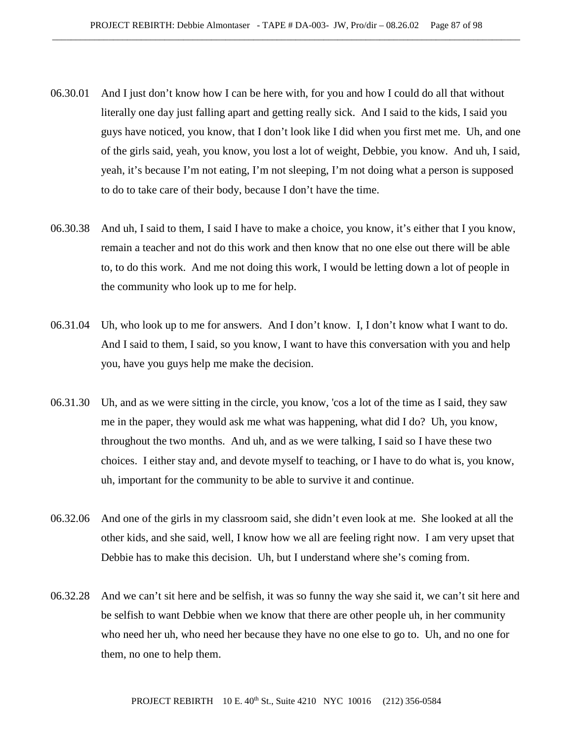- 06.30.01 And I just don't know how I can be here with, for you and how I could do all that without literally one day just falling apart and getting really sick. And I said to the kids, I said you guys have noticed, you know, that I don't look like I did when you first met me. Uh, and one of the girls said, yeah, you know, you lost a lot of weight, Debbie, you know. And uh, I said, yeah, it's because I'm not eating, I'm not sleeping, I'm not doing what a person is supposed to do to take care of their body, because I don't have the time.
- 06.30.38 And uh, I said to them, I said I have to make a choice, you know, it's either that I you know, remain a teacher and not do this work and then know that no one else out there will be able to, to do this work. And me not doing this work, I would be letting down a lot of people in the community who look up to me for help.
- 06.31.04 Uh, who look up to me for answers. And I don't know. I, I don't know what I want to do. And I said to them, I said, so you know, I want to have this conversation with you and help you, have you guys help me make the decision.
- 06.31.30 Uh, and as we were sitting in the circle, you know, 'cos a lot of the time as I said, they saw me in the paper, they would ask me what was happening, what did I do? Uh, you know, throughout the two months. And uh, and as we were talking, I said so I have these two choices. I either stay and, and devote myself to teaching, or I have to do what is, you know, uh, important for the community to be able to survive it and continue.
- 06.32.06 And one of the girls in my classroom said, she didn't even look at me. She looked at all the other kids, and she said, well, I know how we all are feeling right now. I am very upset that Debbie has to make this decision. Uh, but I understand where she's coming from.
- 06.32.28 And we can't sit here and be selfish, it was so funny the way she said it, we can't sit here and be selfish to want Debbie when we know that there are other people uh, in her community who need her uh, who need her because they have no one else to go to. Uh, and no one for them, no one to help them.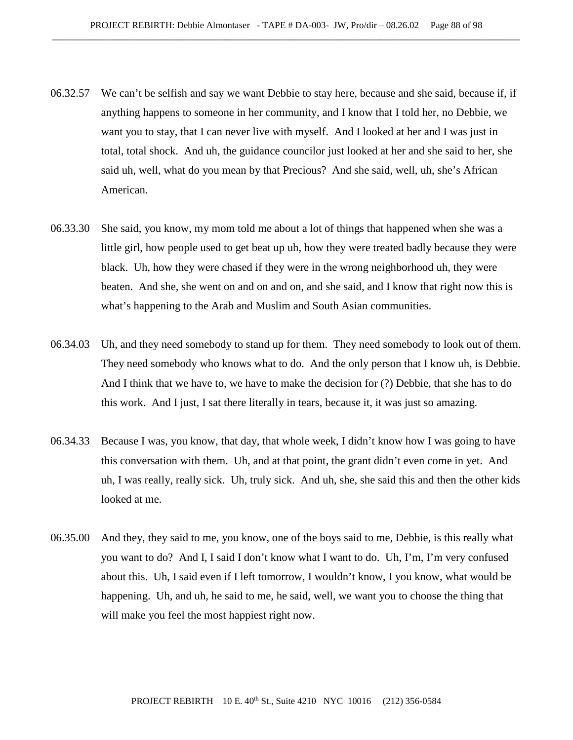- 06.32.57 We can't be selfish and say we want Debbie to stay here, because and she said, because if, if anything happens to someone in her community, and I know that I told her, no Debbie, we want you to stay, that I can never live with myself. And I looked at her and I was just in total, total shock. And uh, the guidance councilor just looked at her and she said to her, she said uh, well, what do you mean by that Precious? And she said, well, uh, she's African American.
- 06.33.30 She said, you know, my mom told me about a lot of things that happened when she was a little girl, how people used to get beat up uh, how they were treated badly because they were black. Uh, how they were chased if they were in the wrong neighborhood uh, they were beaten. And she, she went on and on and on, and she said, and I know that right now this is what's happening to the Arab and Muslim and South Asian communities.
- 06.34.03 Uh, and they need somebody to stand up for them. They need somebody to look out of them. They need somebody who knows what to do. And the only person that I know uh, is Debbie. And I think that we have to, we have to make the decision for (?) Debbie, that she has to do this work. And I just, I sat there literally in tears, because it, it was just so amazing.
- 06.34.33 Because I was, you know, that day, that whole week, I didn't know how I was going to have this conversation with them. Uh, and at that point, the grant didn't even come in yet. And uh, I was really, really sick. Uh, truly sick. And uh, she, she said this and then the other kids looked at me.
- 06.35.00 And they, they said to me, you know, one of the boys said to me, Debbie, is this really what you want to do? And I, I said I don't know what I want to do. Uh, I'm, I'm very confused about this. Uh, I said even if I left tomorrow, I wouldn't know, I you know, what would be happening. Uh, and uh, he said to me, he said, well, we want you to choose the thing that will make you feel the most happiest right now.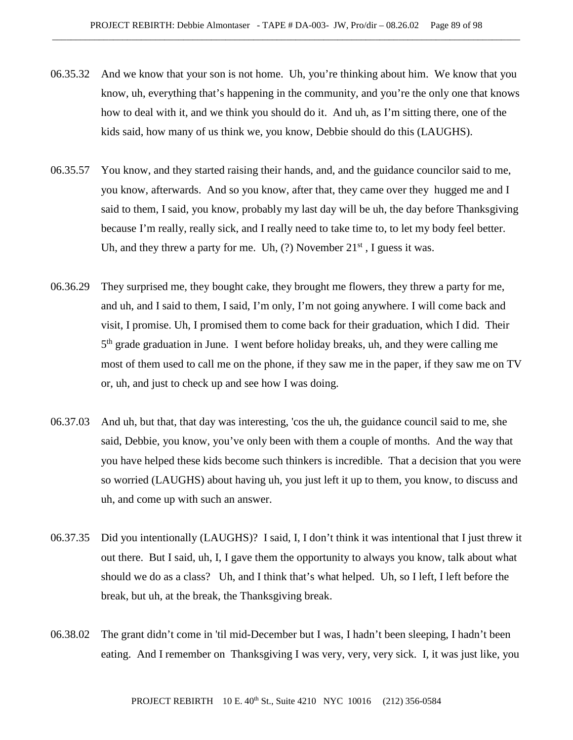- 06.35.32 And we know that your son is not home. Uh, you're thinking about him. We know that you know, uh, everything that's happening in the community, and you're the only one that knows how to deal with it, and we think you should do it. And uh, as I'm sitting there, one of the kids said, how many of us think we, you know, Debbie should do this (LAUGHS).
- 06.35.57 You know, and they started raising their hands, and, and the guidance councilor said to me, you know, afterwards. And so you know, after that, they came over they hugged me and I said to them, I said, you know, probably my last day will be uh, the day before Thanksgiving because I'm really, really sick, and I really need to take time to, to let my body feel better. Uh, and they threw a party for me. Uh,  $(?)$  November  $21<sup>st</sup>$ , I guess it was.
- 06.36.29 They surprised me, they bought cake, they brought me flowers, they threw a party for me, and uh, and I said to them, I said, I'm only, I'm not going anywhere. I will come back and visit, I promise. Uh, I promised them to come back for their graduation, which I did. Their 5<sup>th</sup> grade graduation in June. I went before holiday breaks, uh, and they were calling me most of them used to call me on the phone, if they saw me in the paper, if they saw me on TV or, uh, and just to check up and see how I was doing.
- 06.37.03 And uh, but that, that day was interesting, 'cos the uh, the guidance council said to me, she said, Debbie, you know, you've only been with them a couple of months. And the way that you have helped these kids become such thinkers is incredible. That a decision that you were so worried (LAUGHS) about having uh, you just left it up to them, you know, to discuss and uh, and come up with such an answer.
- 06.37.35 Did you intentionally (LAUGHS)? I said, I, I don't think it was intentional that I just threw it out there. But I said, uh, I, I gave them the opportunity to always you know, talk about what should we do as a class? Uh, and I think that's what helped. Uh, so I left, I left before the break, but uh, at the break, the Thanksgiving break.
- 06.38.02 The grant didn't come in 'til mid-December but I was, I hadn't been sleeping, I hadn't been eating. And I remember on Thanksgiving I was very, very, very sick. I, it was just like, you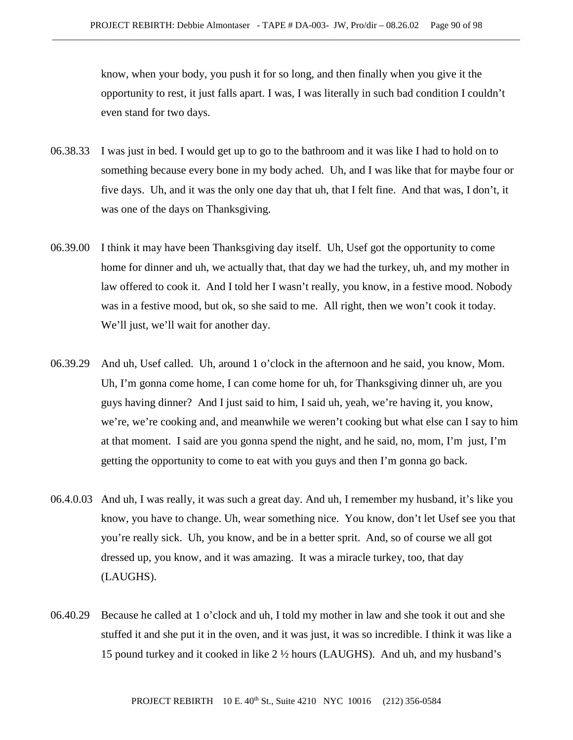know, when your body, you push it for so long, and then finally when you give it the opportunity to rest, it just falls apart. I was, I was literally in such bad condition I couldn't even stand for two days.

- 06.38.33 I was just in bed. I would get up to go to the bathroom and it was like I had to hold on to something because every bone in my body ached. Uh, and I was like that for maybe four or five days. Uh, and it was the only one day that uh, that I felt fine. And that was, I don't, it was one of the days on Thanksgiving.
- 06.39.00 I think it may have been Thanksgiving day itself. Uh, Usef got the opportunity to come home for dinner and uh, we actually that, that day we had the turkey, uh, and my mother in law offered to cook it. And I told her I wasn't really, you know, in a festive mood. Nobody was in a festive mood, but ok, so she said to me. All right, then we won't cook it today. We'll just, we'll wait for another day.
- 06.39.29 And uh, Usef called. Uh, around 1 o'clock in the afternoon and he said, you know, Mom. Uh, I'm gonna come home, I can come home for uh, for Thanksgiving dinner uh, are you guys having dinner? And I just said to him, I said uh, yeah, we're having it, you know, we're, we're cooking and, and meanwhile we weren't cooking but what else can I say to him at that moment. I said are you gonna spend the night, and he said, no, mom, I'm just, I'm getting the opportunity to come to eat with you guys and then I'm gonna go back.
- 06.4.0.03 And uh, I was really, it was such a great day. And uh, I remember my husband, it's like you know, you have to change. Uh, wear something nice. You know, don't let Usef see you that you're really sick. Uh, you know, and be in a better sprit. And, so of course we all got dressed up, you know, and it was amazing. It was a miracle turkey, too, that day (LAUGHS).
- 06.40.29 Because he called at 1 o'clock and uh, I told my mother in law and she took it out and she stuffed it and she put it in the oven, and it was just, it was so incredible. I think it was like a 15 pound turkey and it cooked in like 2 ½ hours (LAUGHS). And uh, and my husband's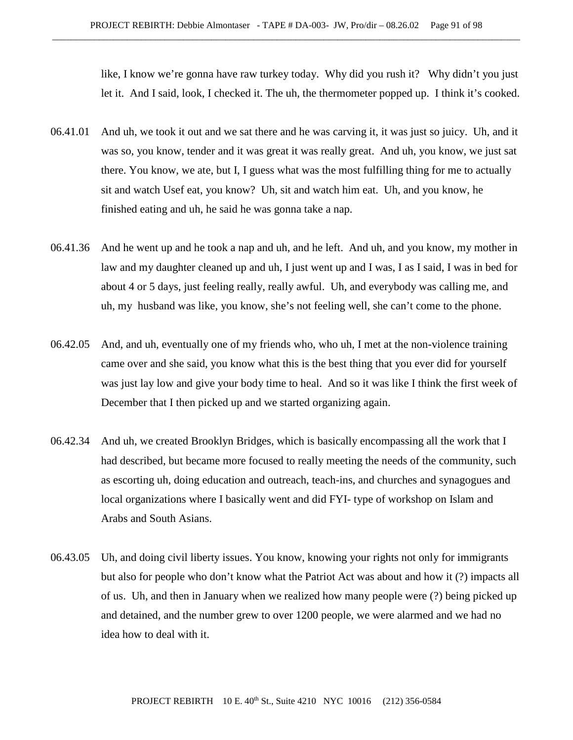like, I know we're gonna have raw turkey today. Why did you rush it? Why didn't you just let it. And I said, look, I checked it. The uh, the thermometer popped up. I think it's cooked.

- 06.41.01 And uh, we took it out and we sat there and he was carving it, it was just so juicy. Uh, and it was so, you know, tender and it was great it was really great. And uh, you know, we just sat there. You know, we ate, but I, I guess what was the most fulfilling thing for me to actually sit and watch Usef eat, you know? Uh, sit and watch him eat. Uh, and you know, he finished eating and uh, he said he was gonna take a nap.
- 06.41.36 And he went up and he took a nap and uh, and he left. And uh, and you know, my mother in law and my daughter cleaned up and uh, I just went up and I was, I as I said, I was in bed for about 4 or 5 days, just feeling really, really awful. Uh, and everybody was calling me, and uh, my husband was like, you know, she's not feeling well, she can't come to the phone.
- 06.42.05 And, and uh, eventually one of my friends who, who uh, I met at the non-violence training came over and she said, you know what this is the best thing that you ever did for yourself was just lay low and give your body time to heal. And so it was like I think the first week of December that I then picked up and we started organizing again.
- 06.42.34 And uh, we created Brooklyn Bridges, which is basically encompassing all the work that I had described, but became more focused to really meeting the needs of the community, such as escorting uh, doing education and outreach, teach-ins, and churches and synagogues and local organizations where I basically went and did FYI- type of workshop on Islam and Arabs and South Asians.
- 06.43.05 Uh, and doing civil liberty issues. You know, knowing your rights not only for immigrants but also for people who don't know what the Patriot Act was about and how it (?) impacts all of us. Uh, and then in January when we realized how many people were (?) being picked up and detained, and the number grew to over 1200 people, we were alarmed and we had no idea how to deal with it.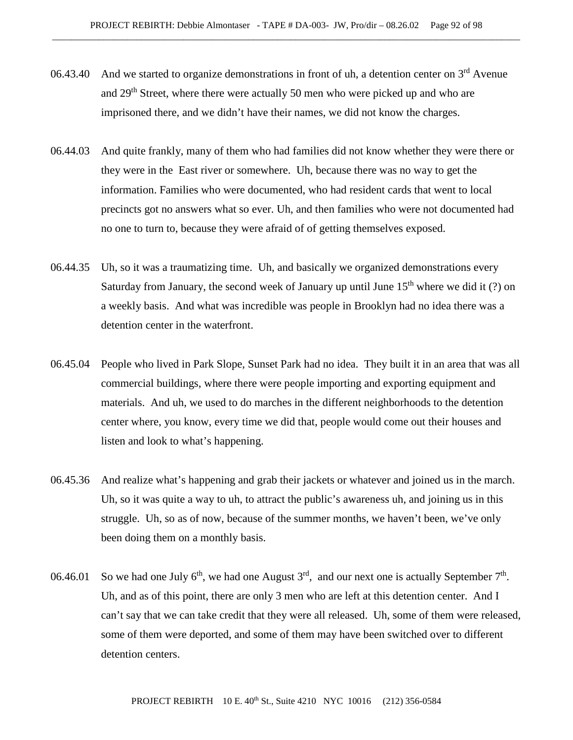- 06.43.40 And we started to organize demonstrations in front of uh, a detention center on  $3<sup>rd</sup>$  Avenue and 29<sup>th</sup> Street, where there were actually 50 men who were picked up and who are imprisoned there, and we didn't have their names, we did not know the charges.
- 06.44.03 And quite frankly, many of them who had families did not know whether they were there or they were in the East river or somewhere. Uh, because there was no way to get the information. Families who were documented, who had resident cards that went to local precincts got no answers what so ever. Uh, and then families who were not documented had no one to turn to, because they were afraid of of getting themselves exposed.
- 06.44.35 Uh, so it was a traumatizing time. Uh, and basically we organized demonstrations every Saturday from January, the second week of January up until June  $15<sup>th</sup>$  where we did it (?) on a weekly basis. And what was incredible was people in Brooklyn had no idea there was a detention center in the waterfront.
- 06.45.04 People who lived in Park Slope, Sunset Park had no idea. They built it in an area that was all commercial buildings, where there were people importing and exporting equipment and materials. And uh, we used to do marches in the different neighborhoods to the detention center where, you know, every time we did that, people would come out their houses and listen and look to what's happening.
- 06.45.36 And realize what's happening and grab their jackets or whatever and joined us in the march. Uh, so it was quite a way to uh, to attract the public's awareness uh, and joining us in this struggle. Uh, so as of now, because of the summer months, we haven't been, we've only been doing them on a monthly basis.
- 06.46.01 So we had one July  $6<sup>th</sup>$ , we had one August  $3<sup>rd</sup>$ , and our next one is actually September  $7<sup>th</sup>$ . Uh, and as of this point, there are only 3 men who are left at this detention center. And I can't say that we can take credit that they were all released. Uh, some of them were released, some of them were deported, and some of them may have been switched over to different detention centers.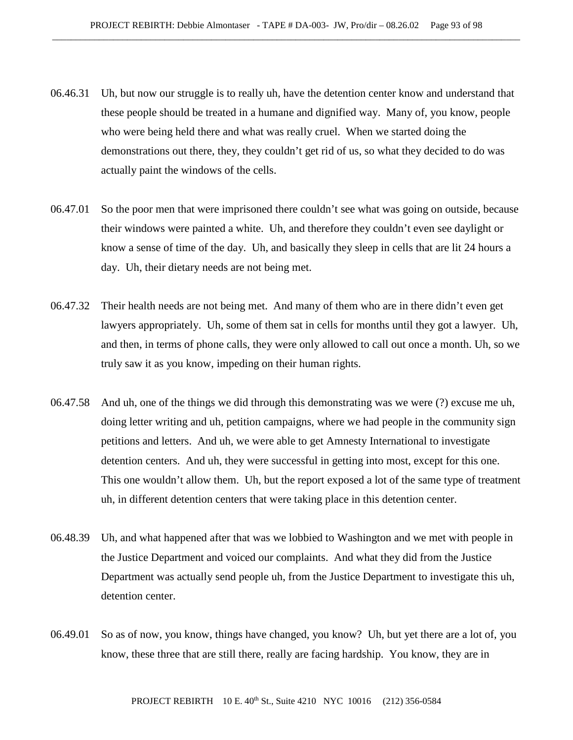- 06.46.31 Uh, but now our struggle is to really uh, have the detention center know and understand that these people should be treated in a humane and dignified way. Many of, you know, people who were being held there and what was really cruel. When we started doing the demonstrations out there, they, they couldn't get rid of us, so what they decided to do was actually paint the windows of the cells.
- 06.47.01 So the poor men that were imprisoned there couldn't see what was going on outside, because their windows were painted a white. Uh, and therefore they couldn't even see daylight or know a sense of time of the day. Uh, and basically they sleep in cells that are lit 24 hours a day. Uh, their dietary needs are not being met.
- 06.47.32 Their health needs are not being met. And many of them who are in there didn't even get lawyers appropriately. Uh, some of them sat in cells for months until they got a lawyer. Uh, and then, in terms of phone calls, they were only allowed to call out once a month. Uh, so we truly saw it as you know, impeding on their human rights.
- 06.47.58 And uh, one of the things we did through this demonstrating was we were (?) excuse me uh, doing letter writing and uh, petition campaigns, where we had people in the community sign petitions and letters. And uh, we were able to get Amnesty International to investigate detention centers. And uh, they were successful in getting into most, except for this one. This one wouldn't allow them. Uh, but the report exposed a lot of the same type of treatment uh, in different detention centers that were taking place in this detention center.
- 06.48.39 Uh, and what happened after that was we lobbied to Washington and we met with people in the Justice Department and voiced our complaints. And what they did from the Justice Department was actually send people uh, from the Justice Department to investigate this uh, detention center.
- 06.49.01 So as of now, you know, things have changed, you know? Uh, but yet there are a lot of, you know, these three that are still there, really are facing hardship. You know, they are in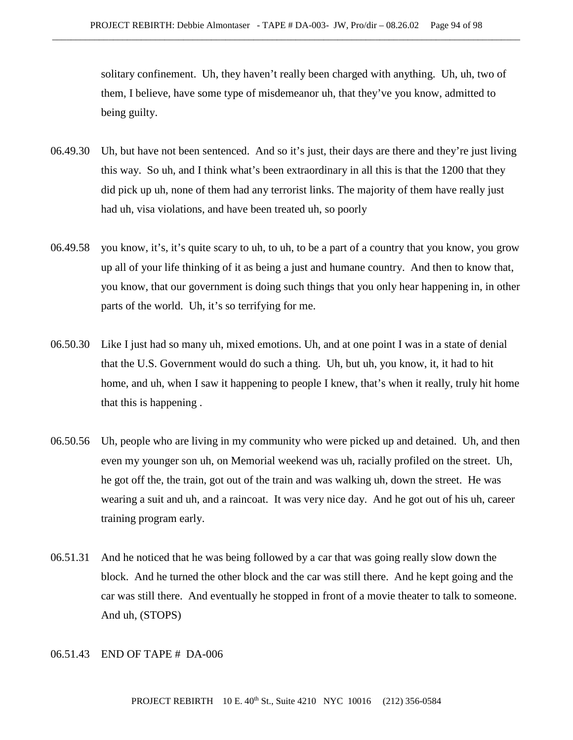solitary confinement. Uh, they haven't really been charged with anything. Uh, uh, two of them, I believe, have some type of misdemeanor uh, that they've you know, admitted to being guilty.

- 06.49.30 Uh, but have not been sentenced. And so it's just, their days are there and they're just living this way. So uh, and I think what's been extraordinary in all this is that the 1200 that they did pick up uh, none of them had any terrorist links. The majority of them have really just had uh, visa violations, and have been treated uh, so poorly
- 06.49.58 you know, it's, it's quite scary to uh, to uh, to be a part of a country that you know, you grow up all of your life thinking of it as being a just and humane country. And then to know that, you know, that our government is doing such things that you only hear happening in, in other parts of the world. Uh, it's so terrifying for me.
- 06.50.30 Like I just had so many uh, mixed emotions. Uh, and at one point I was in a state of denial that the U.S. Government would do such a thing. Uh, but uh, you know, it, it had to hit home, and uh, when I saw it happening to people I knew, that's when it really, truly hit home that this is happening .
- 06.50.56 Uh, people who are living in my community who were picked up and detained. Uh, and then even my younger son uh, on Memorial weekend was uh, racially profiled on the street. Uh, he got off the, the train, got out of the train and was walking uh, down the street. He was wearing a suit and uh, and a raincoat. It was very nice day. And he got out of his uh, career training program early.
- 06.51.31 And he noticed that he was being followed by a car that was going really slow down the block. And he turned the other block and the car was still there. And he kept going and the car was still there. And eventually he stopped in front of a movie theater to talk to someone. And uh, (STOPS)

## 06.51.43 END OF TAPE # DA-006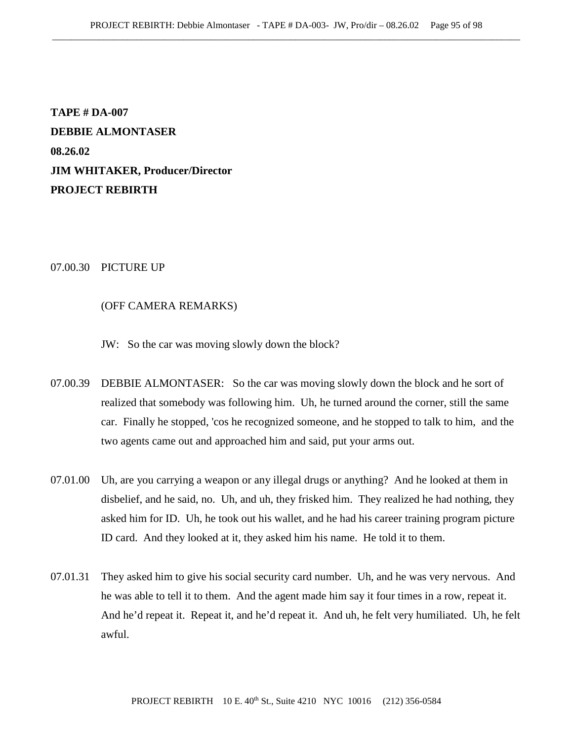**TAPE # DA-007 DEBBIE ALMONTASER 08.26.02 JIM WHITAKER, Producer/Director PROJECT REBIRTH**

## 07.00.30 PICTURE UP

## (OFF CAMERA REMARKS)

JW: So the car was moving slowly down the block?

- 07.00.39 DEBBIE ALMONTASER: So the car was moving slowly down the block and he sort of realized that somebody was following him. Uh, he turned around the corner, still the same car. Finally he stopped, 'cos he recognized someone, and he stopped to talk to him, and the two agents came out and approached him and said, put your arms out.
- 07.01.00 Uh, are you carrying a weapon or any illegal drugs or anything? And he looked at them in disbelief, and he said, no. Uh, and uh, they frisked him. They realized he had nothing, they asked him for ID. Uh, he took out his wallet, and he had his career training program picture ID card. And they looked at it, they asked him his name. He told it to them.
- 07.01.31 They asked him to give his social security card number. Uh, and he was very nervous. And he was able to tell it to them. And the agent made him say it four times in a row, repeat it. And he'd repeat it. Repeat it, and he'd repeat it. And uh, he felt very humiliated. Uh, he felt awful.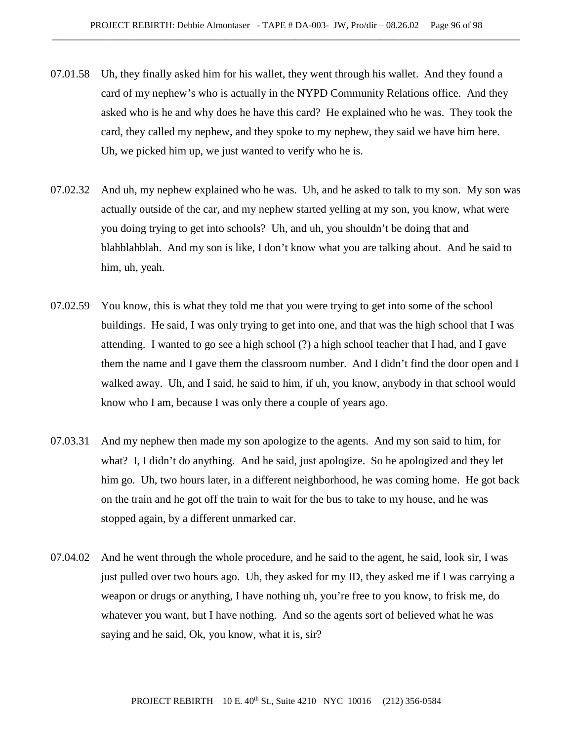- 07.01.58 Uh, they finally asked him for his wallet, they went through his wallet. And they found a card of my nephew's who is actually in the NYPD Community Relations office. And they asked who is he and why does he have this card? He explained who he was. They took the card, they called my nephew, and they spoke to my nephew, they said we have him here. Uh, we picked him up, we just wanted to verify who he is.
- 07.02.32 And uh, my nephew explained who he was. Uh, and he asked to talk to my son. My son was actually outside of the car, and my nephew started yelling at my son, you know, what were you doing trying to get into schools? Uh, and uh, you shouldn't be doing that and blahblahblah. And my son is like, I don't know what you are talking about. And he said to him, uh, yeah.
- 07.02.59 You know, this is what they told me that you were trying to get into some of the school buildings. He said, I was only trying to get into one, and that was the high school that I was attending. I wanted to go see a high school (?) a high school teacher that I had, and I gave them the name and I gave them the classroom number. And I didn't find the door open and I walked away. Uh, and I said, he said to him, if uh, you know, anybody in that school would know who I am, because I was only there a couple of years ago.
- 07.03.31 And my nephew then made my son apologize to the agents. And my son said to him, for what? I, I didn't do anything. And he said, just apologize. So he apologized and they let him go. Uh, two hours later, in a different neighborhood, he was coming home. He got back on the train and he got off the train to wait for the bus to take to my house, and he was stopped again, by a different unmarked car.
- 07.04.02 And he went through the whole procedure, and he said to the agent, he said, look sir, I was just pulled over two hours ago. Uh, they asked for my ID, they asked me if I was carrying a weapon or drugs or anything, I have nothing uh, you're free to you know, to frisk me, do whatever you want, but I have nothing. And so the agents sort of believed what he was saying and he said, Ok, you know, what it is, sir?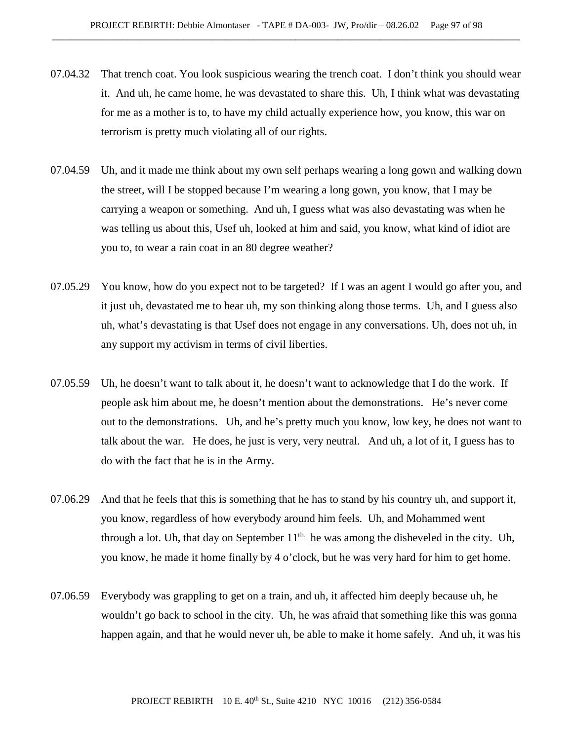- 07.04.32 That trench coat. You look suspicious wearing the trench coat. I don't think you should wear it. And uh, he came home, he was devastated to share this. Uh, I think what was devastating for me as a mother is to, to have my child actually experience how, you know, this war on terrorism is pretty much violating all of our rights.
- 07.04.59 Uh, and it made me think about my own self perhaps wearing a long gown and walking down the street, will I be stopped because I'm wearing a long gown, you know, that I may be carrying a weapon or something. And uh, I guess what was also devastating was when he was telling us about this, Usef uh, looked at him and said, you know, what kind of idiot are you to, to wear a rain coat in an 80 degree weather?
- 07.05.29 You know, how do you expect not to be targeted? If I was an agent I would go after you, and it just uh, devastated me to hear uh, my son thinking along those terms. Uh, and I guess also uh, what's devastating is that Usef does not engage in any conversations. Uh, does not uh, in any support my activism in terms of civil liberties.
- 07.05.59 Uh, he doesn't want to talk about it, he doesn't want to acknowledge that I do the work. If people ask him about me, he doesn't mention about the demonstrations. He's never come out to the demonstrations. Uh, and he's pretty much you know, low key, he does not want to talk about the war. He does, he just is very, very neutral. And uh, a lot of it, I guess has to do with the fact that he is in the Army.
- 07.06.29 And that he feels that this is something that he has to stand by his country uh, and support it, you know, regardless of how everybody around him feels. Uh, and Mohammed went through a lot. Uh, that day on September  $11<sup>th</sup>$ , he was among the disheveled in the city. Uh, you know, he made it home finally by 4 o'clock, but he was very hard for him to get home.
- 07.06.59 Everybody was grappling to get on a train, and uh, it affected him deeply because uh, he wouldn't go back to school in the city. Uh, he was afraid that something like this was gonna happen again, and that he would never uh, be able to make it home safely. And uh, it was his